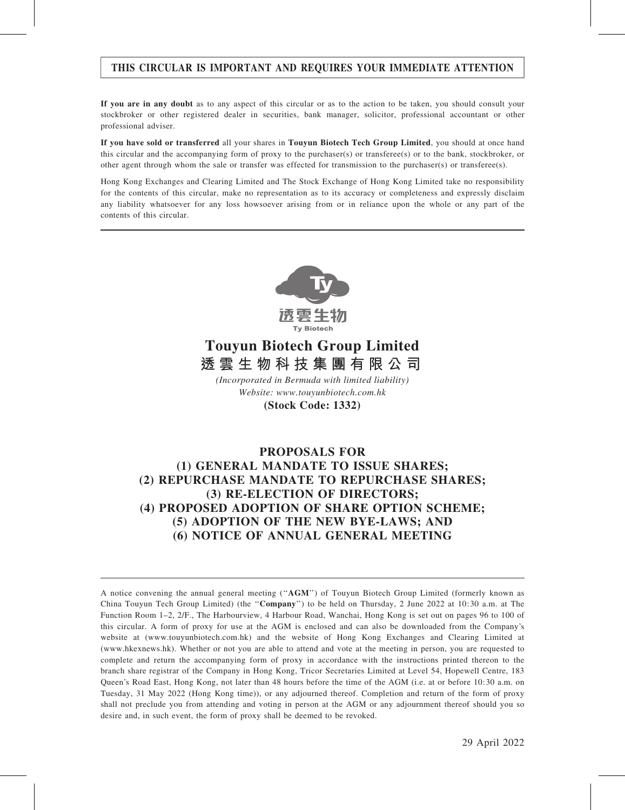# THIS CIRCULAR IS IMPORTANT AND REQUIRES YOUR IMMEDIATE ATTENTION

If you are in any doubt as to any aspect of this circular or as to the action to be taken, you should consult your stockbroker or other registered dealer in securities, bank manager, solicitor, professional accountant or other professional adviser.

If you have sold or transferred all your shares in Touyun Biotech Tech Group Limited, you should at once hand this circular and the accompanying form of proxy to the purchaser(s) or transferee(s) or to the bank, stockbroker, or other agent through whom the sale or transfer was effected for transmission to the purchaser(s) or transferee(s).

Hong Kong Exchanges and Clearing Limited and The Stock Exchange of Hong Kong Limited take no responsibility for the contents of this circular, make no representation as to its accuracy or completeness and expressly disclaim any liability whatsoever for any loss howsoever arising from or in reliance upon the whole or any part of the contents of this circular.



# **Touyun Biotech Group Limited 透雲生物科技集團有限公司**

*(Incorporated in Bermuda with limited liability)* **(Stock Code: 1332)** *Website: www.touyunbiotech.com.hk*

# PROPOSALS FOR (1) GENERAL MANDATE TO ISSUE SHARES; (2) REPURCHASE MANDATE TO REPURCHASE SHARES; (3) RE-ELECTION OF DIRECTORS; (4) PROPOSED ADOPTION OF SHARE OPTION SCHEME; (5) ADOPTION OF THE NEW BYE-LAWS; AND (6) NOTICE OF ANNUAL GENERAL MEETING

A notice convening the annual general meeting (''AGM'') of Touyun Biotech Group Limited (formerly known as China Touyun Tech Group Limited) (the ''Company'') to be held on Thursday, 2 June 2022 at 10:30 a.m. at The Function Room 1–2, 2/F., The Harbourview, 4 Harbour Road, Wanchai, Hong Kong is set out on pages 96 to 100 of this circular. A form of proxy for use at the AGM is enclosed and can also be downloaded from the Company's website at (www.touyunbiotech.com.hk) and the website of Hong Kong Exchanges and Clearing Limited at (www.hkexnews.hk). Whether or not you are able to attend and vote at the meeting in person, you are requested to complete and return the accompanying form of proxy in accordance with the instructions printed thereon to the branch share registrar of the Company in Hong Kong, Tricor Secretaries Limited at Level 54, Hopewell Centre, 183 Queen's Road East, Hong Kong, not later than 48 hours before the time of the AGM (i.e. at or before 10:30 a.m. on Tuesday, 31 May 2022 (Hong Kong time)), or any adjourned thereof. Completion and return of the form of proxy shall not preclude you from attending and voting in person at the AGM or any adjournment thereof should you so desire and, in such event, the form of proxy shall be deemed to be revoked.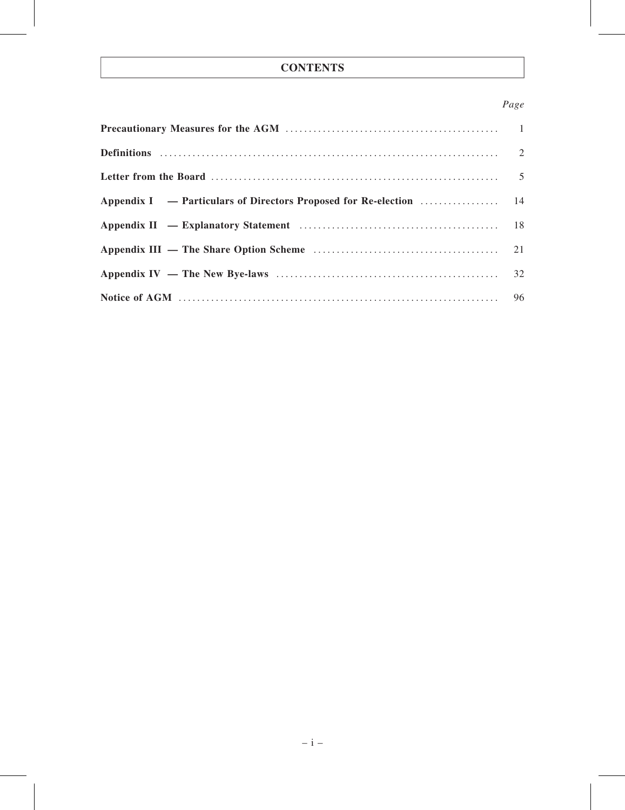# **CONTENTS**

# Page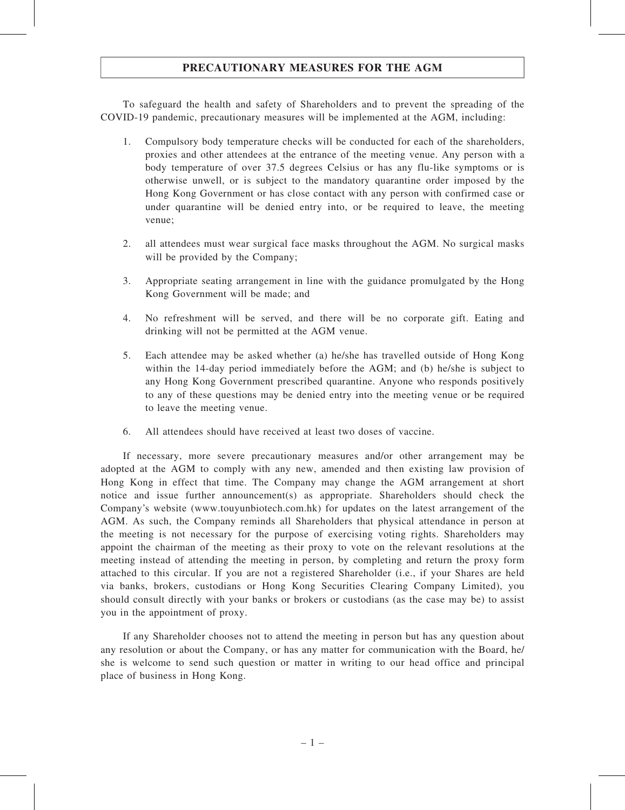# PRECAUTIONARY MEASURES FOR THE AGM

To safeguard the health and safety of Shareholders and to prevent the spreading of the COVID-19 pandemic, precautionary measures will be implemented at the AGM, including:

- 1. Compulsory body temperature checks will be conducted for each of the shareholders, proxies and other attendees at the entrance of the meeting venue. Any person with a body temperature of over 37.5 degrees Celsius or has any flu-like symptoms or is otherwise unwell, or is subject to the mandatory quarantine order imposed by the Hong Kong Government or has close contact with any person with confirmed case or under quarantine will be denied entry into, or be required to leave, the meeting venue;
- 2. all attendees must wear surgical face masks throughout the AGM. No surgical masks will be provided by the Company;
- 3. Appropriate seating arrangement in line with the guidance promulgated by the Hong Kong Government will be made; and
- 4. No refreshment will be served, and there will be no corporate gift. Eating and drinking will not be permitted at the AGM venue.
- 5. Each attendee may be asked whether (a) he/she has travelled outside of Hong Kong within the 14-day period immediately before the AGM; and (b) he/she is subject to any Hong Kong Government prescribed quarantine. Anyone who responds positively to any of these questions may be denied entry into the meeting venue or be required to leave the meeting venue.
- 6. All attendees should have received at least two doses of vaccine.

If necessary, more severe precautionary measures and/or other arrangement may be adopted at the AGM to comply with any new, amended and then existing law provision of Hong Kong in effect that time. The Company may change the AGM arrangement at short notice and issue further announcement(s) as appropriate. Shareholders should check the Company's website (www.touyunbiotech.com.hk) for updates on the latest arrangement of the AGM. As such, the Company reminds all Shareholders that physical attendance in person at the meeting is not necessary for the purpose of exercising voting rights. Shareholders may appoint the chairman of the meeting as their proxy to vote on the relevant resolutions at the meeting instead of attending the meeting in person, by completing and return the proxy form attached to this circular. If you are not a registered Shareholder (i.e., if your Shares are held via banks, brokers, custodians or Hong Kong Securities Clearing Company Limited), you should consult directly with your banks or brokers or custodians (as the case may be) to assist you in the appointment of proxy.

If any Shareholder chooses not to attend the meeting in person but has any question about any resolution or about the Company, or has any matter for communication with the Board, he/ she is welcome to send such question or matter in writing to our head office and principal place of business in Hong Kong.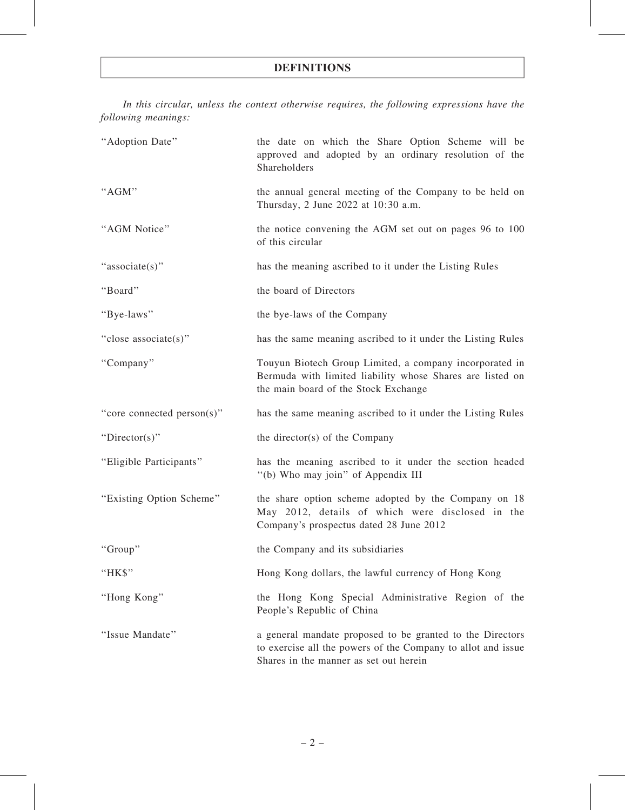## DEFINITIONS

In this circular, unless the context otherwise requires, the following expressions have the following meanings:

| "Adoption Date"            | the date on which the Share Option Scheme will be<br>approved and adopted by an ordinary resolution of the<br>Shareholders                                          |
|----------------------------|---------------------------------------------------------------------------------------------------------------------------------------------------------------------|
| "AGM"                      | the annual general meeting of the Company to be held on<br>Thursday, 2 June 2022 at 10:30 a.m.                                                                      |
| "AGM Notice"               | the notice convening the AGM set out on pages 96 to 100<br>of this circular                                                                                         |
| "associate(s)"             | has the meaning ascribed to it under the Listing Rules                                                                                                              |
| "Board"                    | the board of Directors                                                                                                                                              |
| "Bye-laws"                 | the bye-laws of the Company                                                                                                                                         |
| "close associate(s)"       | has the same meaning ascribed to it under the Listing Rules                                                                                                         |
| "Company"                  | Touyun Biotech Group Limited, a company incorporated in<br>Bermuda with limited liability whose Shares are listed on<br>the main board of the Stock Exchange        |
| "core connected person(s)" | has the same meaning ascribed to it under the Listing Rules                                                                                                         |
| "Director(s)"              | the director(s) of the Company                                                                                                                                      |
| "Eligible Participants"    | has the meaning ascribed to it under the section headed<br>"(b) Who may join" of Appendix III                                                                       |
| "Existing Option Scheme"   | the share option scheme adopted by the Company on 18<br>May 2012, details of which were disclosed in the<br>Company's prospectus dated 28 June 2012                 |
| "Group"                    | the Company and its subsidiaries                                                                                                                                    |
| "HK\$"                     | Hong Kong dollars, the lawful currency of Hong Kong                                                                                                                 |
| "Hong Kong"                | the Hong Kong Special Administrative Region of the<br>People's Republic of China                                                                                    |
| "Issue Mandate"            | a general mandate proposed to be granted to the Directors<br>to exercise all the powers of the Company to allot and issue<br>Shares in the manner as set out herein |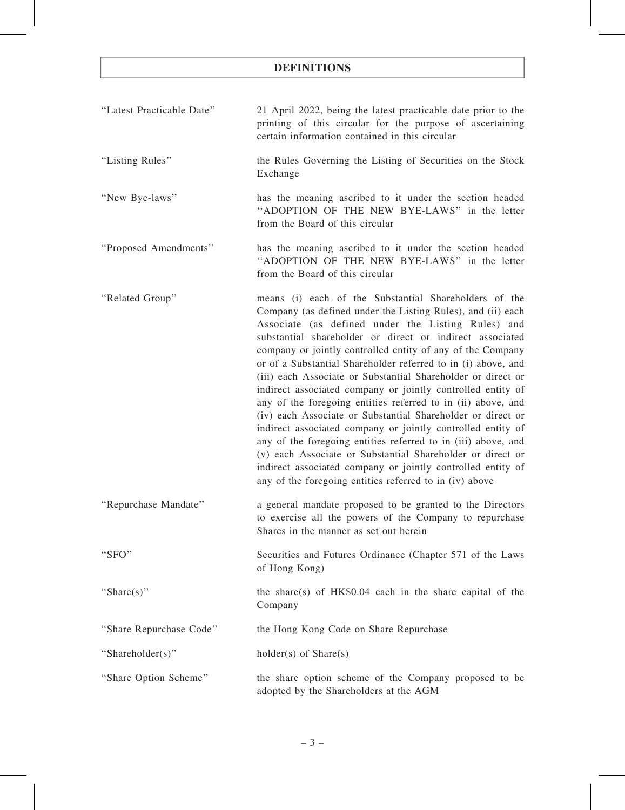# DEFINITIONS

| "Latest Practicable Date" | 21 April 2022, being the latest practicable date prior to the<br>printing of this circular for the purpose of ascertaining<br>certain information contained in this circular                                                                                                                                                                                                                                                                                                                                                                                                                                                                                                                                                                                                                                                                                                                                                                                |
|---------------------------|-------------------------------------------------------------------------------------------------------------------------------------------------------------------------------------------------------------------------------------------------------------------------------------------------------------------------------------------------------------------------------------------------------------------------------------------------------------------------------------------------------------------------------------------------------------------------------------------------------------------------------------------------------------------------------------------------------------------------------------------------------------------------------------------------------------------------------------------------------------------------------------------------------------------------------------------------------------|
| "Listing Rules"           | the Rules Governing the Listing of Securities on the Stock<br>Exchange                                                                                                                                                                                                                                                                                                                                                                                                                                                                                                                                                                                                                                                                                                                                                                                                                                                                                      |
| "New Bye-laws"            | has the meaning ascribed to it under the section headed<br>"ADOPTION OF THE NEW BYE-LAWS" in the letter<br>from the Board of this circular                                                                                                                                                                                                                                                                                                                                                                                                                                                                                                                                                                                                                                                                                                                                                                                                                  |
| "Proposed Amendments"     | has the meaning ascribed to it under the section headed<br>"ADOPTION OF THE NEW BYE-LAWS" in the letter<br>from the Board of this circular                                                                                                                                                                                                                                                                                                                                                                                                                                                                                                                                                                                                                                                                                                                                                                                                                  |
| "Related Group"           | means (i) each of the Substantial Shareholders of the<br>Company (as defined under the Listing Rules), and (ii) each<br>Associate (as defined under the Listing Rules) and<br>substantial shareholder or direct or indirect associated<br>company or jointly controlled entity of any of the Company<br>or of a Substantial Shareholder referred to in (i) above, and<br>(iii) each Associate or Substantial Shareholder or direct or<br>indirect associated company or jointly controlled entity of<br>any of the foregoing entities referred to in (ii) above, and<br>(iv) each Associate or Substantial Shareholder or direct or<br>indirect associated company or jointly controlled entity of<br>any of the foregoing entities referred to in (iii) above, and<br>(v) each Associate or Substantial Shareholder or direct or<br>indirect associated company or jointly controlled entity of<br>any of the foregoing entities referred to in (iv) above |
| "Repurchase Mandate"      | a general mandate proposed to be granted to the Directors<br>to exercise all the powers of the Company to repurchase<br>Shares in the manner as set out herein                                                                                                                                                                                                                                                                                                                                                                                                                                                                                                                                                                                                                                                                                                                                                                                              |
| "SFO"                     | Securities and Futures Ordinance (Chapter 571 of the Laws<br>of Hong Kong)                                                                                                                                                                                                                                                                                                                                                                                                                                                                                                                                                                                                                                                                                                                                                                                                                                                                                  |
| "Share(s)"                | the share(s) of $HK$0.04$ each in the share capital of the<br>Company                                                                                                                                                                                                                                                                                                                                                                                                                                                                                                                                                                                                                                                                                                                                                                                                                                                                                       |
| "Share Repurchase Code"   | the Hong Kong Code on Share Repurchase                                                                                                                                                                                                                                                                                                                                                                                                                                                                                                                                                                                                                                                                                                                                                                                                                                                                                                                      |
| "Shareholder(s)"          | $holder(s)$ of $Share(s)$                                                                                                                                                                                                                                                                                                                                                                                                                                                                                                                                                                                                                                                                                                                                                                                                                                                                                                                                   |
| "Share Option Scheme"     | the share option scheme of the Company proposed to be<br>adopted by the Shareholders at the AGM                                                                                                                                                                                                                                                                                                                                                                                                                                                                                                                                                                                                                                                                                                                                                                                                                                                             |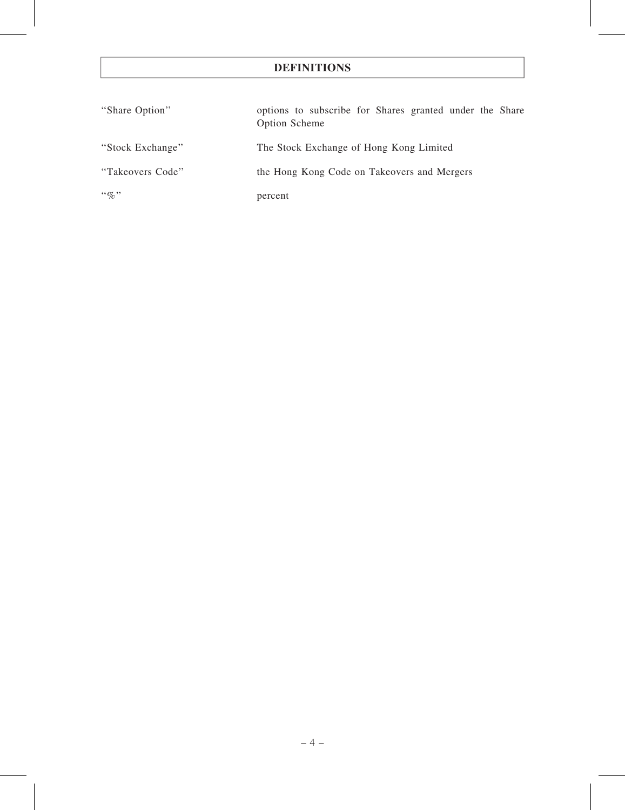# DEFINITIONS

| "Share Option"   | options to subscribe for Shares granted under the Share<br>Option Scheme |
|------------------|--------------------------------------------------------------------------|
| "Stock Exchange" | The Stock Exchange of Hong Kong Limited                                  |
| "Takeovers Code" | the Hong Kong Code on Takeovers and Mergers                              |
| $\lq\lq q_0$ "   | percent                                                                  |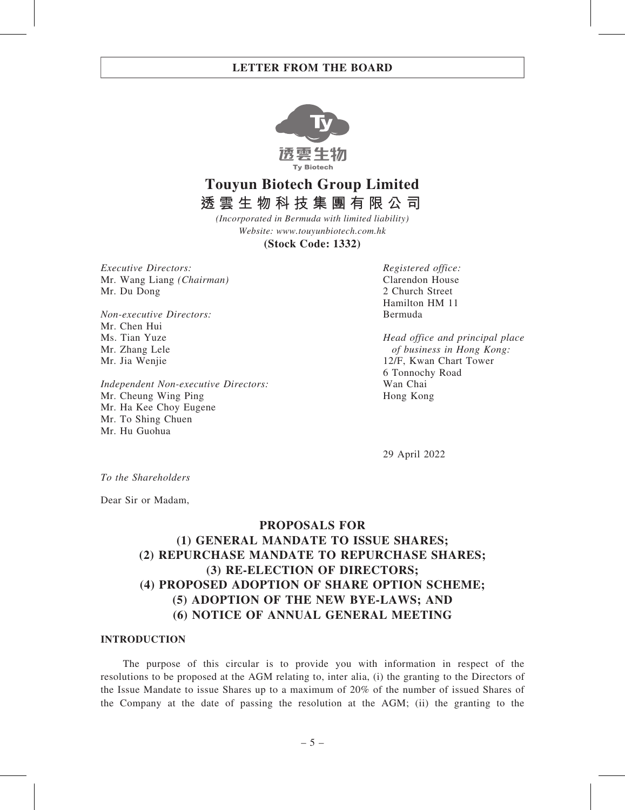

**Touyun Biotech Group Limited 透雲生物科技集團有限公司**

*(Incorporated in Bermuda with limited liability) Website: www.touyunbiotech.com.hk*

**(Stock Code: 1332)**

Executive Directors: Mr. Wang Liang (Chairman) Mr. Du Dong

Non-executive Directors: Mr. Chen Hui Ms. Tian Yuze Mr. Zhang Lele Mr. Jia Wenjie

Independent Non-executive Directors: Mr. Cheung Wing Ping Mr. Ha Kee Choy Eugene Mr. To Shing Chuen Mr. Hu Guohua

Registered office: Clarendon House 2 Church Street Hamilton HM 11 Bermuda

Head office and principal place of business in Hong Kong: 12/F, Kwan Chart Tower 6 Tonnochy Road Wan Chai Hong Kong

29 April 2022

To the Shareholders

Dear Sir or Madam,

# PROPOSALS FOR (1) GENERAL MANDATE TO ISSUE SHARES; (2) REPURCHASE MANDATE TO REPURCHASE SHARES; (3) RE-ELECTION OF DIRECTORS; (4) PROPOSED ADOPTION OF SHARE OPTION SCHEME; (5) ADOPTION OF THE NEW BYE-LAWS; AND (6) NOTICE OF ANNUAL GENERAL MEETING

#### INTRODUCTION

The purpose of this circular is to provide you with information in respect of the resolutions to be proposed at the AGM relating to, inter alia, (i) the granting to the Directors of the Issue Mandate to issue Shares up to a maximum of 20% of the number of issued Shares of the Company at the date of passing the resolution at the AGM; (ii) the granting to the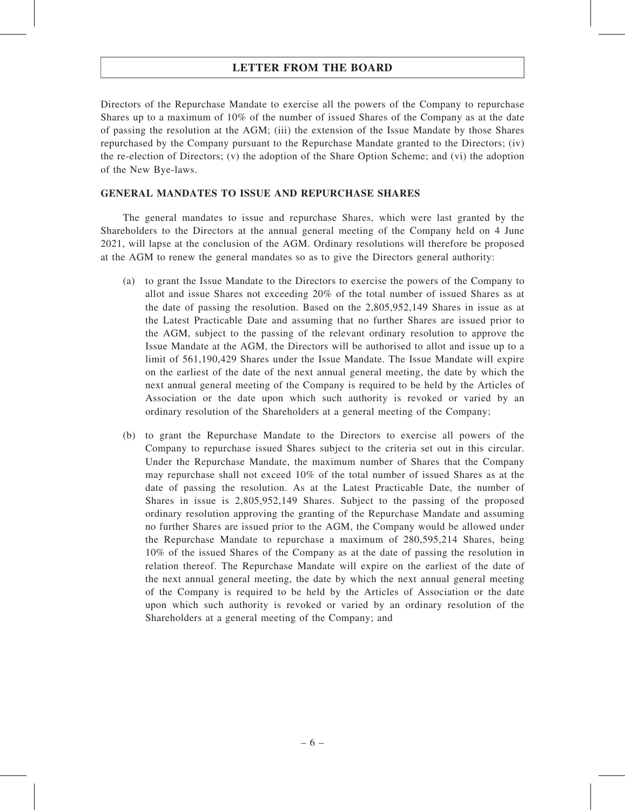Directors of the Repurchase Mandate to exercise all the powers of the Company to repurchase Shares up to a maximum of 10% of the number of issued Shares of the Company as at the date of passing the resolution at the AGM; (iii) the extension of the Issue Mandate by those Shares repurchased by the Company pursuant to the Repurchase Mandate granted to the Directors; (iv) the re-election of Directors; (v) the adoption of the Share Option Scheme; and (vi) the adoption of the New Bye-laws.

### GENERAL MANDATES TO ISSUE AND REPURCHASE SHARES

The general mandates to issue and repurchase Shares, which were last granted by the Shareholders to the Directors at the annual general meeting of the Company held on 4 June 2021, will lapse at the conclusion of the AGM. Ordinary resolutions will therefore be proposed at the AGM to renew the general mandates so as to give the Directors general authority:

- (a) to grant the Issue Mandate to the Directors to exercise the powers of the Company to allot and issue Shares not exceeding 20% of the total number of issued Shares as at the date of passing the resolution. Based on the 2,805,952,149 Shares in issue as at the Latest Practicable Date and assuming that no further Shares are issued prior to the AGM, subject to the passing of the relevant ordinary resolution to approve the Issue Mandate at the AGM, the Directors will be authorised to allot and issue up to a limit of 561,190,429 Shares under the Issue Mandate. The Issue Mandate will expire on the earliest of the date of the next annual general meeting, the date by which the next annual general meeting of the Company is required to be held by the Articles of Association or the date upon which such authority is revoked or varied by an ordinary resolution of the Shareholders at a general meeting of the Company;
- (b) to grant the Repurchase Mandate to the Directors to exercise all powers of the Company to repurchase issued Shares subject to the criteria set out in this circular. Under the Repurchase Mandate, the maximum number of Shares that the Company may repurchase shall not exceed 10% of the total number of issued Shares as at the date of passing the resolution. As at the Latest Practicable Date, the number of Shares in issue is 2,805,952,149 Shares. Subject to the passing of the proposed ordinary resolution approving the granting of the Repurchase Mandate and assuming no further Shares are issued prior to the AGM, the Company would be allowed under the Repurchase Mandate to repurchase a maximum of 280,595,214 Shares, being 10% of the issued Shares of the Company as at the date of passing the resolution in relation thereof. The Repurchase Mandate will expire on the earliest of the date of the next annual general meeting, the date by which the next annual general meeting of the Company is required to be held by the Articles of Association or the date upon which such authority is revoked or varied by an ordinary resolution of the Shareholders at a general meeting of the Company; and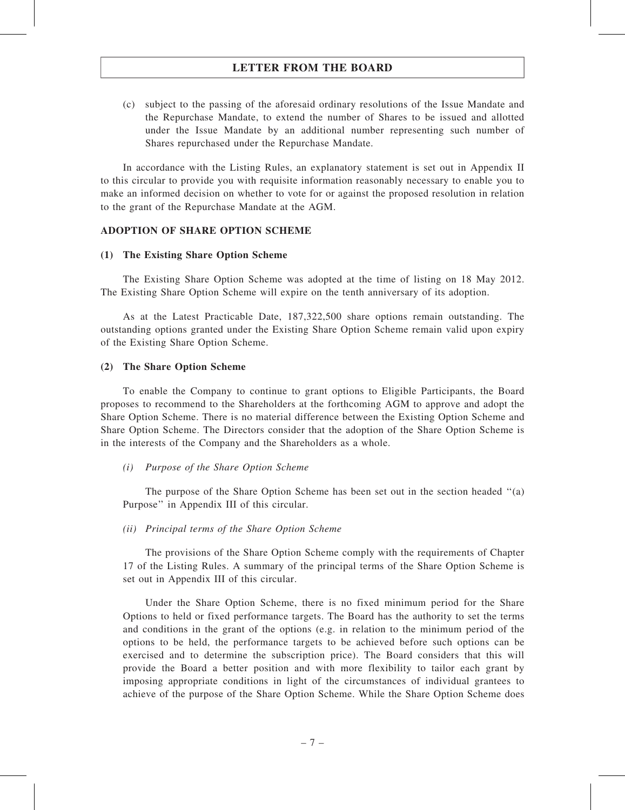(c) subject to the passing of the aforesaid ordinary resolutions of the Issue Mandate and the Repurchase Mandate, to extend the number of Shares to be issued and allotted under the Issue Mandate by an additional number representing such number of Shares repurchased under the Repurchase Mandate.

In accordance with the Listing Rules, an explanatory statement is set out in Appendix II to this circular to provide you with requisite information reasonably necessary to enable you to make an informed decision on whether to vote for or against the proposed resolution in relation to the grant of the Repurchase Mandate at the AGM.

### ADOPTION OF SHARE OPTION SCHEME

#### (1) The Existing Share Option Scheme

The Existing Share Option Scheme was adopted at the time of listing on 18 May 2012. The Existing Share Option Scheme will expire on the tenth anniversary of its adoption.

As at the Latest Practicable Date, 187,322,500 share options remain outstanding. The outstanding options granted under the Existing Share Option Scheme remain valid upon expiry of the Existing Share Option Scheme.

#### (2) The Share Option Scheme

To enable the Company to continue to grant options to Eligible Participants, the Board proposes to recommend to the Shareholders at the forthcoming AGM to approve and adopt the Share Option Scheme. There is no material difference between the Existing Option Scheme and Share Option Scheme. The Directors consider that the adoption of the Share Option Scheme is in the interests of the Company and the Shareholders as a whole.

#### (i) Purpose of the Share Option Scheme

The purpose of the Share Option Scheme has been set out in the section headed ''(a) Purpose'' in Appendix III of this circular.

#### (ii) Principal terms of the Share Option Scheme

The provisions of the Share Option Scheme comply with the requirements of Chapter 17 of the Listing Rules. A summary of the principal terms of the Share Option Scheme is set out in Appendix III of this circular.

Under the Share Option Scheme, there is no fixed minimum period for the Share Options to held or fixed performance targets. The Board has the authority to set the terms and conditions in the grant of the options (e.g. in relation to the minimum period of the options to be held, the performance targets to be achieved before such options can be exercised and to determine the subscription price). The Board considers that this will provide the Board a better position and with more flexibility to tailor each grant by imposing appropriate conditions in light of the circumstances of individual grantees to achieve of the purpose of the Share Option Scheme. While the Share Option Scheme does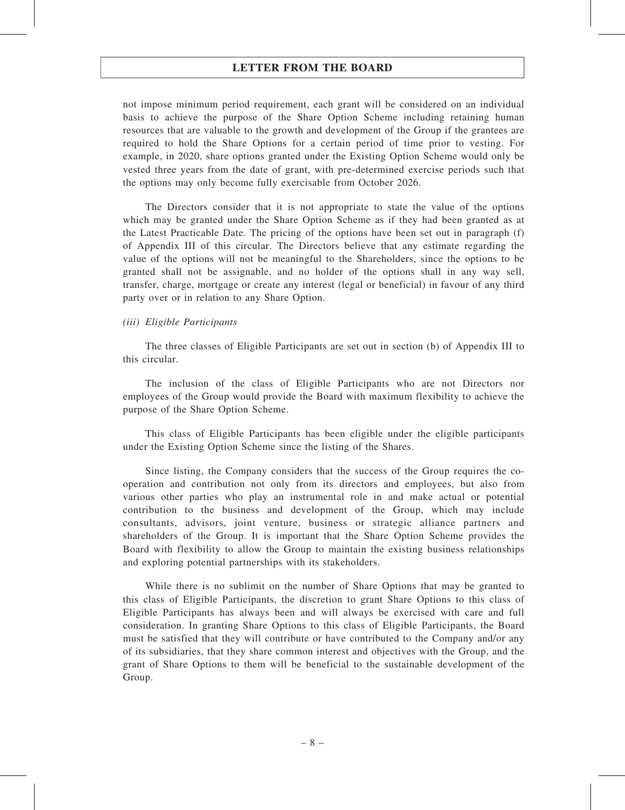not impose minimum period requirement, each grant will be considered on an individual basis to achieve the purpose of the Share Option Scheme including retaining human resources that are valuable to the growth and development of the Group if the grantees are required to hold the Share Options for a certain period of time prior to vesting. For example, in 2020, share options granted under the Existing Option Scheme would only be vested three years from the date of grant, with pre-determined exercise periods such that the options may only become fully exercisable from October 2026.

The Directors consider that it is not appropriate to state the value of the options which may be granted under the Share Option Scheme as if they had been granted as at the Latest Practicable Date. The pricing of the options have been set out in paragraph (f) of Appendix III of this circular. The Directors believe that any estimate regarding the value of the options will not be meaningful to the Shareholders, since the options to be granted shall not be assignable, and no holder of the options shall in any way sell, transfer, charge, mortgage or create any interest (legal or beneficial) in favour of any third party over or in relation to any Share Option.

#### (iii) Eligible Participants

The three classes of Eligible Participants are set out in section (b) of Appendix III to this circular.

The inclusion of the class of Eligible Participants who are not Directors nor employees of the Group would provide the Board with maximum flexibility to achieve the purpose of the Share Option Scheme.

This class of Eligible Participants has been eligible under the eligible participants under the Existing Option Scheme since the listing of the Shares.

Since listing, the Company considers that the success of the Group requires the cooperation and contribution not only from its directors and employees, but also from various other parties who play an instrumental role in and make actual or potential contribution to the business and development of the Group, which may include consultants, advisors, joint venture, business or strategic alliance partners and shareholders of the Group. It is important that the Share Option Scheme provides the Board with flexibility to allow the Group to maintain the existing business relationships and exploring potential partnerships with its stakeholders.

While there is no sublimit on the number of Share Options that may be granted to this class of Eligible Participants, the discretion to grant Share Options to this class of Eligible Participants has always been and will always be exercised with care and full consideration. In granting Share Options to this class of Eligible Participants, the Board must be satisfied that they will contribute or have contributed to the Company and/or any of its subsidiaries, that they share common interest and objectives with the Group, and the grant of Share Options to them will be beneficial to the sustainable development of the Group.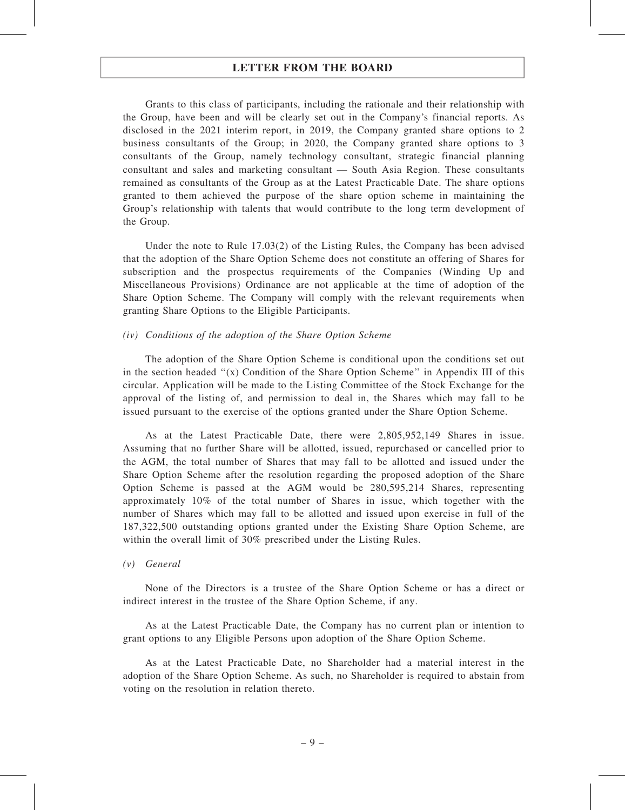Grants to this class of participants, including the rationale and their relationship with the Group, have been and will be clearly set out in the Company's financial reports. As disclosed in the 2021 interim report, in 2019, the Company granted share options to 2 business consultants of the Group; in 2020, the Company granted share options to 3 consultants of the Group, namely technology consultant, strategic financial planning consultant and sales and marketing consultant — South Asia Region. These consultants remained as consultants of the Group as at the Latest Practicable Date. The share options granted to them achieved the purpose of the share option scheme in maintaining the Group's relationship with talents that would contribute to the long term development of the Group.

Under the note to Rule 17.03(2) of the Listing Rules, the Company has been advised that the adoption of the Share Option Scheme does not constitute an offering of Shares for subscription and the prospectus requirements of the Companies (Winding Up and Miscellaneous Provisions) Ordinance are not applicable at the time of adoption of the Share Option Scheme. The Company will comply with the relevant requirements when granting Share Options to the Eligible Participants.

#### (iv) Conditions of the adoption of the Share Option Scheme

The adoption of the Share Option Scheme is conditional upon the conditions set out in the section headed ''(x) Condition of the Share Option Scheme'' in Appendix III of this circular. Application will be made to the Listing Committee of the Stock Exchange for the approval of the listing of, and permission to deal in, the Shares which may fall to be issued pursuant to the exercise of the options granted under the Share Option Scheme.

As at the Latest Practicable Date, there were 2,805,952,149 Shares in issue. Assuming that no further Share will be allotted, issued, repurchased or cancelled prior to the AGM, the total number of Shares that may fall to be allotted and issued under the Share Option Scheme after the resolution regarding the proposed adoption of the Share Option Scheme is passed at the AGM would be 280,595,214 Shares, representing approximately 10% of the total number of Shares in issue, which together with the number of Shares which may fall to be allotted and issued upon exercise in full of the 187,322,500 outstanding options granted under the Existing Share Option Scheme, are within the overall limit of 30% prescribed under the Listing Rules.

#### (v) General

None of the Directors is a trustee of the Share Option Scheme or has a direct or indirect interest in the trustee of the Share Option Scheme, if any.

As at the Latest Practicable Date, the Company has no current plan or intention to grant options to any Eligible Persons upon adoption of the Share Option Scheme.

As at the Latest Practicable Date, no Shareholder had a material interest in the adoption of the Share Option Scheme. As such, no Shareholder is required to abstain from voting on the resolution in relation thereto.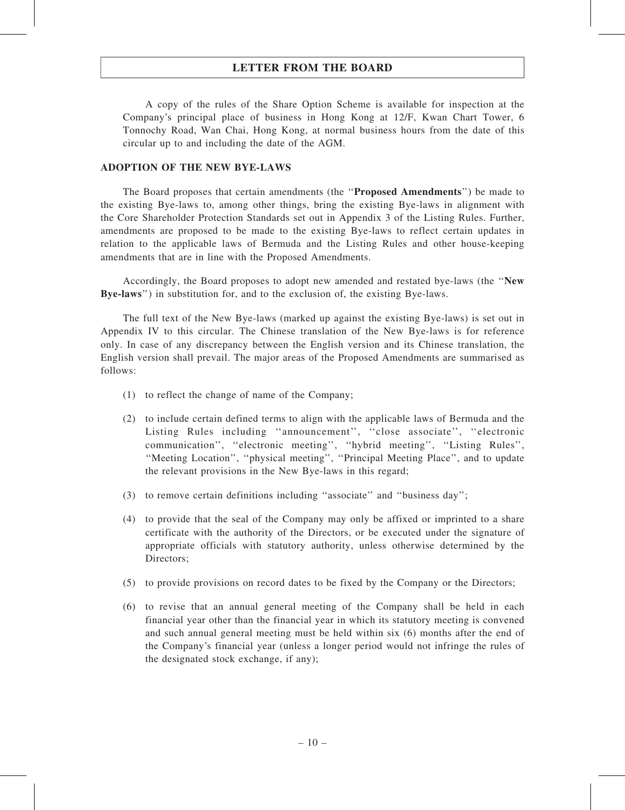A copy of the rules of the Share Option Scheme is available for inspection at the Company's principal place of business in Hong Kong at 12/F, Kwan Chart Tower, 6 Tonnochy Road, Wan Chai, Hong Kong, at normal business hours from the date of this circular up to and including the date of the AGM.

### ADOPTION OF THE NEW BYE-LAWS

The Board proposes that certain amendments (the ''Proposed Amendments'') be made to the existing Bye-laws to, among other things, bring the existing Bye-laws in alignment with the Core Shareholder Protection Standards set out in Appendix 3 of the Listing Rules. Further, amendments are proposed to be made to the existing Bye-laws to reflect certain updates in relation to the applicable laws of Bermuda and the Listing Rules and other house-keeping amendments that are in line with the Proposed Amendments.

Accordingly, the Board proposes to adopt new amended and restated bye-laws (the ''New Bye-laws'') in substitution for, and to the exclusion of, the existing Bye-laws.

The full text of the New Bye-laws (marked up against the existing Bye-laws) is set out in Appendix IV to this circular. The Chinese translation of the New Bye-laws is for reference only. In case of any discrepancy between the English version and its Chinese translation, the English version shall prevail. The major areas of the Proposed Amendments are summarised as follows:

- (1) to reflect the change of name of the Company;
- (2) to include certain defined terms to align with the applicable laws of Bermuda and the Listing Rules including ''announcement'', ''close associate'', ''electronic communication'', ''electronic meeting'', ''hybrid meeting'', ''Listing Rules'', ''Meeting Location'', ''physical meeting'', ''Principal Meeting Place'', and to update the relevant provisions in the New Bye-laws in this regard;
- (3) to remove certain definitions including ''associate'' and ''business day'';
- (4) to provide that the seal of the Company may only be affixed or imprinted to a share certificate with the authority of the Directors, or be executed under the signature of appropriate officials with statutory authority, unless otherwise determined by the Directors;
- (5) to provide provisions on record dates to be fixed by the Company or the Directors;
- (6) to revise that an annual general meeting of the Company shall be held in each financial year other than the financial year in which its statutory meeting is convened and such annual general meeting must be held within six (6) months after the end of the Company's financial year (unless a longer period would not infringe the rules of the designated stock exchange, if any);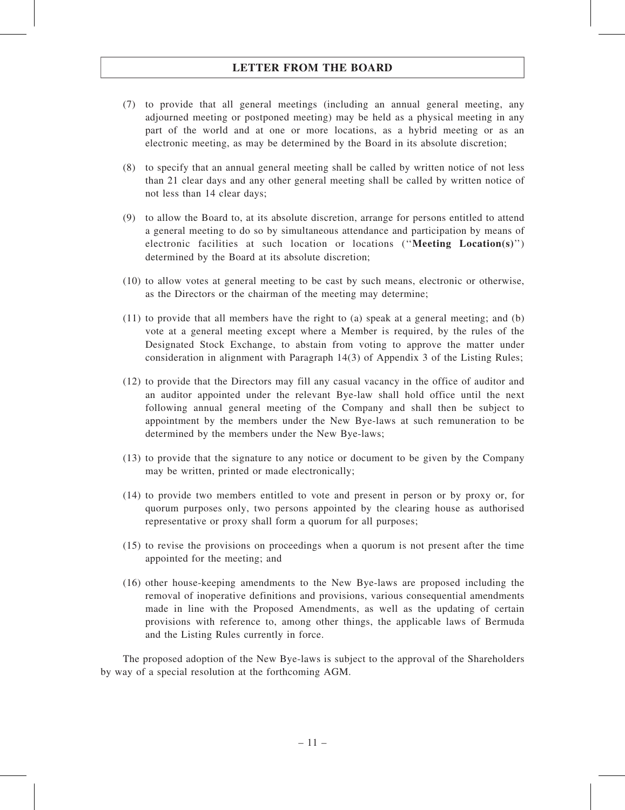- (7) to provide that all general meetings (including an annual general meeting, any adjourned meeting or postponed meeting) may be held as a physical meeting in any part of the world and at one or more locations, as a hybrid meeting or as an electronic meeting, as may be determined by the Board in its absolute discretion;
- (8) to specify that an annual general meeting shall be called by written notice of not less than 21 clear days and any other general meeting shall be called by written notice of not less than 14 clear days;
- (9) to allow the Board to, at its absolute discretion, arrange for persons entitled to attend a general meeting to do so by simultaneous attendance and participation by means of electronic facilities at such location or locations (''Meeting Location(s)'') determined by the Board at its absolute discretion;
- (10) to allow votes at general meeting to be cast by such means, electronic or otherwise, as the Directors or the chairman of the meeting may determine;
- (11) to provide that all members have the right to (a) speak at a general meeting; and (b) vote at a general meeting except where a Member is required, by the rules of the Designated Stock Exchange, to abstain from voting to approve the matter under consideration in alignment with Paragraph 14(3) of Appendix 3 of the Listing Rules;
- (12) to provide that the Directors may fill any casual vacancy in the office of auditor and an auditor appointed under the relevant Bye-law shall hold office until the next following annual general meeting of the Company and shall then be subject to appointment by the members under the New Bye-laws at such remuneration to be determined by the members under the New Bye-laws;
- (13) to provide that the signature to any notice or document to be given by the Company may be written, printed or made electronically;
- (14) to provide two members entitled to vote and present in person or by proxy or, for quorum purposes only, two persons appointed by the clearing house as authorised representative or proxy shall form a quorum for all purposes;
- (15) to revise the provisions on proceedings when a quorum is not present after the time appointed for the meeting; and
- (16) other house-keeping amendments to the New Bye-laws are proposed including the removal of inoperative definitions and provisions, various consequential amendments made in line with the Proposed Amendments, as well as the updating of certain provisions with reference to, among other things, the applicable laws of Bermuda and the Listing Rules currently in force.

The proposed adoption of the New Bye-laws is subject to the approval of the Shareholders by way of a special resolution at the forthcoming AGM.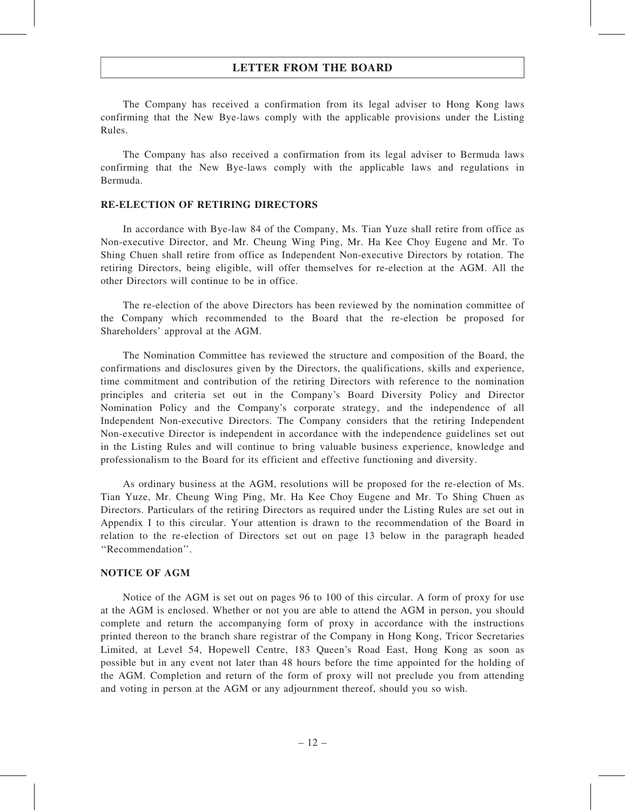The Company has received a confirmation from its legal adviser to Hong Kong laws confirming that the New Bye-laws comply with the applicable provisions under the Listing Rules.

The Company has also received a confirmation from its legal adviser to Bermuda laws confirming that the New Bye-laws comply with the applicable laws and regulations in Bermuda.

### RE-ELECTION OF RETIRING DIRECTORS

In accordance with Bye-law 84 of the Company, Ms. Tian Yuze shall retire from office as Non-executive Director, and Mr. Cheung Wing Ping, Mr. Ha Kee Choy Eugene and Mr. To Shing Chuen shall retire from office as Independent Non-executive Directors by rotation. The retiring Directors, being eligible, will offer themselves for re-election at the AGM. All the other Directors will continue to be in office.

The re-election of the above Directors has been reviewed by the nomination committee of the Company which recommended to the Board that the re-election be proposed for Shareholders' approval at the AGM.

The Nomination Committee has reviewed the structure and composition of the Board, the confirmations and disclosures given by the Directors, the qualifications, skills and experience, time commitment and contribution of the retiring Directors with reference to the nomination principles and criteria set out in the Company's Board Diversity Policy and Director Nomination Policy and the Company's corporate strategy, and the independence of all Independent Non-executive Directors. The Company considers that the retiring Independent Non-executive Director is independent in accordance with the independence guidelines set out in the Listing Rules and will continue to bring valuable business experience, knowledge and professionalism to the Board for its efficient and effective functioning and diversity.

As ordinary business at the AGM, resolutions will be proposed for the re-election of Ms. Tian Yuze, Mr. Cheung Wing Ping, Mr. Ha Kee Choy Eugene and Mr. To Shing Chuen as Directors. Particulars of the retiring Directors as required under the Listing Rules are set out in Appendix I to this circular. Your attention is drawn to the recommendation of the Board in relation to the re-election of Directors set out on page 13 below in the paragraph headed ''Recommendation''.

### NOTICE OF AGM

Notice of the AGM is set out on pages 96 to 100 of this circular. A form of proxy for use at the AGM is enclosed. Whether or not you are able to attend the AGM in person, you should complete and return the accompanying form of proxy in accordance with the instructions printed thereon to the branch share registrar of the Company in Hong Kong, Tricor Secretaries Limited, at Level 54, Hopewell Centre, 183 Queen's Road East, Hong Kong as soon as possible but in any event not later than 48 hours before the time appointed for the holding of the AGM. Completion and return of the form of proxy will not preclude you from attending and voting in person at the AGM or any adjournment thereof, should you so wish.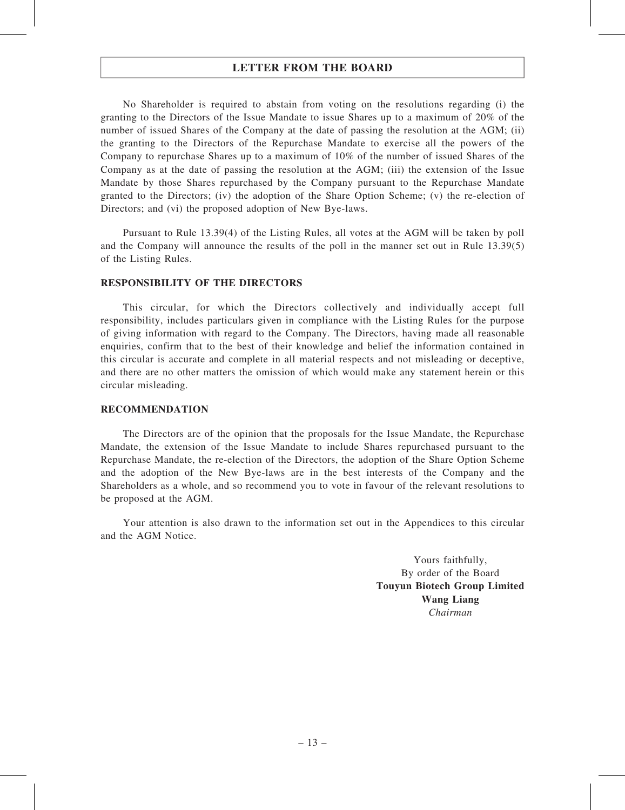No Shareholder is required to abstain from voting on the resolutions regarding (i) the granting to the Directors of the Issue Mandate to issue Shares up to a maximum of 20% of the number of issued Shares of the Company at the date of passing the resolution at the AGM; (ii) the granting to the Directors of the Repurchase Mandate to exercise all the powers of the Company to repurchase Shares up to a maximum of 10% of the number of issued Shares of the Company as at the date of passing the resolution at the AGM; (iii) the extension of the Issue Mandate by those Shares repurchased by the Company pursuant to the Repurchase Mandate granted to the Directors; (iv) the adoption of the Share Option Scheme; (v) the re-election of Directors; and (vi) the proposed adoption of New Bye-laws.

Pursuant to Rule 13.39(4) of the Listing Rules, all votes at the AGM will be taken by poll and the Company will announce the results of the poll in the manner set out in Rule 13.39(5) of the Listing Rules.

#### RESPONSIBILITY OF THE DIRECTORS

This circular, for which the Directors collectively and individually accept full responsibility, includes particulars given in compliance with the Listing Rules for the purpose of giving information with regard to the Company. The Directors, having made all reasonable enquiries, confirm that to the best of their knowledge and belief the information contained in this circular is accurate and complete in all material respects and not misleading or deceptive, and there are no other matters the omission of which would make any statement herein or this circular misleading.

#### RECOMMENDATION

The Directors are of the opinion that the proposals for the Issue Mandate, the Repurchase Mandate, the extension of the Issue Mandate to include Shares repurchased pursuant to the Repurchase Mandate, the re-election of the Directors, the adoption of the Share Option Scheme and the adoption of the New Bye-laws are in the best interests of the Company and the Shareholders as a whole, and so recommend you to vote in favour of the relevant resolutions to be proposed at the AGM.

Your attention is also drawn to the information set out in the Appendices to this circular and the AGM Notice.

> Yours faithfully, By order of the Board Touyun Biotech Group Limited Wang Liang Chairman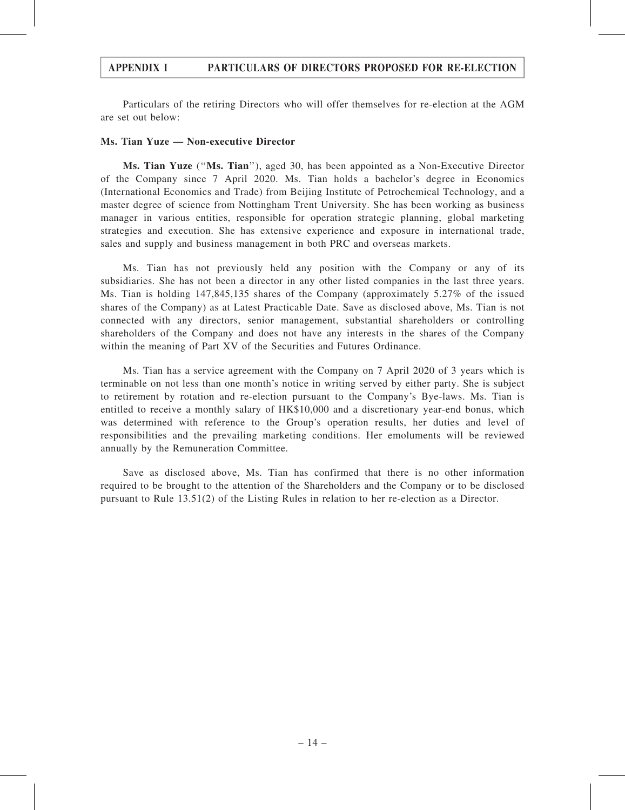Particulars of the retiring Directors who will offer themselves for re-election at the AGM are set out below:

#### Ms. Tian Yuze — Non-executive Director

Ms. Tian Yuze (''Ms. Tian''), aged 30, has been appointed as a Non-Executive Director of the Company since 7 April 2020. Ms. Tian holds a bachelor's degree in Economics (International Economics and Trade) from Beijing Institute of Petrochemical Technology, and a master degree of science from Nottingham Trent University. She has been working as business manager in various entities, responsible for operation strategic planning, global marketing strategies and execution. She has extensive experience and exposure in international trade, sales and supply and business management in both PRC and overseas markets.

Ms. Tian has not previously held any position with the Company or any of its subsidiaries. She has not been a director in any other listed companies in the last three years. Ms. Tian is holding 147,845,135 shares of the Company (approximately 5.27% of the issued shares of the Company) as at Latest Practicable Date. Save as disclosed above, Ms. Tian is not connected with any directors, senior management, substantial shareholders or controlling shareholders of the Company and does not have any interests in the shares of the Company within the meaning of Part XV of the Securities and Futures Ordinance.

Ms. Tian has a service agreement with the Company on 7 April 2020 of 3 years which is terminable on not less than one month's notice in writing served by either party. She is subject to retirement by rotation and re-election pursuant to the Company's Bye-laws. Ms. Tian is entitled to receive a monthly salary of HK\$10,000 and a discretionary year-end bonus, which was determined with reference to the Group's operation results, her duties and level of responsibilities and the prevailing marketing conditions. Her emoluments will be reviewed annually by the Remuneration Committee.

Save as disclosed above, Ms. Tian has confirmed that there is no other information required to be brought to the attention of the Shareholders and the Company or to be disclosed pursuant to Rule 13.51(2) of the Listing Rules in relation to her re-election as a Director.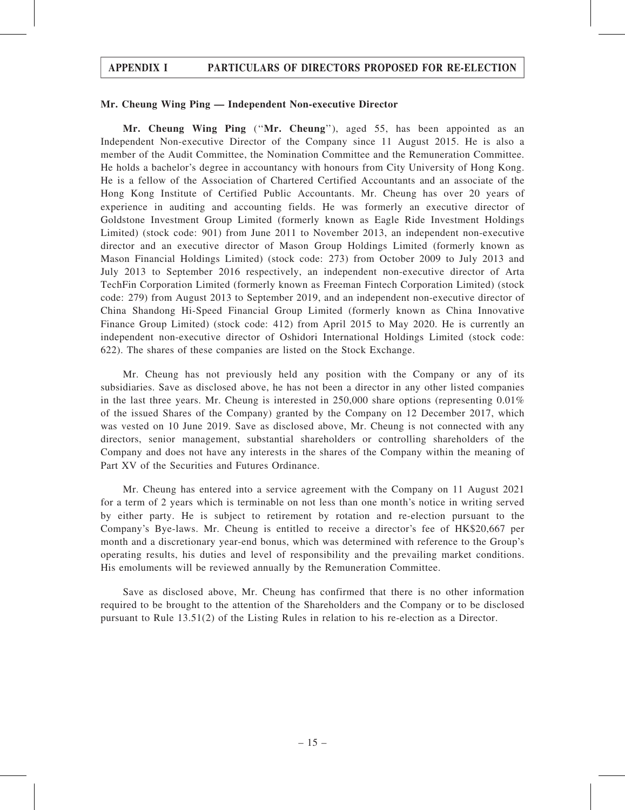#### Mr. Cheung Wing Ping — Independent Non-executive Director

Mr. Cheung Wing Ping ("Mr. Cheung"), aged 55, has been appointed as an Independent Non-executive Director of the Company since 11 August 2015. He is also a member of the Audit Committee, the Nomination Committee and the Remuneration Committee. He holds a bachelor's degree in accountancy with honours from City University of Hong Kong. He is a fellow of the Association of Chartered Certified Accountants and an associate of the Hong Kong Institute of Certified Public Accountants. Mr. Cheung has over 20 years of experience in auditing and accounting fields. He was formerly an executive director of Goldstone Investment Group Limited (formerly known as Eagle Ride Investment Holdings Limited) (stock code: 901) from June 2011 to November 2013, an independent non-executive director and an executive director of Mason Group Holdings Limited (formerly known as Mason Financial Holdings Limited) (stock code: 273) from October 2009 to July 2013 and July 2013 to September 2016 respectively, an independent non-executive director of Arta TechFin Corporation Limited (formerly known as Freeman Fintech Corporation Limited) (stock code: 279) from August 2013 to September 2019, and an independent non-executive director of China Shandong Hi-Speed Financial Group Limited (formerly known as China Innovative Finance Group Limited) (stock code: 412) from April 2015 to May 2020. He is currently an independent non-executive director of Oshidori International Holdings Limited (stock code: 622). The shares of these companies are listed on the Stock Exchange.

Mr. Cheung has not previously held any position with the Company or any of its subsidiaries. Save as disclosed above, he has not been a director in any other listed companies in the last three years. Mr. Cheung is interested in 250,000 share options (representing 0.01% of the issued Shares of the Company) granted by the Company on 12 December 2017, which was vested on 10 June 2019. Save as disclosed above, Mr. Cheung is not connected with any directors, senior management, substantial shareholders or controlling shareholders of the Company and does not have any interests in the shares of the Company within the meaning of Part XV of the Securities and Futures Ordinance.

Mr. Cheung has entered into a service agreement with the Company on 11 August 2021 for a term of 2 years which is terminable on not less than one month's notice in writing served by either party. He is subject to retirement by rotation and re-election pursuant to the Company's Bye-laws. Mr. Cheung is entitled to receive a director's fee of HK\$20,667 per month and a discretionary year-end bonus, which was determined with reference to the Group's operating results, his duties and level of responsibility and the prevailing market conditions. His emoluments will be reviewed annually by the Remuneration Committee.

Save as disclosed above, Mr. Cheung has confirmed that there is no other information required to be brought to the attention of the Shareholders and the Company or to be disclosed pursuant to Rule 13.51(2) of the Listing Rules in relation to his re-election as a Director.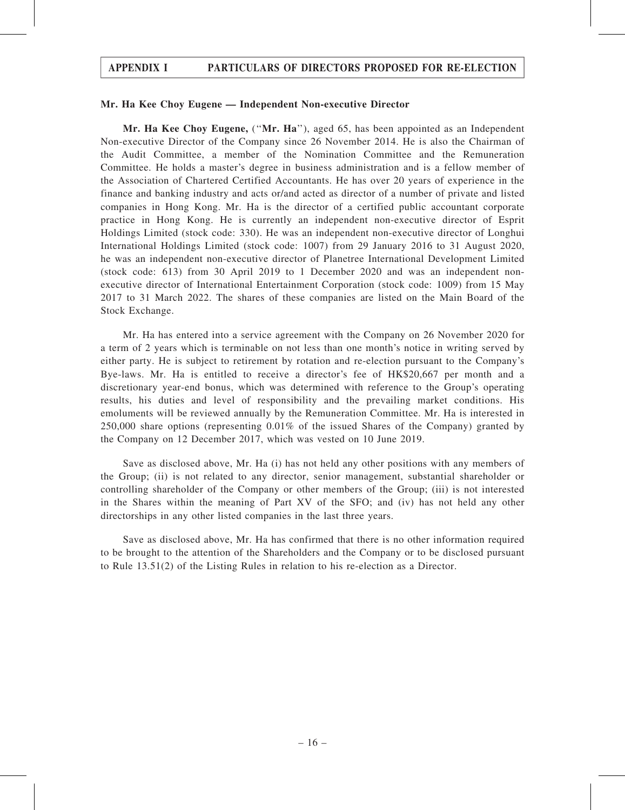#### Mr. Ha Kee Choy Eugene — Independent Non-executive Director

Mr. Ha Kee Choy Eugene, ("Mr. Ha"), aged 65, has been appointed as an Independent Non-executive Director of the Company since 26 November 2014. He is also the Chairman of the Audit Committee, a member of the Nomination Committee and the Remuneration Committee. He holds a master's degree in business administration and is a fellow member of the Association of Chartered Certified Accountants. He has over 20 years of experience in the finance and banking industry and acts or/and acted as director of a number of private and listed companies in Hong Kong. Mr. Ha is the director of a certified public accountant corporate practice in Hong Kong. He is currently an independent non-executive director of Esprit Holdings Limited (stock code: 330). He was an independent non-executive director of Longhui International Holdings Limited (stock code: 1007) from 29 January 2016 to 31 August 2020, he was an independent non-executive director of Planetree International Development Limited (stock code: 613) from 30 April 2019 to 1 December 2020 and was an independent nonexecutive director of International Entertainment Corporation (stock code: 1009) from 15 May 2017 to 31 March 2022. The shares of these companies are listed on the Main Board of the Stock Exchange.

Mr. Ha has entered into a service agreement with the Company on 26 November 2020 for a term of 2 years which is terminable on not less than one month's notice in writing served by either party. He is subject to retirement by rotation and re-election pursuant to the Company's Bye-laws. Mr. Ha is entitled to receive a director's fee of HK\$20,667 per month and a discretionary year-end bonus, which was determined with reference to the Group's operating results, his duties and level of responsibility and the prevailing market conditions. His emoluments will be reviewed annually by the Remuneration Committee. Mr. Ha is interested in 250,000 share options (representing 0.01% of the issued Shares of the Company) granted by the Company on 12 December 2017, which was vested on 10 June 2019.

Save as disclosed above, Mr. Ha (i) has not held any other positions with any members of the Group; (ii) is not related to any director, senior management, substantial shareholder or controlling shareholder of the Company or other members of the Group; (iii) is not interested in the Shares within the meaning of Part XV of the SFO; and (iv) has not held any other directorships in any other listed companies in the last three years.

Save as disclosed above, Mr. Ha has confirmed that there is no other information required to be brought to the attention of the Shareholders and the Company or to be disclosed pursuant to Rule 13.51(2) of the Listing Rules in relation to his re-election as a Director.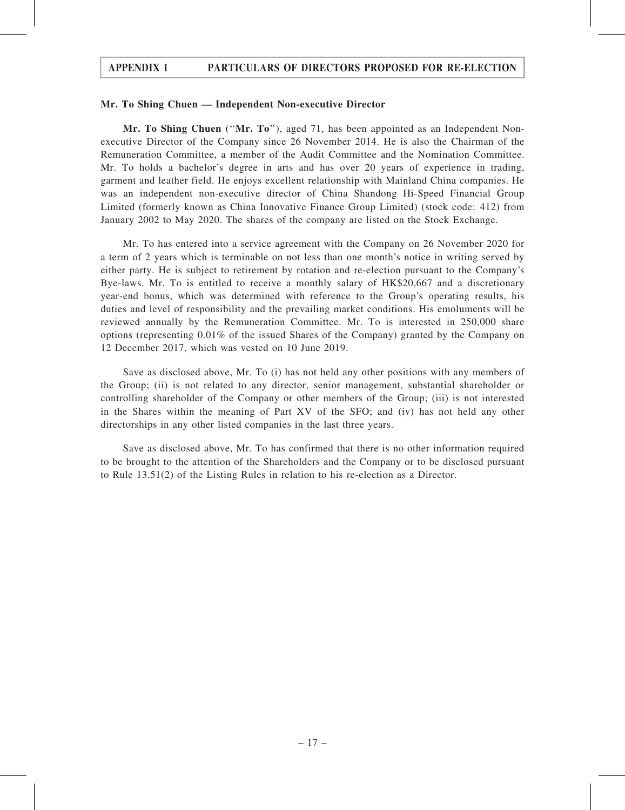#### Mr. To Shing Chuen — Independent Non-executive Director

Mr. To Shing Chuen ("Mr. To"), aged 71, has been appointed as an Independent Nonexecutive Director of the Company since 26 November 2014. He is also the Chairman of the Remuneration Committee, a member of the Audit Committee and the Nomination Committee. Mr. To holds a bachelor's degree in arts and has over 20 years of experience in trading, garment and leather field. He enjoys excellent relationship with Mainland China companies. He was an independent non-executive director of China Shandong Hi-Speed Financial Group Limited (formerly known as China Innovative Finance Group Limited) (stock code: 412) from January 2002 to May 2020. The shares of the company are listed on the Stock Exchange.

Mr. To has entered into a service agreement with the Company on 26 November 2020 for a term of 2 years which is terminable on not less than one month's notice in writing served by either party. He is subject to retirement by rotation and re-election pursuant to the Company's Bye-laws. Mr. To is entitled to receive a monthly salary of HK\$20,667 and a discretionary year-end bonus, which was determined with reference to the Group's operating results, his duties and level of responsibility and the prevailing market conditions. His emoluments will be reviewed annually by the Remuneration Committee. Mr. To is interested in 250,000 share options (representing 0.01% of the issued Shares of the Company) granted by the Company on 12 December 2017, which was vested on 10 June 2019.

Save as disclosed above, Mr. To (i) has not held any other positions with any members of the Group; (ii) is not related to any director, senior management, substantial shareholder or controlling shareholder of the Company or other members of the Group; (iii) is not interested in the Shares within the meaning of Part XV of the SFO; and (iv) has not held any other directorships in any other listed companies in the last three years.

Save as disclosed above, Mr. To has confirmed that there is no other information required to be brought to the attention of the Shareholders and the Company or to be disclosed pursuant to Rule 13.51(2) of the Listing Rules in relation to his re-election as a Director.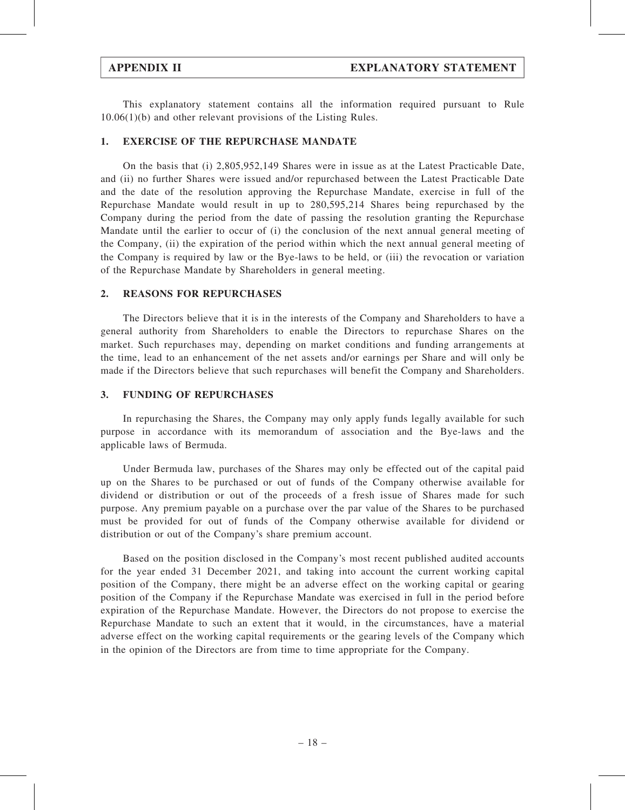This explanatory statement contains all the information required pursuant to Rule 10.06(1)(b) and other relevant provisions of the Listing Rules.

### 1. EXERCISE OF THE REPURCHASE MANDATE

On the basis that (i) 2,805,952,149 Shares were in issue as at the Latest Practicable Date, and (ii) no further Shares were issued and/or repurchased between the Latest Practicable Date and the date of the resolution approving the Repurchase Mandate, exercise in full of the Repurchase Mandate would result in up to 280,595,214 Shares being repurchased by the Company during the period from the date of passing the resolution granting the Repurchase Mandate until the earlier to occur of (i) the conclusion of the next annual general meeting of the Company, (ii) the expiration of the period within which the next annual general meeting of the Company is required by law or the Bye-laws to be held, or (iii) the revocation or variation of the Repurchase Mandate by Shareholders in general meeting.

#### 2. REASONS FOR REPURCHASES

The Directors believe that it is in the interests of the Company and Shareholders to have a general authority from Shareholders to enable the Directors to repurchase Shares on the market. Such repurchases may, depending on market conditions and funding arrangements at the time, lead to an enhancement of the net assets and/or earnings per Share and will only be made if the Directors believe that such repurchases will benefit the Company and Shareholders.

#### 3. FUNDING OF REPURCHASES

In repurchasing the Shares, the Company may only apply funds legally available for such purpose in accordance with its memorandum of association and the Bye-laws and the applicable laws of Bermuda.

Under Bermuda law, purchases of the Shares may only be effected out of the capital paid up on the Shares to be purchased or out of funds of the Company otherwise available for dividend or distribution or out of the proceeds of a fresh issue of Shares made for such purpose. Any premium payable on a purchase over the par value of the Shares to be purchased must be provided for out of funds of the Company otherwise available for dividend or distribution or out of the Company's share premium account.

Based on the position disclosed in the Company's most recent published audited accounts for the year ended 31 December 2021, and taking into account the current working capital position of the Company, there might be an adverse effect on the working capital or gearing position of the Company if the Repurchase Mandate was exercised in full in the period before expiration of the Repurchase Mandate. However, the Directors do not propose to exercise the Repurchase Mandate to such an extent that it would, in the circumstances, have a material adverse effect on the working capital requirements or the gearing levels of the Company which in the opinion of the Directors are from time to time appropriate for the Company.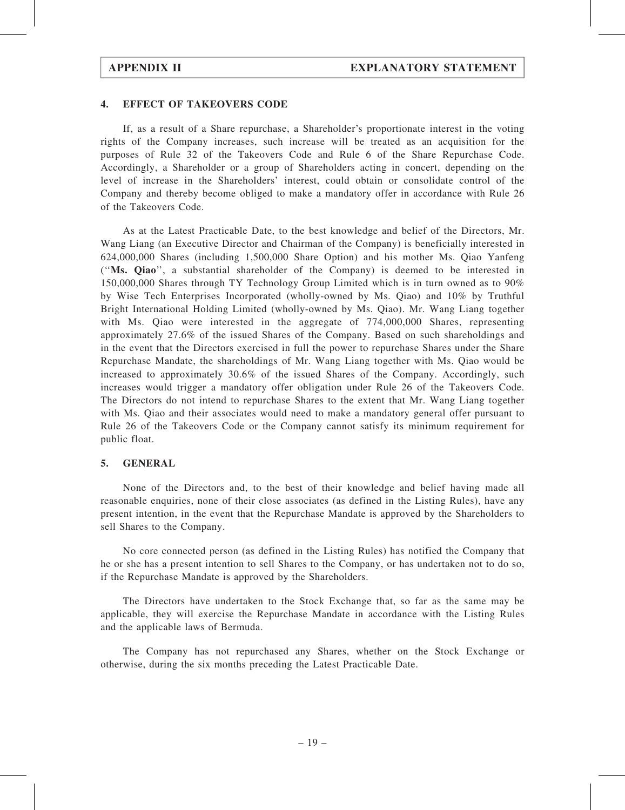#### 4. EFFECT OF TAKEOVERS CODE

If, as a result of a Share repurchase, a Shareholder's proportionate interest in the voting rights of the Company increases, such increase will be treated as an acquisition for the purposes of Rule 32 of the Takeovers Code and Rule 6 of the Share Repurchase Code. Accordingly, a Shareholder or a group of Shareholders acting in concert, depending on the level of increase in the Shareholders' interest, could obtain or consolidate control of the Company and thereby become obliged to make a mandatory offer in accordance with Rule 26 of the Takeovers Code.

As at the Latest Practicable Date, to the best knowledge and belief of the Directors, Mr. Wang Liang (an Executive Director and Chairman of the Company) is beneficially interested in 624,000,000 Shares (including 1,500,000 Share Option) and his mother Ms. Qiao Yanfeng (''Ms. Qiao'', a substantial shareholder of the Company) is deemed to be interested in 150,000,000 Shares through TY Technology Group Limited which is in turn owned as to 90% by Wise Tech Enterprises Incorporated (wholly-owned by Ms. Qiao) and 10% by Truthful Bright International Holding Limited (wholly-owned by Ms. Qiao). Mr. Wang Liang together with Ms. Qiao were interested in the aggregate of 774,000,000 Shares, representing approximately 27.6% of the issued Shares of the Company. Based on such shareholdings and in the event that the Directors exercised in full the power to repurchase Shares under the Share Repurchase Mandate, the shareholdings of Mr. Wang Liang together with Ms. Qiao would be increased to approximately 30.6% of the issued Shares of the Company. Accordingly, such increases would trigger a mandatory offer obligation under Rule 26 of the Takeovers Code. The Directors do not intend to repurchase Shares to the extent that Mr. Wang Liang together with Ms. Qiao and their associates would need to make a mandatory general offer pursuant to Rule 26 of the Takeovers Code or the Company cannot satisfy its minimum requirement for public float.

#### 5. GENERAL

None of the Directors and, to the best of their knowledge and belief having made all reasonable enquiries, none of their close associates (as defined in the Listing Rules), have any present intention, in the event that the Repurchase Mandate is approved by the Shareholders to sell Shares to the Company.

No core connected person (as defined in the Listing Rules) has notified the Company that he or she has a present intention to sell Shares to the Company, or has undertaken not to do so, if the Repurchase Mandate is approved by the Shareholders.

The Directors have undertaken to the Stock Exchange that, so far as the same may be applicable, they will exercise the Repurchase Mandate in accordance with the Listing Rules and the applicable laws of Bermuda.

The Company has not repurchased any Shares, whether on the Stock Exchange or otherwise, during the six months preceding the Latest Practicable Date.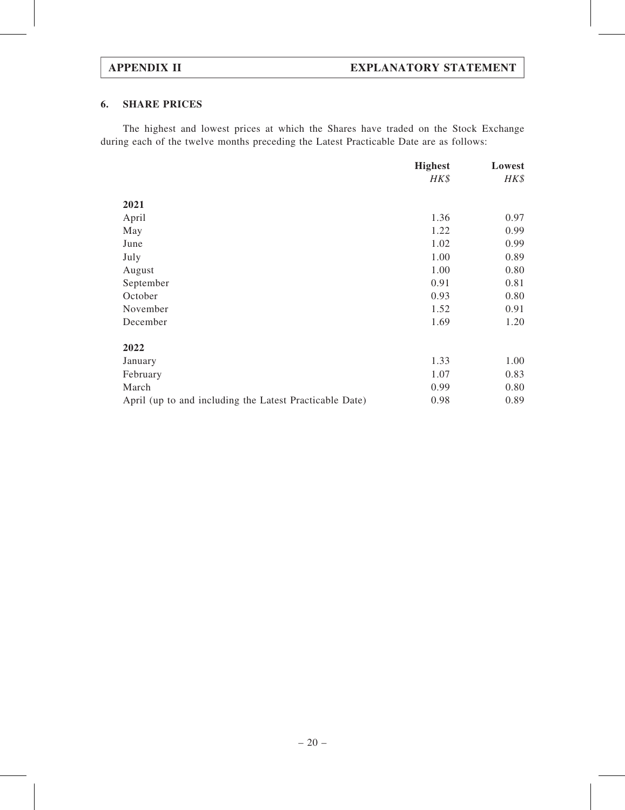## 6. SHARE PRICES

The highest and lowest prices at which the Shares have traded on the Stock Exchange during each of the twelve months preceding the Latest Practicable Date are as follows:

|                                                         | <b>Highest</b> | Lowest |
|---------------------------------------------------------|----------------|--------|
|                                                         | HK\$           | HK\$   |
| 2021                                                    |                |        |
| April                                                   | 1.36           | 0.97   |
| May                                                     | 1.22           | 0.99   |
| June                                                    | 1.02           | 0.99   |
| July                                                    | 1.00           | 0.89   |
| August                                                  | 1.00           | 0.80   |
| September                                               | 0.91           | 0.81   |
| October                                                 | 0.93           | 0.80   |
| November                                                | 1.52           | 0.91   |
| December                                                | 1.69           | 1.20   |
| 2022                                                    |                |        |
| January                                                 | 1.33           | 1.00   |
| February                                                | 1.07           | 0.83   |
| March                                                   | 0.99           | 0.80   |
| April (up to and including the Latest Practicable Date) | 0.98           | 0.89   |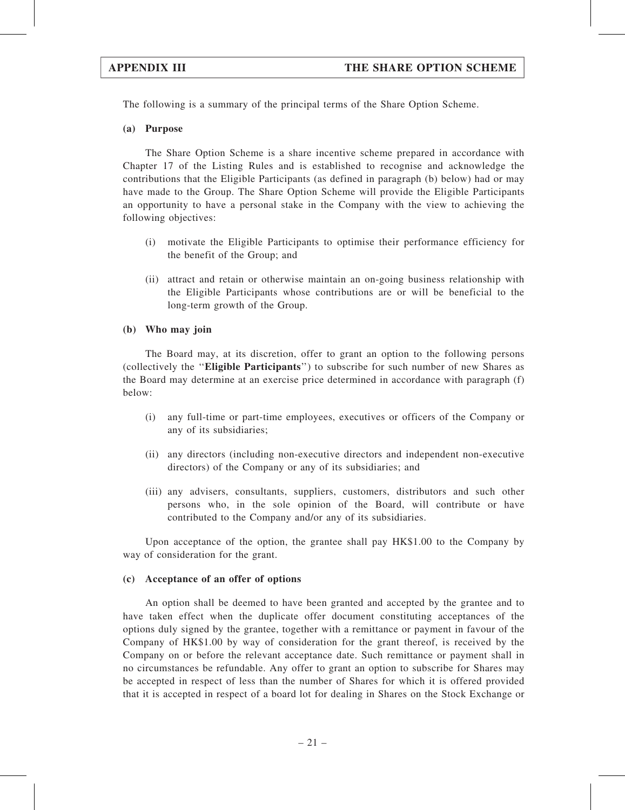The following is a summary of the principal terms of the Share Option Scheme.

(a) Purpose

The Share Option Scheme is a share incentive scheme prepared in accordance with Chapter 17 of the Listing Rules and is established to recognise and acknowledge the contributions that the Eligible Participants (as defined in paragraph (b) below) had or may have made to the Group. The Share Option Scheme will provide the Eligible Participants an opportunity to have a personal stake in the Company with the view to achieving the following objectives:

- (i) motivate the Eligible Participants to optimise their performance efficiency for the benefit of the Group; and
- (ii) attract and retain or otherwise maintain an on-going business relationship with the Eligible Participants whose contributions are or will be beneficial to the long-term growth of the Group.

#### (b) Who may join

The Board may, at its discretion, offer to grant an option to the following persons (collectively the ''Eligible Participants'') to subscribe for such number of new Shares as the Board may determine at an exercise price determined in accordance with paragraph (f) below:

- (i) any full-time or part-time employees, executives or officers of the Company or any of its subsidiaries;
- (ii) any directors (including non-executive directors and independent non-executive directors) of the Company or any of its subsidiaries; and
- (iii) any advisers, consultants, suppliers, customers, distributors and such other persons who, in the sole opinion of the Board, will contribute or have contributed to the Company and/or any of its subsidiaries.

Upon acceptance of the option, the grantee shall pay HK\$1.00 to the Company by way of consideration for the grant.

#### (c) Acceptance of an offer of options

An option shall be deemed to have been granted and accepted by the grantee and to have taken effect when the duplicate offer document constituting acceptances of the options duly signed by the grantee, together with a remittance or payment in favour of the Company of HK\$1.00 by way of consideration for the grant thereof, is received by the Company on or before the relevant acceptance date. Such remittance or payment shall in no circumstances be refundable. Any offer to grant an option to subscribe for Shares may be accepted in respect of less than the number of Shares for which it is offered provided that it is accepted in respect of a board lot for dealing in Shares on the Stock Exchange or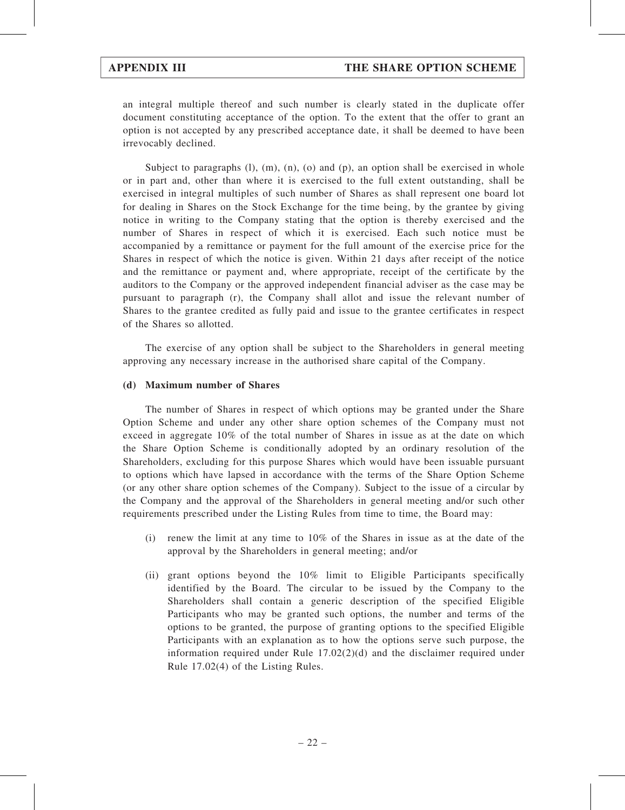an integral multiple thereof and such number is clearly stated in the duplicate offer document constituting acceptance of the option. To the extent that the offer to grant an option is not accepted by any prescribed acceptance date, it shall be deemed to have been irrevocably declined.

Subject to paragraphs  $(l)$ ,  $(m)$ ,  $(n)$ ,  $(o)$  and  $(p)$ , an option shall be exercised in whole or in part and, other than where it is exercised to the full extent outstanding, shall be exercised in integral multiples of such number of Shares as shall represent one board lot for dealing in Shares on the Stock Exchange for the time being, by the grantee by giving notice in writing to the Company stating that the option is thereby exercised and the number of Shares in respect of which it is exercised. Each such notice must be accompanied by a remittance or payment for the full amount of the exercise price for the Shares in respect of which the notice is given. Within 21 days after receipt of the notice and the remittance or payment and, where appropriate, receipt of the certificate by the auditors to the Company or the approved independent financial adviser as the case may be pursuant to paragraph (r), the Company shall allot and issue the relevant number of Shares to the grantee credited as fully paid and issue to the grantee certificates in respect of the Shares so allotted.

The exercise of any option shall be subject to the Shareholders in general meeting approving any necessary increase in the authorised share capital of the Company.

#### (d) Maximum number of Shares

The number of Shares in respect of which options may be granted under the Share Option Scheme and under any other share option schemes of the Company must not exceed in aggregate 10% of the total number of Shares in issue as at the date on which the Share Option Scheme is conditionally adopted by an ordinary resolution of the Shareholders, excluding for this purpose Shares which would have been issuable pursuant to options which have lapsed in accordance with the terms of the Share Option Scheme (or any other share option schemes of the Company). Subject to the issue of a circular by the Company and the approval of the Shareholders in general meeting and/or such other requirements prescribed under the Listing Rules from time to time, the Board may:

- (i) renew the limit at any time to 10% of the Shares in issue as at the date of the approval by the Shareholders in general meeting; and/or
- (ii) grant options beyond the 10% limit to Eligible Participants specifically identified by the Board. The circular to be issued by the Company to the Shareholders shall contain a generic description of the specified Eligible Participants who may be granted such options, the number and terms of the options to be granted, the purpose of granting options to the specified Eligible Participants with an explanation as to how the options serve such purpose, the information required under Rule  $17.02(2)(d)$  and the disclaimer required under Rule 17.02(4) of the Listing Rules.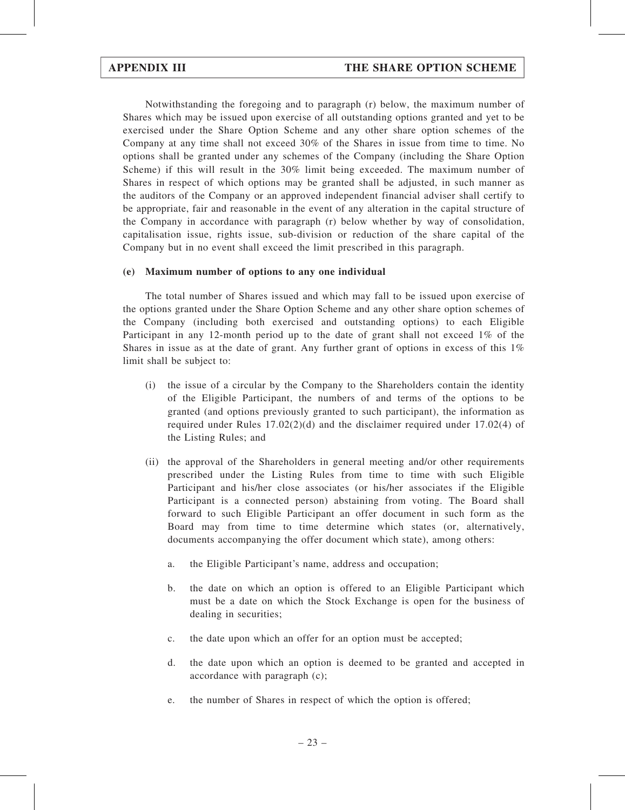Notwithstanding the foregoing and to paragraph (r) below, the maximum number of Shares which may be issued upon exercise of all outstanding options granted and yet to be exercised under the Share Option Scheme and any other share option schemes of the Company at any time shall not exceed 30% of the Shares in issue from time to time. No options shall be granted under any schemes of the Company (including the Share Option Scheme) if this will result in the 30% limit being exceeded. The maximum number of Shares in respect of which options may be granted shall be adjusted, in such manner as the auditors of the Company or an approved independent financial adviser shall certify to be appropriate, fair and reasonable in the event of any alteration in the capital structure of the Company in accordance with paragraph (r) below whether by way of consolidation, capitalisation issue, rights issue, sub-division or reduction of the share capital of the Company but in no event shall exceed the limit prescribed in this paragraph.

#### (e) Maximum number of options to any one individual

The total number of Shares issued and which may fall to be issued upon exercise of the options granted under the Share Option Scheme and any other share option schemes of the Company (including both exercised and outstanding options) to each Eligible Participant in any 12-month period up to the date of grant shall not exceed 1% of the Shares in issue as at the date of grant. Any further grant of options in excess of this 1% limit shall be subject to:

- (i) the issue of a circular by the Company to the Shareholders contain the identity of the Eligible Participant, the numbers of and terms of the options to be granted (and options previously granted to such participant), the information as required under Rules  $17.02(2)(d)$  and the disclaimer required under  $17.02(4)$  of the Listing Rules; and
- (ii) the approval of the Shareholders in general meeting and/or other requirements prescribed under the Listing Rules from time to time with such Eligible Participant and his/her close associates (or his/her associates if the Eligible Participant is a connected person) abstaining from voting. The Board shall forward to such Eligible Participant an offer document in such form as the Board may from time to time determine which states (or, alternatively, documents accompanying the offer document which state), among others:
	- a. the Eligible Participant's name, address and occupation;
	- b. the date on which an option is offered to an Eligible Participant which must be a date on which the Stock Exchange is open for the business of dealing in securities;
	- c. the date upon which an offer for an option must be accepted;
	- d. the date upon which an option is deemed to be granted and accepted in accordance with paragraph (c);
	- e. the number of Shares in respect of which the option is offered;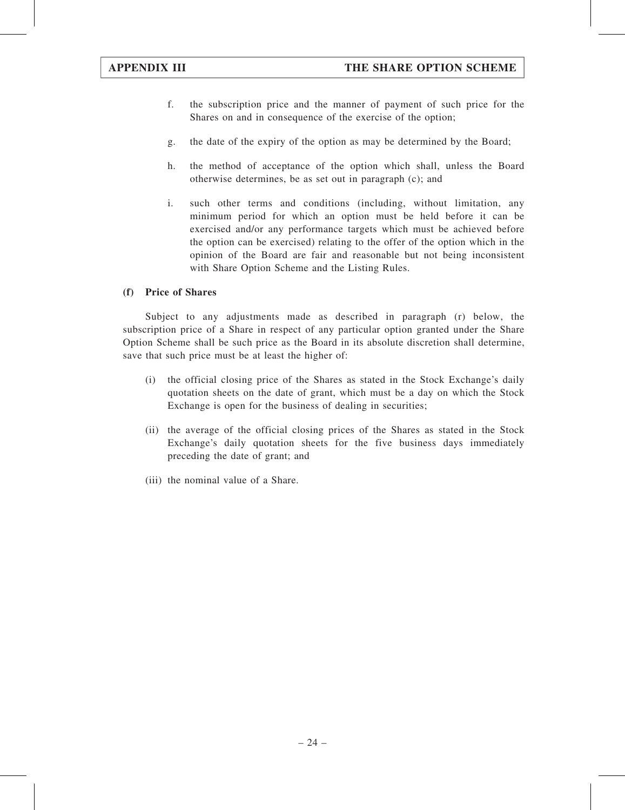- f. the subscription price and the manner of payment of such price for the Shares on and in consequence of the exercise of the option;
- g. the date of the expiry of the option as may be determined by the Board;
- h. the method of acceptance of the option which shall, unless the Board otherwise determines, be as set out in paragraph (c); and
- i. such other terms and conditions (including, without limitation, any minimum period for which an option must be held before it can be exercised and/or any performance targets which must be achieved before the option can be exercised) relating to the offer of the option which in the opinion of the Board are fair and reasonable but not being inconsistent with Share Option Scheme and the Listing Rules.

## (f) Price of Shares

Subject to any adjustments made as described in paragraph (r) below, the subscription price of a Share in respect of any particular option granted under the Share Option Scheme shall be such price as the Board in its absolute discretion shall determine, save that such price must be at least the higher of:

- (i) the official closing price of the Shares as stated in the Stock Exchange's daily quotation sheets on the date of grant, which must be a day on which the Stock Exchange is open for the business of dealing in securities;
- (ii) the average of the official closing prices of the Shares as stated in the Stock Exchange's daily quotation sheets for the five business days immediately preceding the date of grant; and
- (iii) the nominal value of a Share.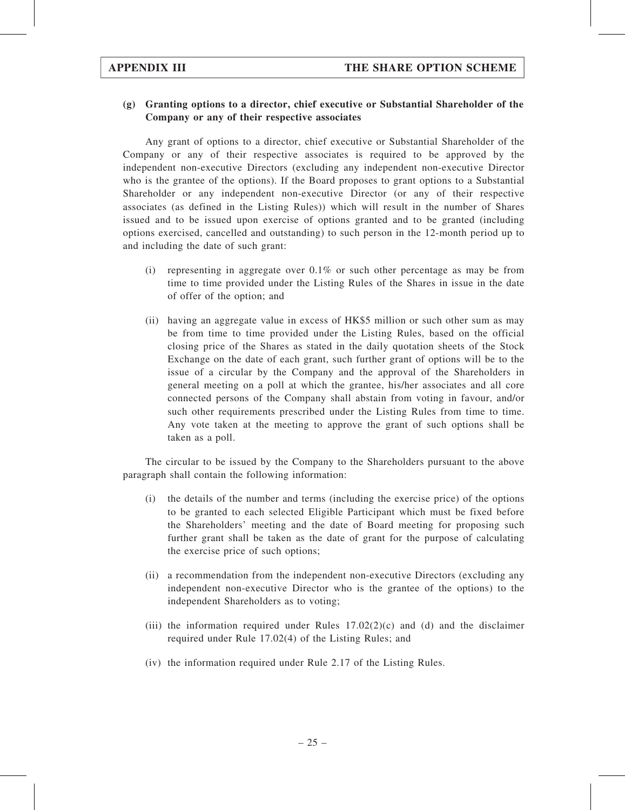### (g) Granting options to a director, chief executive or Substantial Shareholder of the Company or any of their respective associates

Any grant of options to a director, chief executive or Substantial Shareholder of the Company or any of their respective associates is required to be approved by the independent non-executive Directors (excluding any independent non-executive Director who is the grantee of the options). If the Board proposes to grant options to a Substantial Shareholder or any independent non-executive Director (or any of their respective associates (as defined in the Listing Rules)) which will result in the number of Shares issued and to be issued upon exercise of options granted and to be granted (including options exercised, cancelled and outstanding) to such person in the 12-month period up to and including the date of such grant:

- (i) representing in aggregate over  $0.1\%$  or such other percentage as may be from time to time provided under the Listing Rules of the Shares in issue in the date of offer of the option; and
- (ii) having an aggregate value in excess of HK\$5 million or such other sum as may be from time to time provided under the Listing Rules, based on the official closing price of the Shares as stated in the daily quotation sheets of the Stock Exchange on the date of each grant, such further grant of options will be to the issue of a circular by the Company and the approval of the Shareholders in general meeting on a poll at which the grantee, his/her associates and all core connected persons of the Company shall abstain from voting in favour, and/or such other requirements prescribed under the Listing Rules from time to time. Any vote taken at the meeting to approve the grant of such options shall be taken as a poll.

The circular to be issued by the Company to the Shareholders pursuant to the above paragraph shall contain the following information:

- (i) the details of the number and terms (including the exercise price) of the options to be granted to each selected Eligible Participant which must be fixed before the Shareholders' meeting and the date of Board meeting for proposing such further grant shall be taken as the date of grant for the purpose of calculating the exercise price of such options;
- (ii) a recommendation from the independent non-executive Directors (excluding any independent non-executive Director who is the grantee of the options) to the independent Shareholders as to voting;
- (iii) the information required under Rules  $17.02(2)(c)$  and (d) and the disclaimer required under Rule 17.02(4) of the Listing Rules; and
- (iv) the information required under Rule 2.17 of the Listing Rules.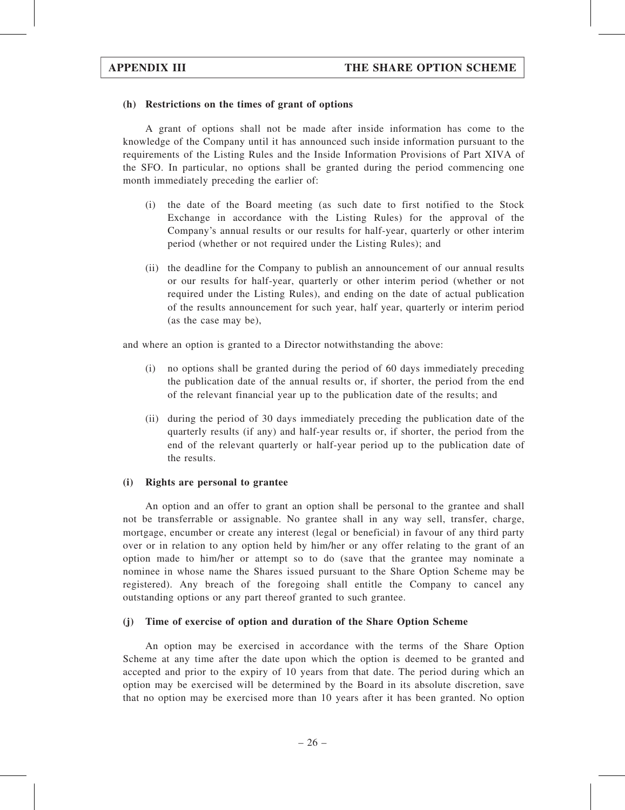#### (h) Restrictions on the times of grant of options

A grant of options shall not be made after inside information has come to the knowledge of the Company until it has announced such inside information pursuant to the requirements of the Listing Rules and the Inside Information Provisions of Part XIVA of the SFO. In particular, no options shall be granted during the period commencing one month immediately preceding the earlier of:

- (i) the date of the Board meeting (as such date to first notified to the Stock Exchange in accordance with the Listing Rules) for the approval of the Company's annual results or our results for half-year, quarterly or other interim period (whether or not required under the Listing Rules); and
- (ii) the deadline for the Company to publish an announcement of our annual results or our results for half-year, quarterly or other interim period (whether or not required under the Listing Rules), and ending on the date of actual publication of the results announcement for such year, half year, quarterly or interim period (as the case may be),

and where an option is granted to a Director notwithstanding the above:

- (i) no options shall be granted during the period of 60 days immediately preceding the publication date of the annual results or, if shorter, the period from the end of the relevant financial year up to the publication date of the results; and
- (ii) during the period of 30 days immediately preceding the publication date of the quarterly results (if any) and half-year results or, if shorter, the period from the end of the relevant quarterly or half-year period up to the publication date of the results.

#### (i) Rights are personal to grantee

An option and an offer to grant an option shall be personal to the grantee and shall not be transferrable or assignable. No grantee shall in any way sell, transfer, charge, mortgage, encumber or create any interest (legal or beneficial) in favour of any third party over or in relation to any option held by him/her or any offer relating to the grant of an option made to him/her or attempt so to do (save that the grantee may nominate a nominee in whose name the Shares issued pursuant to the Share Option Scheme may be registered). Any breach of the foregoing shall entitle the Company to cancel any outstanding options or any part thereof granted to such grantee.

### (j) Time of exercise of option and duration of the Share Option Scheme

An option may be exercised in accordance with the terms of the Share Option Scheme at any time after the date upon which the option is deemed to be granted and accepted and prior to the expiry of 10 years from that date. The period during which an option may be exercised will be determined by the Board in its absolute discretion, save that no option may be exercised more than 10 years after it has been granted. No option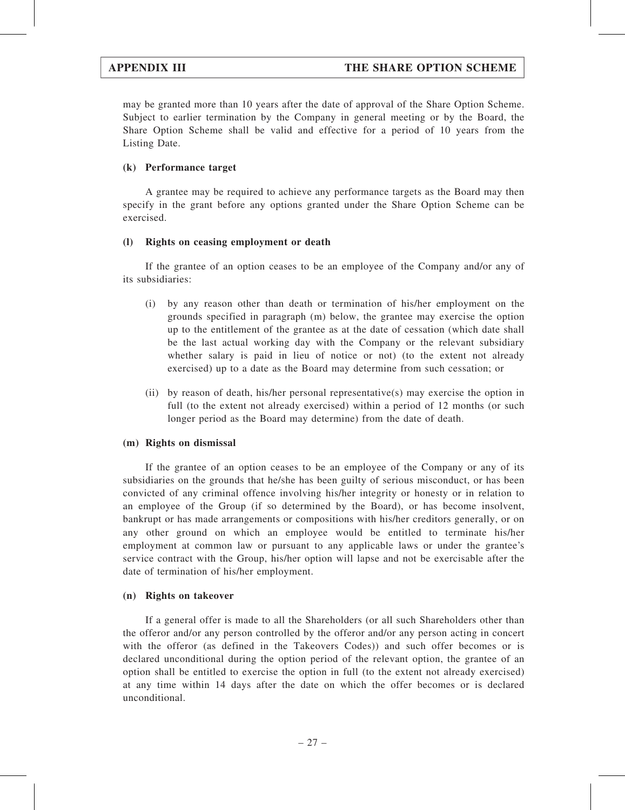may be granted more than 10 years after the date of approval of the Share Option Scheme. Subject to earlier termination by the Company in general meeting or by the Board, the Share Option Scheme shall be valid and effective for a period of 10 years from the Listing Date.

### (k) Performance target

A grantee may be required to achieve any performance targets as the Board may then specify in the grant before any options granted under the Share Option Scheme can be exercised.

#### (l) Rights on ceasing employment or death

If the grantee of an option ceases to be an employee of the Company and/or any of its subsidiaries:

- (i) by any reason other than death or termination of his/her employment on the grounds specified in paragraph (m) below, the grantee may exercise the option up to the entitlement of the grantee as at the date of cessation (which date shall be the last actual working day with the Company or the relevant subsidiary whether salary is paid in lieu of notice or not) (to the extent not already exercised) up to a date as the Board may determine from such cessation; or
- (ii) by reason of death, his/her personal representative(s) may exercise the option in full (to the extent not already exercised) within a period of 12 months (or such longer period as the Board may determine) from the date of death.

#### (m) Rights on dismissal

If the grantee of an option ceases to be an employee of the Company or any of its subsidiaries on the grounds that he/she has been guilty of serious misconduct, or has been convicted of any criminal offence involving his/her integrity or honesty or in relation to an employee of the Group (if so determined by the Board), or has become insolvent, bankrupt or has made arrangements or compositions with his/her creditors generally, or on any other ground on which an employee would be entitled to terminate his/her employment at common law or pursuant to any applicable laws or under the grantee's service contract with the Group, his/her option will lapse and not be exercisable after the date of termination of his/her employment.

#### (n) Rights on takeover

If a general offer is made to all the Shareholders (or all such Shareholders other than the offeror and/or any person controlled by the offeror and/or any person acting in concert with the offeror (as defined in the Takeovers Codes)) and such offer becomes or is declared unconditional during the option period of the relevant option, the grantee of an option shall be entitled to exercise the option in full (to the extent not already exercised) at any time within 14 days after the date on which the offer becomes or is declared unconditional.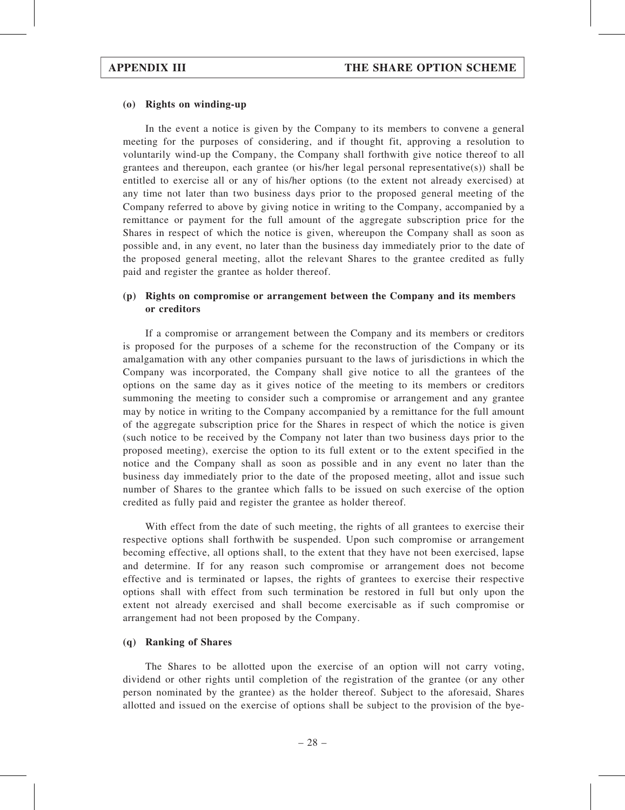#### (o) Rights on winding-up

In the event a notice is given by the Company to its members to convene a general meeting for the purposes of considering, and if thought fit, approving a resolution to voluntarily wind-up the Company, the Company shall forthwith give notice thereof to all grantees and thereupon, each grantee (or his/her legal personal representative(s)) shall be entitled to exercise all or any of his/her options (to the extent not already exercised) at any time not later than two business days prior to the proposed general meeting of the Company referred to above by giving notice in writing to the Company, accompanied by a remittance or payment for the full amount of the aggregate subscription price for the Shares in respect of which the notice is given, whereupon the Company shall as soon as possible and, in any event, no later than the business day immediately prior to the date of the proposed general meeting, allot the relevant Shares to the grantee credited as fully paid and register the grantee as holder thereof.

### (p) Rights on compromise or arrangement between the Company and its members or creditors

If a compromise or arrangement between the Company and its members or creditors is proposed for the purposes of a scheme for the reconstruction of the Company or its amalgamation with any other companies pursuant to the laws of jurisdictions in which the Company was incorporated, the Company shall give notice to all the grantees of the options on the same day as it gives notice of the meeting to its members or creditors summoning the meeting to consider such a compromise or arrangement and any grantee may by notice in writing to the Company accompanied by a remittance for the full amount of the aggregate subscription price for the Shares in respect of which the notice is given (such notice to be received by the Company not later than two business days prior to the proposed meeting), exercise the option to its full extent or to the extent specified in the notice and the Company shall as soon as possible and in any event no later than the business day immediately prior to the date of the proposed meeting, allot and issue such number of Shares to the grantee which falls to be issued on such exercise of the option credited as fully paid and register the grantee as holder thereof.

With effect from the date of such meeting, the rights of all grantees to exercise their respective options shall forthwith be suspended. Upon such compromise or arrangement becoming effective, all options shall, to the extent that they have not been exercised, lapse and determine. If for any reason such compromise or arrangement does not become effective and is terminated or lapses, the rights of grantees to exercise their respective options shall with effect from such termination be restored in full but only upon the extent not already exercised and shall become exercisable as if such compromise or arrangement had not been proposed by the Company.

#### (q) Ranking of Shares

The Shares to be allotted upon the exercise of an option will not carry voting, dividend or other rights until completion of the registration of the grantee (or any other person nominated by the grantee) as the holder thereof. Subject to the aforesaid, Shares allotted and issued on the exercise of options shall be subject to the provision of the bye-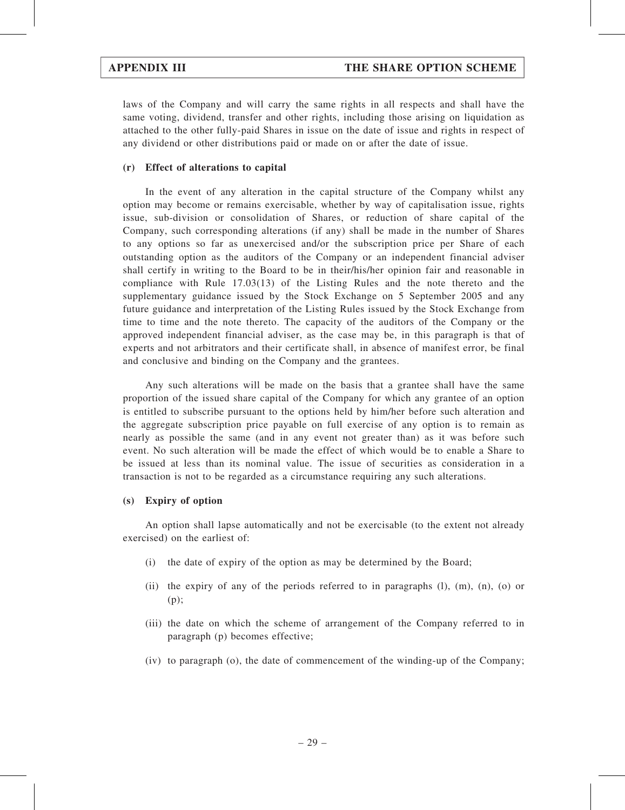laws of the Company and will carry the same rights in all respects and shall have the same voting, dividend, transfer and other rights, including those arising on liquidation as attached to the other fully-paid Shares in issue on the date of issue and rights in respect of any dividend or other distributions paid or made on or after the date of issue.

#### (r) Effect of alterations to capital

In the event of any alteration in the capital structure of the Company whilst any option may become or remains exercisable, whether by way of capitalisation issue, rights issue, sub-division or consolidation of Shares, or reduction of share capital of the Company, such corresponding alterations (if any) shall be made in the number of Shares to any options so far as unexercised and/or the subscription price per Share of each outstanding option as the auditors of the Company or an independent financial adviser shall certify in writing to the Board to be in their/his/her opinion fair and reasonable in compliance with Rule 17.03(13) of the Listing Rules and the note thereto and the supplementary guidance issued by the Stock Exchange on 5 September 2005 and any future guidance and interpretation of the Listing Rules issued by the Stock Exchange from time to time and the note thereto. The capacity of the auditors of the Company or the approved independent financial adviser, as the case may be, in this paragraph is that of experts and not arbitrators and their certificate shall, in absence of manifest error, be final and conclusive and binding on the Company and the grantees.

Any such alterations will be made on the basis that a grantee shall have the same proportion of the issued share capital of the Company for which any grantee of an option is entitled to subscribe pursuant to the options held by him/her before such alteration and the aggregate subscription price payable on full exercise of any option is to remain as nearly as possible the same (and in any event not greater than) as it was before such event. No such alteration will be made the effect of which would be to enable a Share to be issued at less than its nominal value. The issue of securities as consideration in a transaction is not to be regarded as a circumstance requiring any such alterations.

#### (s) Expiry of option

An option shall lapse automatically and not be exercisable (to the extent not already exercised) on the earliest of:

- (i) the date of expiry of the option as may be determined by the Board;
- (ii) the expiry of any of the periods referred to in paragraphs (l), (m), (n), (o) or (p);
- (iii) the date on which the scheme of arrangement of the Company referred to in paragraph (p) becomes effective;
- (iv) to paragraph (o), the date of commencement of the winding-up of the Company;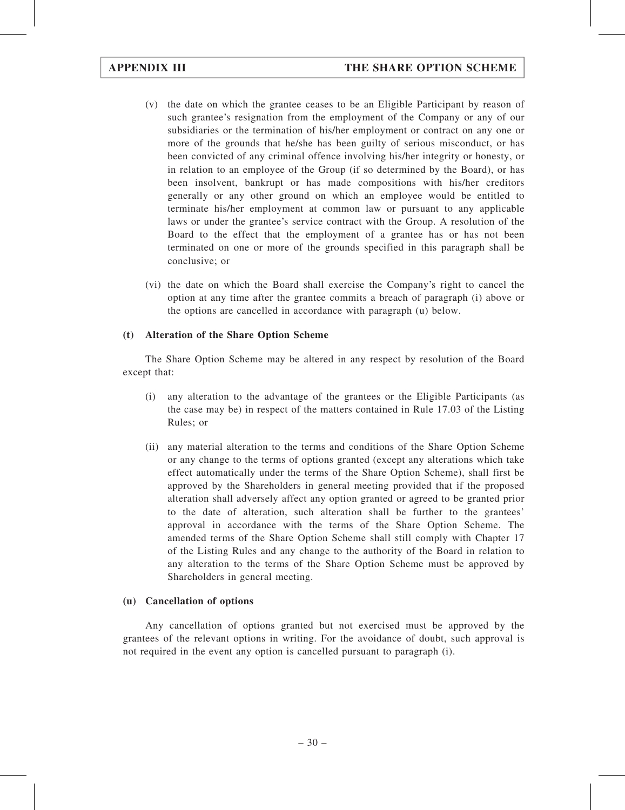- (v) the date on which the grantee ceases to be an Eligible Participant by reason of such grantee's resignation from the employment of the Company or any of our subsidiaries or the termination of his/her employment or contract on any one or more of the grounds that he/she has been guilty of serious misconduct, or has been convicted of any criminal offence involving his/her integrity or honesty, or in relation to an employee of the Group (if so determined by the Board), or has been insolvent, bankrupt or has made compositions with his/her creditors generally or any other ground on which an employee would be entitled to terminate his/her employment at common law or pursuant to any applicable laws or under the grantee's service contract with the Group. A resolution of the Board to the effect that the employment of a grantee has or has not been terminated on one or more of the grounds specified in this paragraph shall be conclusive; or
- (vi) the date on which the Board shall exercise the Company's right to cancel the option at any time after the grantee commits a breach of paragraph (i) above or the options are cancelled in accordance with paragraph (u) below.

### (t) Alteration of the Share Option Scheme

The Share Option Scheme may be altered in any respect by resolution of the Board except that:

- (i) any alteration to the advantage of the grantees or the Eligible Participants (as the case may be) in respect of the matters contained in Rule 17.03 of the Listing Rules; or
- (ii) any material alteration to the terms and conditions of the Share Option Scheme or any change to the terms of options granted (except any alterations which take effect automatically under the terms of the Share Option Scheme), shall first be approved by the Shareholders in general meeting provided that if the proposed alteration shall adversely affect any option granted or agreed to be granted prior to the date of alteration, such alteration shall be further to the grantees' approval in accordance with the terms of the Share Option Scheme. The amended terms of the Share Option Scheme shall still comply with Chapter 17 of the Listing Rules and any change to the authority of the Board in relation to any alteration to the terms of the Share Option Scheme must be approved by Shareholders in general meeting.

## (u) Cancellation of options

Any cancellation of options granted but not exercised must be approved by the grantees of the relevant options in writing. For the avoidance of doubt, such approval is not required in the event any option is cancelled pursuant to paragraph (i).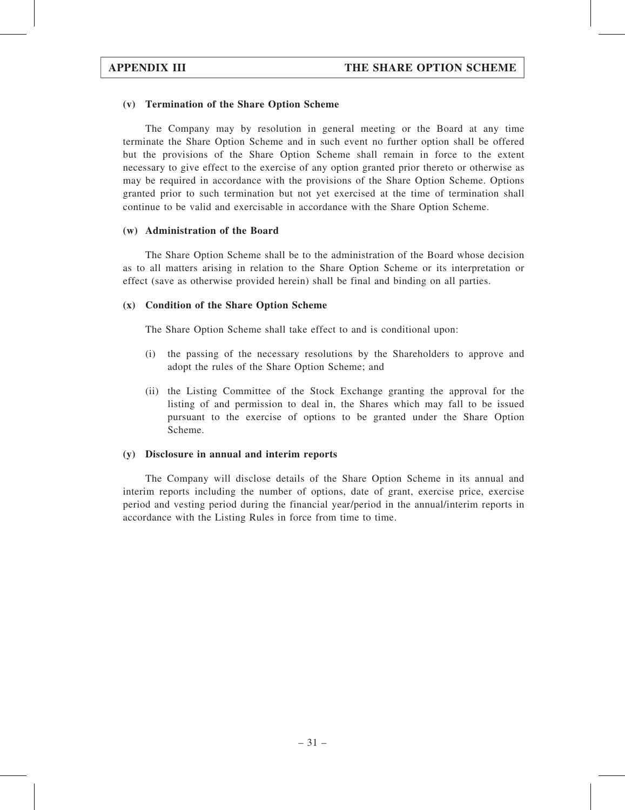### (v) Termination of the Share Option Scheme

The Company may by resolution in general meeting or the Board at any time terminate the Share Option Scheme and in such event no further option shall be offered but the provisions of the Share Option Scheme shall remain in force to the extent necessary to give effect to the exercise of any option granted prior thereto or otherwise as may be required in accordance with the provisions of the Share Option Scheme. Options granted prior to such termination but not yet exercised at the time of termination shall continue to be valid and exercisable in accordance with the Share Option Scheme.

#### (w) Administration of the Board

The Share Option Scheme shall be to the administration of the Board whose decision as to all matters arising in relation to the Share Option Scheme or its interpretation or effect (save as otherwise provided herein) shall be final and binding on all parties.

#### (x) Condition of the Share Option Scheme

The Share Option Scheme shall take effect to and is conditional upon:

- (i) the passing of the necessary resolutions by the Shareholders to approve and adopt the rules of the Share Option Scheme; and
- (ii) the Listing Committee of the Stock Exchange granting the approval for the listing of and permission to deal in, the Shares which may fall to be issued pursuant to the exercise of options to be granted under the Share Option Scheme.

### (y) Disclosure in annual and interim reports

The Company will disclose details of the Share Option Scheme in its annual and interim reports including the number of options, date of grant, exercise price, exercise period and vesting period during the financial year/period in the annual/interim reports in accordance with the Listing Rules in force from time to time.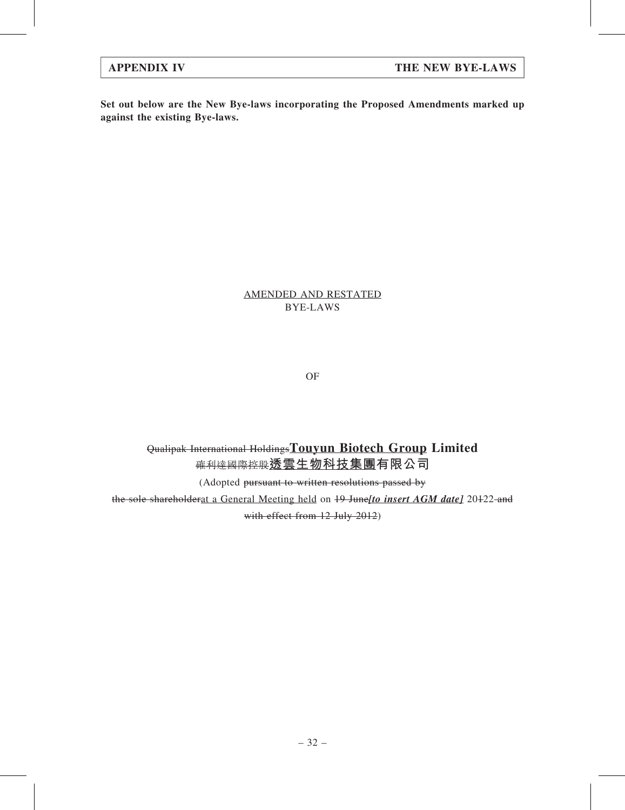Set out below are the New Bye-laws incorporating the Proposed Amendments marked up against the existing Bye-laws.

# AMENDED AND RESTATED BYE-LAWS

OF

Qualipak International HoldingsTouyun Biotech Group Limited 確利達國際控股透雲生物科技集團有限公司

(Adopted pursuant to written resolutions passed by

the sole shareholderat a General Meeting held on 19 June[to insert AGM date] 20122 and with effect from 12 July 2012)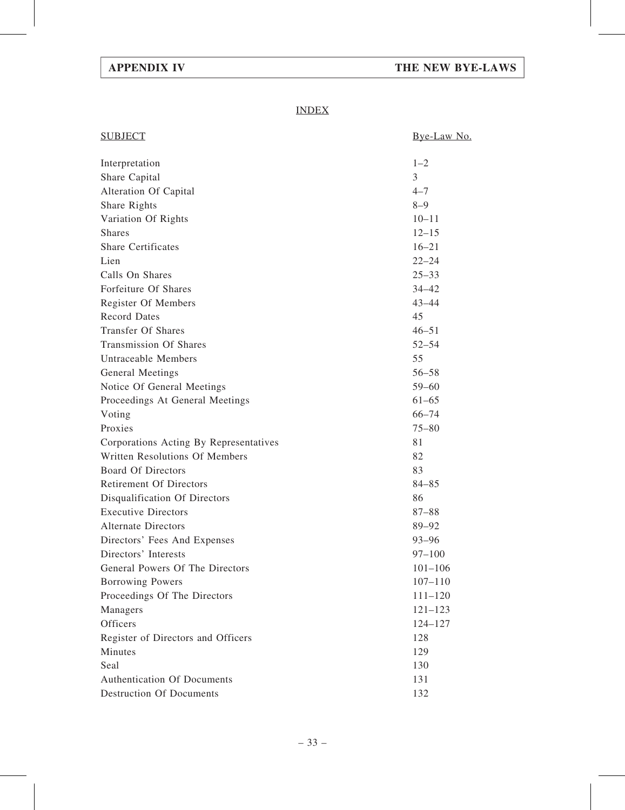# APPENDIX IV THE NEW BYE-LAWS

# INDEX

| <b>SUBJECT</b>                             | Bye-Law No. |
|--------------------------------------------|-------------|
| Interpretation                             | $1 - 2$     |
| Share Capital                              | 3           |
| Alteration Of Capital                      | $4 - 7$     |
| Share Rights                               | $8 - 9$     |
| Variation Of Rights                        | $10 - 11$   |
| <b>Shares</b>                              | $12 - 15$   |
| <b>Share Certificates</b>                  | $16 - 21$   |
| Lien                                       | $22 - 24$   |
| Calls On Shares                            | $25 - 33$   |
| Forfeiture Of Shares                       | $34 - 42$   |
| Register Of Members                        | $43 - 44$   |
| <b>Record Dates</b>                        | 45          |
| <b>Transfer Of Shares</b>                  | $46 - 51$   |
| <b>Transmission Of Shares</b>              | $52 - 54$   |
| Untraceable Members                        | 55          |
| General Meetings                           | $56 - 58$   |
| Notice Of General Meetings                 | $59 - 60$   |
| Proceedings At General Meetings            | $61 - 65$   |
| Voting                                     | $66 - 74$   |
| Proxies                                    | $75 - 80$   |
| Corporations Acting By Representatives     | 81          |
| Written Resolutions Of Members             | 82          |
| <b>Board Of Directors</b>                  | 83          |
| <b>Retirement Of Directors</b>             | $84 - 85$   |
| Disqualification Of Directors              | 86          |
| <b>Executive Directors</b>                 | $87 - 88$   |
| <b>Alternate Directors</b>                 | 89-92       |
| Directors' Fees And Expenses               | $93 - 96$   |
| Directors' Interests                       | $97 - 100$  |
| General Powers Of The Directors            | $101 - 106$ |
| <b>Borrowing Powers</b>                    | $107 - 110$ |
| Proceedings Of The Directors               | $111 - 120$ |
| Managers                                   | $121 - 123$ |
| Officers                                   | $124 - 127$ |
| Register of Directors and Officers         | 128         |
| Minutes                                    | 129         |
|                                            |             |
| Seal<br><b>Authentication Of Documents</b> | 130<br>131  |
|                                            |             |
| <b>Destruction Of Documents</b>            | 132         |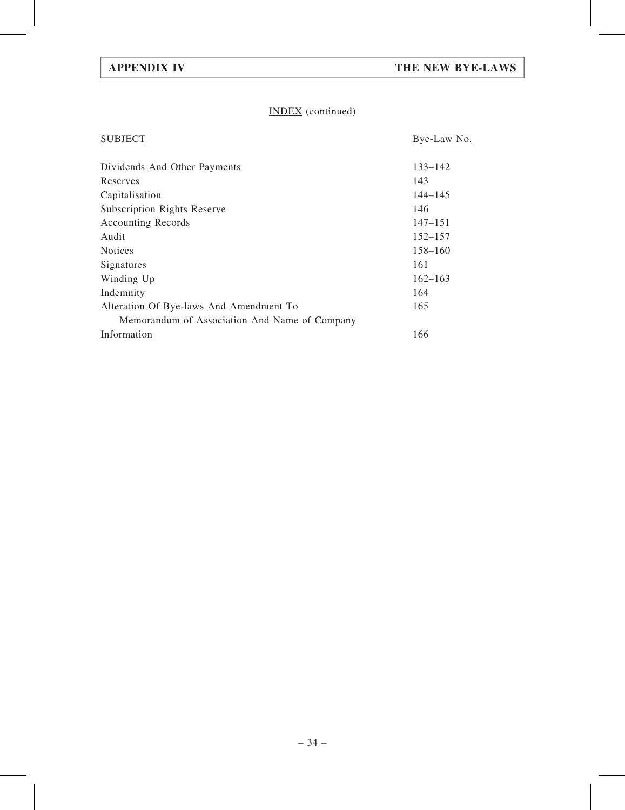# INDEX (continued)

| <b>SUBJECT</b>                                | Bye-Law No. |
|-----------------------------------------------|-------------|
| Dividends And Other Payments                  | $133 - 142$ |
| Reserves                                      | 143         |
| Capitalisation                                | $144 - 145$ |
| <b>Subscription Rights Reserve</b>            | 146         |
| <b>Accounting Records</b>                     | $147 - 151$ |
| Audit                                         | $152 - 157$ |
| <b>Notices</b>                                | $158 - 160$ |
| Signatures                                    | 161         |
| Winding Up                                    | $162 - 163$ |
| Indemnity                                     | 164         |
| Alteration Of Bye-laws And Amendment To       | 165         |
| Memorandum of Association And Name of Company |             |
| Information                                   | 166         |
|                                               |             |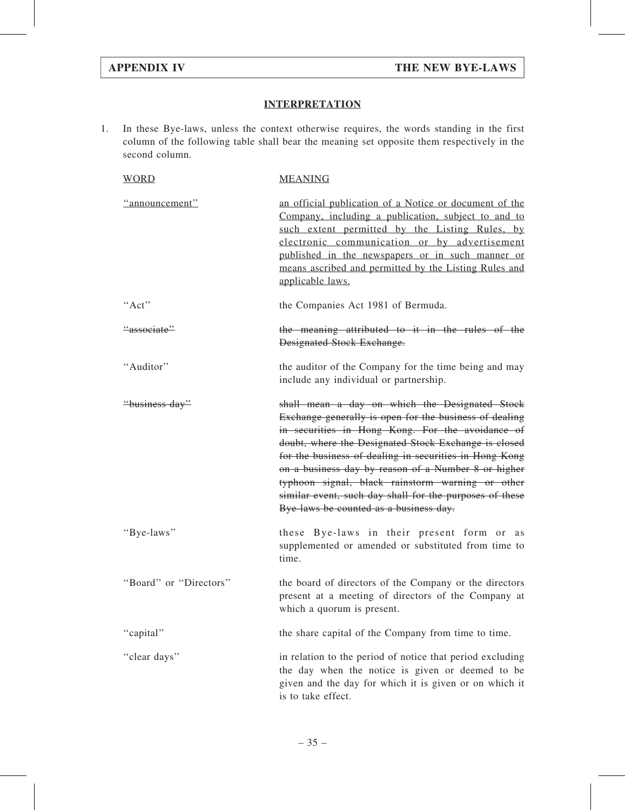# **INTERPRETATION**

1. In these Bye-laws, unless the context otherwise requires, the words standing in the first column of the following table shall bear the meaning set opposite them respectively in the second column.

| <b>WORD</b>            | <b>MEANING</b>                                                                                                                                                                                                                                                                                                                                                                                                                                                                                 |
|------------------------|------------------------------------------------------------------------------------------------------------------------------------------------------------------------------------------------------------------------------------------------------------------------------------------------------------------------------------------------------------------------------------------------------------------------------------------------------------------------------------------------|
| "announcement"         | an official publication of a Notice or document of the<br>Company, including a publication, subject to and to<br>such extent permitted by the Listing Rules, by<br>electronic communication or by advertisement<br>published in the newspapers or in such manner or<br>means ascribed and permitted by the Listing Rules and<br>applicable laws.                                                                                                                                               |
| "Act"                  | the Companies Act 1981 of Bermuda.                                                                                                                                                                                                                                                                                                                                                                                                                                                             |
| "associate"            | the meaning attributed to it in the rules of the<br><b>Designated Stock Exchange.</b>                                                                                                                                                                                                                                                                                                                                                                                                          |
| "Auditor"              | the auditor of the Company for the time being and may<br>include any individual or partnership.                                                                                                                                                                                                                                                                                                                                                                                                |
| "business day"         | shall mean a day on which the Designated Stock<br>Exchange generally is open for the business of dealing<br>in securities in Hong Kong. For the avoidance of<br>doubt, where the Designated Stock Exchange is closed<br>for the business of dealing in securities in Hong Kong<br>on a business day by reason of a Number 8 or higher<br>typhoon signal, black rainstorm warning or other<br>similar event, such day shall for the purposes of these<br>Bye-laws be counted as a business day. |
| "Bye-laws"             | these Bye-laws in their present form or as<br>supplemented or amended or substituted from time to<br>time.                                                                                                                                                                                                                                                                                                                                                                                     |
| "Board" or "Directors" | the board of directors of the Company or the directors<br>present at a meeting of directors of the Company at<br>which a quorum is present.                                                                                                                                                                                                                                                                                                                                                    |
| "capital"              | the share capital of the Company from time to time.                                                                                                                                                                                                                                                                                                                                                                                                                                            |
| "clear days"           | in relation to the period of notice that period excluding<br>the day when the notice is given or deemed to be<br>given and the day for which it is given or on which it<br>is to take effect.                                                                                                                                                                                                                                                                                                  |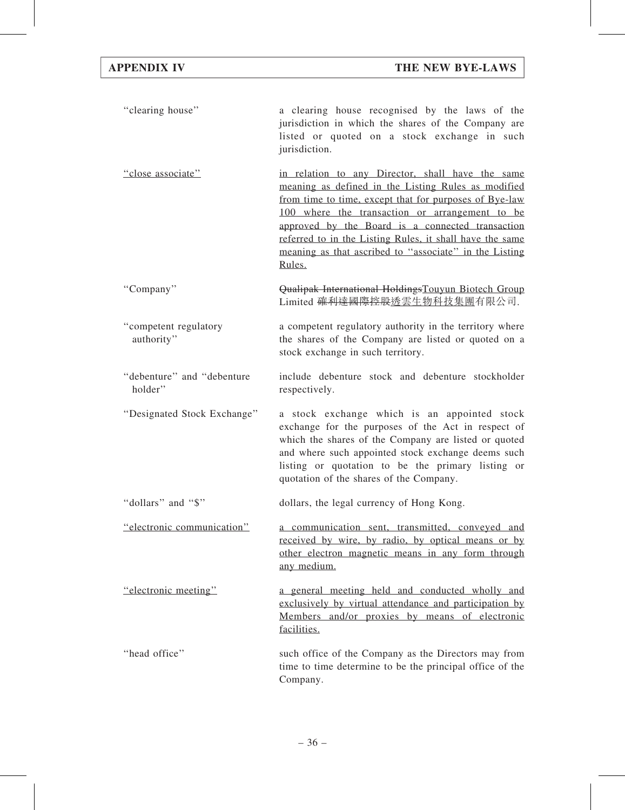| "clearing house"                      | a clearing house recognised by the laws of the<br>jurisdiction in which the shares of the Company are<br>listed or quoted on a stock exchange in such<br>jurisdiction.                                                                                                                                                                                                                                  |
|---------------------------------------|---------------------------------------------------------------------------------------------------------------------------------------------------------------------------------------------------------------------------------------------------------------------------------------------------------------------------------------------------------------------------------------------------------|
| "close associate"                     | in relation to any Director, shall have the same<br>meaning as defined in the Listing Rules as modified<br>from time to time, except that for purposes of Bye-law<br>100 where the transaction or arrangement to be<br>approved by the Board is a connected transaction<br>referred to in the Listing Rules, it shall have the same<br>meaning as that ascribed to "associate" in the Listing<br>Rules. |
| "Company"                             | Qualipak International HoldingsTouyun Biotech Group<br>Limited <del>確利達國際控股透</del> 雲生物科技集團有限公司.                                                                                                                                                                                                                                                                                                         |
| "competent regulatory<br>authority"   | a competent regulatory authority in the territory where<br>the shares of the Company are listed or quoted on a<br>stock exchange in such territory.                                                                                                                                                                                                                                                     |
| "debenture" and "debenture<br>holder" | include debenture stock and debenture stockholder<br>respectively.                                                                                                                                                                                                                                                                                                                                      |
| "Designated Stock Exchange"           | a stock exchange which is an appointed stock<br>exchange for the purposes of the Act in respect of<br>which the shares of the Company are listed or quoted<br>and where such appointed stock exchange deems such<br>listing or quotation to be the primary listing or<br>quotation of the shares of the Company.                                                                                        |
| "dollars" and "\$"                    | dollars, the legal currency of Hong Kong.                                                                                                                                                                                                                                                                                                                                                               |
| "electronic communication"            | a communication sent, transmitted, conveyed and<br>received by wire, by radio, by optical means or by<br>other electron magnetic means in any form through<br>any medium.                                                                                                                                                                                                                               |
| "electronic meeting"                  | a general meeting held and conducted wholly and<br>exclusively by virtual attendance and participation by<br>Members and/or proxies by means of electronic<br>facilities.                                                                                                                                                                                                                               |
| "head office"                         | such office of the Company as the Directors may from<br>time to time determine to be the principal office of the<br>Company.                                                                                                                                                                                                                                                                            |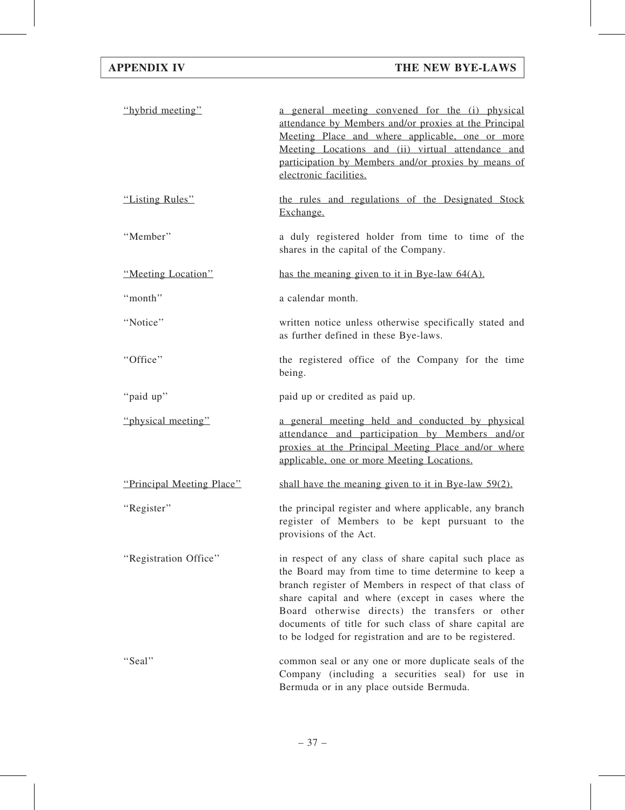| "hybrid meeting"          | a general meeting convened for the (i) physical<br>attendance by Members and/or proxies at the Principal<br>Meeting Place and where applicable, one or more<br>Meeting Locations and (ii) virtual attendance and<br>participation by Members and/or proxies by means of<br>electronic facilities.                                                                                                     |
|---------------------------|-------------------------------------------------------------------------------------------------------------------------------------------------------------------------------------------------------------------------------------------------------------------------------------------------------------------------------------------------------------------------------------------------------|
| "Listing Rules"           | the rules and regulations of the Designated Stock<br>Exchange.                                                                                                                                                                                                                                                                                                                                        |
| "Member"                  | a duly registered holder from time to time of the<br>shares in the capital of the Company.                                                                                                                                                                                                                                                                                                            |
| "Meeting Location"        | has the meaning given to it in Bye-law $64(A)$ .                                                                                                                                                                                                                                                                                                                                                      |
| "month"                   | a calendar month.                                                                                                                                                                                                                                                                                                                                                                                     |
| "Notice"                  | written notice unless otherwise specifically stated and<br>as further defined in these Bye-laws.                                                                                                                                                                                                                                                                                                      |
| "Office"                  | the registered office of the Company for the time<br>being.                                                                                                                                                                                                                                                                                                                                           |
| "paid up"                 | paid up or credited as paid up.                                                                                                                                                                                                                                                                                                                                                                       |
| "physical meeting"        | a general meeting held and conducted by physical<br>attendance and participation by Members and/or<br>proxies at the Principal Meeting Place and/or where<br>applicable, one or more Meeting Locations.                                                                                                                                                                                               |
| "Principal Meeting Place" | shall have the meaning given to it in Bye-law $59(2)$ .                                                                                                                                                                                                                                                                                                                                               |
| "Register"                | the principal register and where applicable, any branch<br>register of Members to be kept pursuant to the<br>provisions of the Act.                                                                                                                                                                                                                                                                   |
| "Registration Office"     | in respect of any class of share capital such place as<br>the Board may from time to time determine to keep a<br>branch register of Members in respect of that class of<br>share capital and where (except in cases where the<br>Board otherwise directs) the transfers or other<br>documents of title for such class of share capital are<br>to be lodged for registration and are to be registered. |
| "Seal"                    | common seal or any one or more duplicate seals of the<br>Company (including a securities seal) for use in<br>Bermuda or in any place outside Bermuda.                                                                                                                                                                                                                                                 |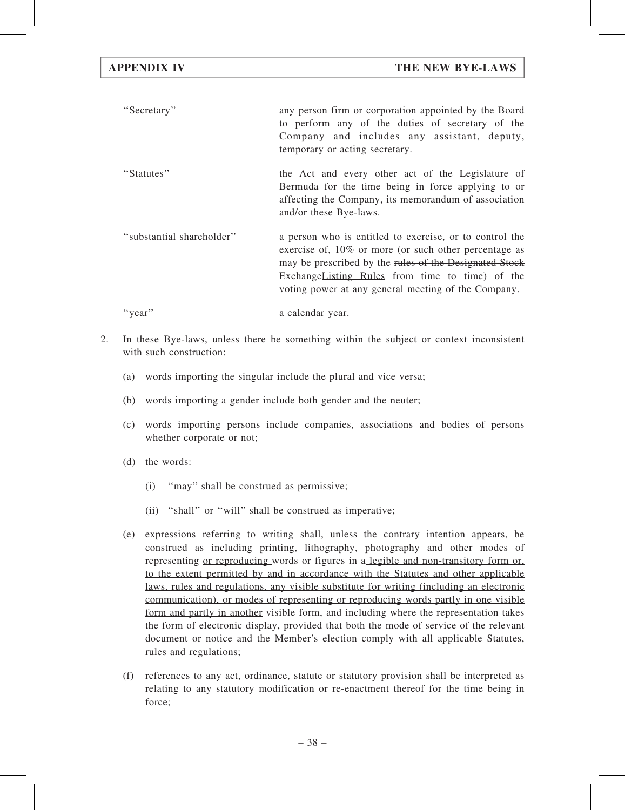- ''Secretary'' any person firm or corporation appointed by the Board to perform any of the duties of secretary of the Company and includes any assistant, deputy, temporary or acting secretary. ''Statutes'' the Act and every other act of the Legislature of Bermuda for the time being in force applying to or affecting the Company, its memorandum of association and/or these Bye-laws. ''substantial shareholder'' a person who is entitled to exercise, or to control the exercise of, 10% or more (or such other percentage as may be prescribed by the rules of the Designated Stock ExchangeListing Rules from time to time) of the voting power at any general meeting of the Company.
- 2. In these Bye-laws, unless there be something within the subject or context inconsistent with such construction:
	- (a) words importing the singular include the plural and vice versa;
	- (b) words importing a gender include both gender and the neuter;
	- (c) words importing persons include companies, associations and bodies of persons whether corporate or not;
	- (d) the words:
		- (i) ''may'' shall be construed as permissive;

"year" a calendar year.

- (ii) "shall" or "will" shall be construed as imperative;
- (e) expressions referring to writing shall, unless the contrary intention appears, be construed as including printing, lithography, photography and other modes of representing or reproducing words or figures in a legible and non-transitory form or, to the extent permitted by and in accordance with the Statutes and other applicable laws, rules and regulations, any visible substitute for writing (including an electronic communication), or modes of representing or reproducing words partly in one visible form and partly in another visible form, and including where the representation takes the form of electronic display, provided that both the mode of service of the relevant document or notice and the Member's election comply with all applicable Statutes, rules and regulations;
- (f) references to any act, ordinance, statute or statutory provision shall be interpreted as relating to any statutory modification or re-enactment thereof for the time being in force;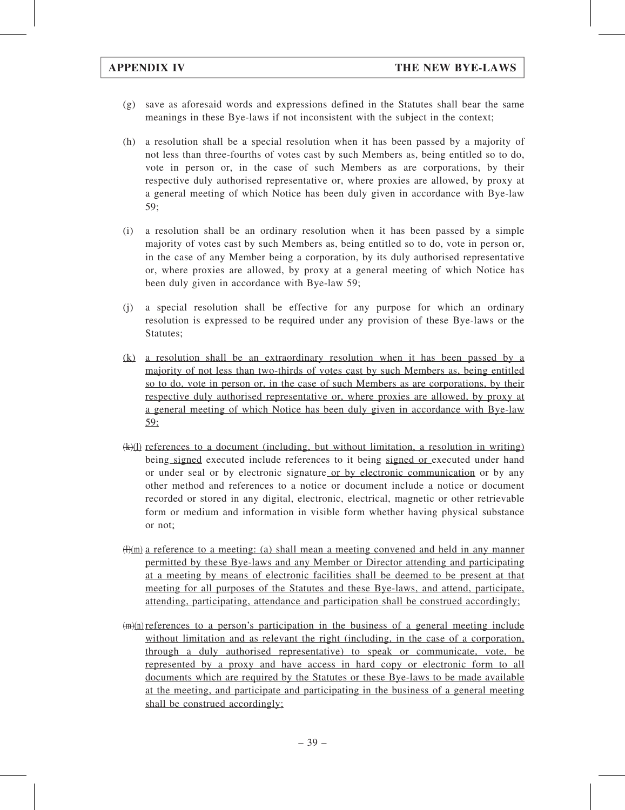- (g) save as aforesaid words and expressions defined in the Statutes shall bear the same meanings in these Bye-laws if not inconsistent with the subject in the context;
- (h) a resolution shall be a special resolution when it has been passed by a majority of not less than three-fourths of votes cast by such Members as, being entitled so to do, vote in person or, in the case of such Members as are corporations, by their respective duly authorised representative or, where proxies are allowed, by proxy at a general meeting of which Notice has been duly given in accordance with Bye-law 59;
- (i) a resolution shall be an ordinary resolution when it has been passed by a simple majority of votes cast by such Members as, being entitled so to do, vote in person or, in the case of any Member being a corporation, by its duly authorised representative or, where proxies are allowed, by proxy at a general meeting of which Notice has been duly given in accordance with Bye-law 59;
- (j) a special resolution shall be effective for any purpose for which an ordinary resolution is expressed to be required under any provision of these Bye-laws or the Statutes;
- (k) a resolution shall be an extraordinary resolution when it has been passed by a majority of not less than two-thirds of votes cast by such Members as, being entitled so to do, vote in person or, in the case of such Members as are corporations, by their respective duly authorised representative or, where proxies are allowed, by proxy at a general meeting of which Notice has been duly given in accordance with Bye-law 59;
- (k)(l) references to a document (including, but without limitation, a resolution in writing) being signed executed include references to it being signed or executed under hand or under seal or by electronic signature or by electronic communication or by any other method and references to a notice or document include a notice or document recorded or stored in any digital, electronic, electrical, magnetic or other retrievable form or medium and information in visible form whether having physical substance or not;
- $(H)(m)$  a reference to a meeting: (a) shall mean a meeting convened and held in any manner permitted by these Bye-laws and any Member or Director attending and participating at a meeting by means of electronic facilities shall be deemed to be present at that meeting for all purposes of the Statutes and these Bye-laws, and attend, participate, attending, participating, attendance and participation shall be construed accordingly;
- $(m)(n)$  references to a person's participation in the business of a general meeting include without limitation and as relevant the right (including, in the case of a corporation, through a duly authorised representative) to speak or communicate, vote, be represented by a proxy and have access in hard copy or electronic form to all documents which are required by the Statutes or these Bye-laws to be made available at the meeting, and participate and participating in the business of a general meeting shall be construed accordingly;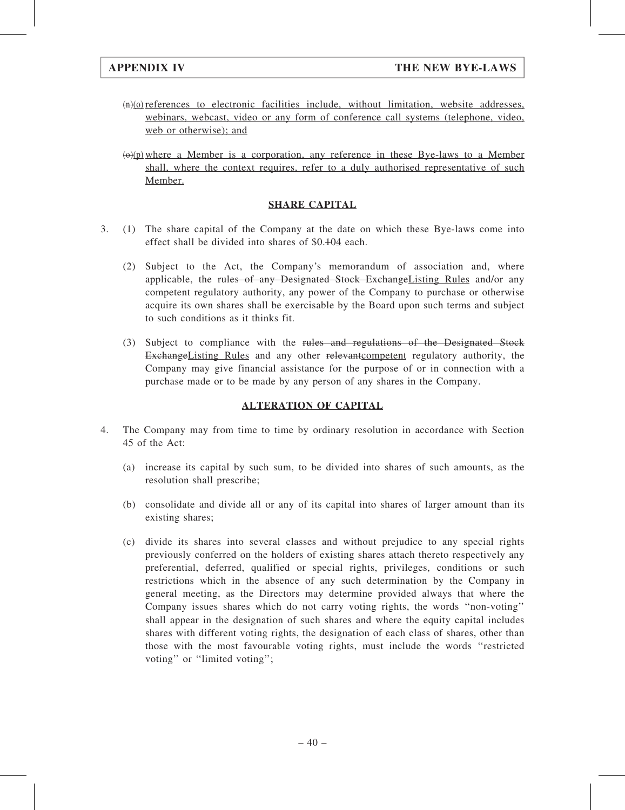- $(n)(o)$  references to electronic facilities include, without limitation, website addresses, webinars, webcast, video or any form of conference call systems (telephone, video, web or otherwise); and
- $(\theta)(p)$  where a Member is a corporation, any reference in these Bye-laws to a Member shall, where the context requires, refer to a duly authorised representative of such Member.

# SHARE CAPITAL

- 3. (1) The share capital of the Company at the date on which these Bye-laws come into effect shall be divided into shares of \$0.104 each.
	- (2) Subject to the Act, the Company's memorandum of association and, where applicable, the rules of any Designated Stock ExchangeListing Rules and/or any competent regulatory authority, any power of the Company to purchase or otherwise acquire its own shares shall be exercisable by the Board upon such terms and subject to such conditions as it thinks fit.
	- (3) Subject to compliance with the rules and regulations of the Designated Stock ExchangeListing Rules and any other relevant competent regulatory authority, the Company may give financial assistance for the purpose of or in connection with a purchase made or to be made by any person of any shares in the Company.

# ALTERATION OF CAPITAL

- 4. The Company may from time to time by ordinary resolution in accordance with Section 45 of the Act:
	- (a) increase its capital by such sum, to be divided into shares of such amounts, as the resolution shall prescribe;
	- (b) consolidate and divide all or any of its capital into shares of larger amount than its existing shares;
	- (c) divide its shares into several classes and without prejudice to any special rights previously conferred on the holders of existing shares attach thereto respectively any preferential, deferred, qualified or special rights, privileges, conditions or such restrictions which in the absence of any such determination by the Company in general meeting, as the Directors may determine provided always that where the Company issues shares which do not carry voting rights, the words ''non-voting'' shall appear in the designation of such shares and where the equity capital includes shares with different voting rights, the designation of each class of shares, other than those with the most favourable voting rights, must include the words ''restricted voting" or "limited voting";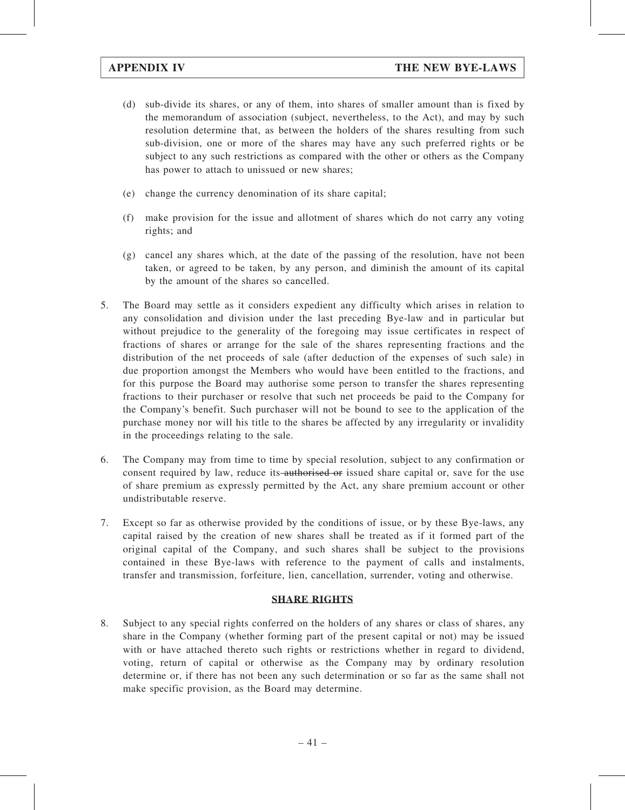- (d) sub-divide its shares, or any of them, into shares of smaller amount than is fixed by the memorandum of association (subject, nevertheless, to the Act), and may by such resolution determine that, as between the holders of the shares resulting from such sub-division, one or more of the shares may have any such preferred rights or be subject to any such restrictions as compared with the other or others as the Company has power to attach to unissued or new shares;
- (e) change the currency denomination of its share capital;
- (f) make provision for the issue and allotment of shares which do not carry any voting rights; and
- (g) cancel any shares which, at the date of the passing of the resolution, have not been taken, or agreed to be taken, by any person, and diminish the amount of its capital by the amount of the shares so cancelled.
- 5. The Board may settle as it considers expedient any difficulty which arises in relation to any consolidation and division under the last preceding Bye-law and in particular but without prejudice to the generality of the foregoing may issue certificates in respect of fractions of shares or arrange for the sale of the shares representing fractions and the distribution of the net proceeds of sale (after deduction of the expenses of such sale) in due proportion amongst the Members who would have been entitled to the fractions, and for this purpose the Board may authorise some person to transfer the shares representing fractions to their purchaser or resolve that such net proceeds be paid to the Company for the Company's benefit. Such purchaser will not be bound to see to the application of the purchase money nor will his title to the shares be affected by any irregularity or invalidity in the proceedings relating to the sale.
- 6. The Company may from time to time by special resolution, subject to any confirmation or consent required by law, reduce its authorised or issued share capital or, save for the use of share premium as expressly permitted by the Act, any share premium account or other undistributable reserve.
- 7. Except so far as otherwise provided by the conditions of issue, or by these Bye-laws, any capital raised by the creation of new shares shall be treated as if it formed part of the original capital of the Company, and such shares shall be subject to the provisions contained in these Bye-laws with reference to the payment of calls and instalments, transfer and transmission, forfeiture, lien, cancellation, surrender, voting and otherwise.

# SHARE RIGHTS

8. Subject to any special rights conferred on the holders of any shares or class of shares, any share in the Company (whether forming part of the present capital or not) may be issued with or have attached thereto such rights or restrictions whether in regard to dividend, voting, return of capital or otherwise as the Company may by ordinary resolution determine or, if there has not been any such determination or so far as the same shall not make specific provision, as the Board may determine.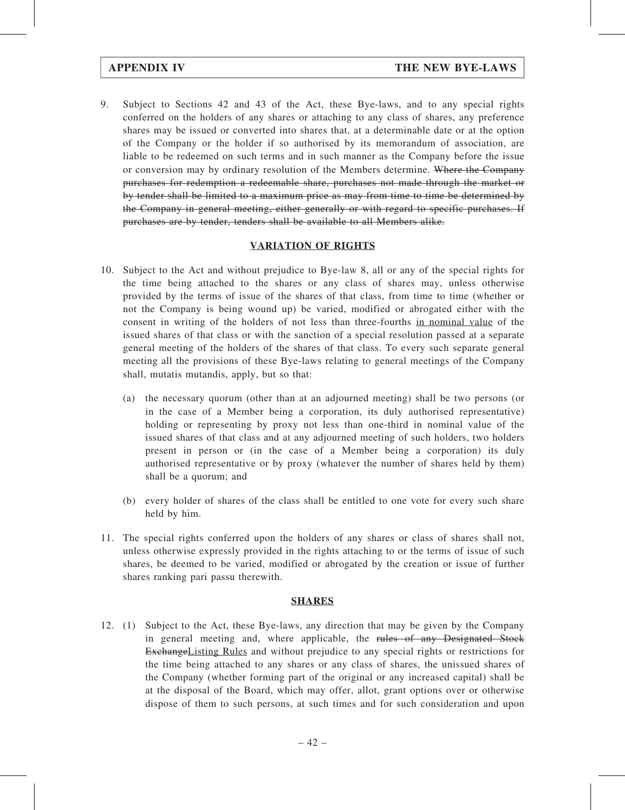9. Subject to Sections 42 and 43 of the Act, these Bye-laws, and to any special rights conferred on the holders of any shares or attaching to any class of shares, any preference shares may be issued or converted into shares that, at a determinable date or at the option of the Company or the holder if so authorised by its memorandum of association, are liable to be redeemed on such terms and in such manner as the Company before the issue or conversion may by ordinary resolution of the Members determine. Where the Company purchases for redemption a redeemable share, purchases not made through the market or by tender shall be limited to a maximum price as may from time to time be determined by the Company in general meeting, either generally or with regard to specific purchases. If purchases are by tender, tenders shall be available to all Members alike.

# VARIATION OF RIGHTS

- 10. Subject to the Act and without prejudice to Bye-law 8, all or any of the special rights for the time being attached to the shares or any class of shares may, unless otherwise provided by the terms of issue of the shares of that class, from time to time (whether or not the Company is being wound up) be varied, modified or abrogated either with the consent in writing of the holders of not less than three-fourths in nominal value of the issued shares of that class or with the sanction of a special resolution passed at a separate general meeting of the holders of the shares of that class. To every such separate general meeting all the provisions of these Bye-laws relating to general meetings of the Company shall, mutatis mutandis, apply, but so that:
	- (a) the necessary quorum (other than at an adjourned meeting) shall be two persons (or in the case of a Member being a corporation, its duly authorised representative) holding or representing by proxy not less than one-third in nominal value of the issued shares of that class and at any adjourned meeting of such holders, two holders present in person or (in the case of a Member being a corporation) its duly authorised representative or by proxy (whatever the number of shares held by them) shall be a quorum; and
	- (b) every holder of shares of the class shall be entitled to one vote for every such share held by him.
- 11. The special rights conferred upon the holders of any shares or class of shares shall not, unless otherwise expressly provided in the rights attaching to or the terms of issue of such shares, be deemed to be varied, modified or abrogated by the creation or issue of further shares ranking pari passu therewith.

### SHARES

12. (1) Subject to the Act, these Bye-laws, any direction that may be given by the Company in general meeting and, where applicable, the rules of any Designated Stock ExchangeListing Rules and without prejudice to any special rights or restrictions for the time being attached to any shares or any class of shares, the unissued shares of the Company (whether forming part of the original or any increased capital) shall be at the disposal of the Board, which may offer, allot, grant options over or otherwise dispose of them to such persons, at such times and for such consideration and upon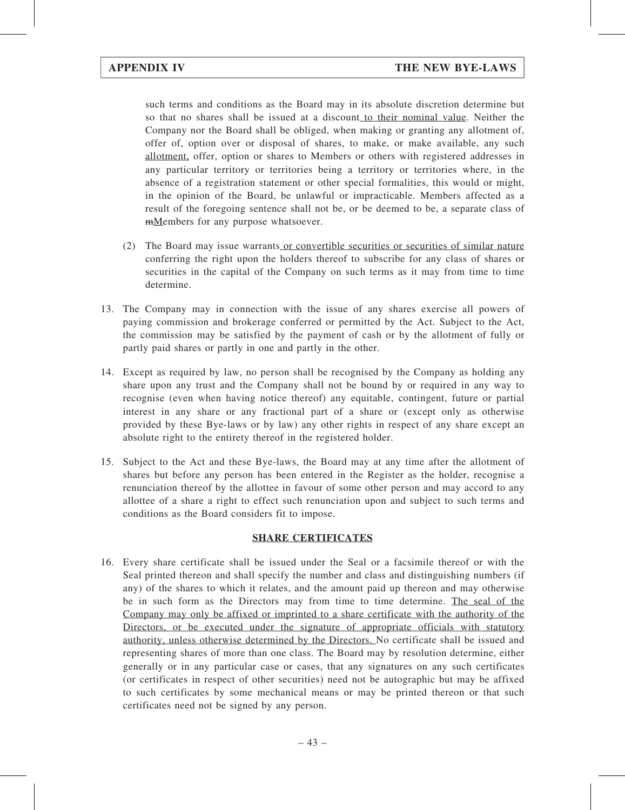such terms and conditions as the Board may in its absolute discretion determine but so that no shares shall be issued at a discount to their nominal value. Neither the Company nor the Board shall be obliged, when making or granting any allotment of, offer of, option over or disposal of shares, to make, or make available, any such allotment, offer, option or shares to Members or others with registered addresses in any particular territory or territories being a territory or territories where, in the absence of a registration statement or other special formalities, this would or might, in the opinion of the Board, be unlawful or impracticable. Members affected as a result of the foregoing sentence shall not be, or be deemed to be, a separate class of mMembers for any purpose whatsoever.

- (2) The Board may issue warrants or convertible securities or securities of similar nature conferring the right upon the holders thereof to subscribe for any class of shares or securities in the capital of the Company on such terms as it may from time to time determine.
- 13. The Company may in connection with the issue of any shares exercise all powers of paying commission and brokerage conferred or permitted by the Act. Subject to the Act, the commission may be satisfied by the payment of cash or by the allotment of fully or partly paid shares or partly in one and partly in the other.
- 14. Except as required by law, no person shall be recognised by the Company as holding any share upon any trust and the Company shall not be bound by or required in any way to recognise (even when having notice thereof) any equitable, contingent, future or partial interest in any share or any fractional part of a share or (except only as otherwise provided by these Bye-laws or by law) any other rights in respect of any share except an absolute right to the entirety thereof in the registered holder.
- 15. Subject to the Act and these Bye-laws, the Board may at any time after the allotment of shares but before any person has been entered in the Register as the holder, recognise a renunciation thereof by the allottee in favour of some other person and may accord to any allottee of a share a right to effect such renunciation upon and subject to such terms and conditions as the Board considers fit to impose.

# SHARE CERTIFICATES

16. Every share certificate shall be issued under the Seal or a facsimile thereof or with the Seal printed thereon and shall specify the number and class and distinguishing numbers (if any) of the shares to which it relates, and the amount paid up thereon and may otherwise be in such form as the Directors may from time to time determine. The seal of the Company may only be affixed or imprinted to a share certificate with the authority of the Directors, or be executed under the signature of appropriate officials with statutory authority, unless otherwise determined by the Directors. No certificate shall be issued and representing shares of more than one class. The Board may by resolution determine, either generally or in any particular case or cases, that any signatures on any such certificates (or certificates in respect of other securities) need not be autographic but may be affixed to such certificates by some mechanical means or may be printed thereon or that such certificates need not be signed by any person.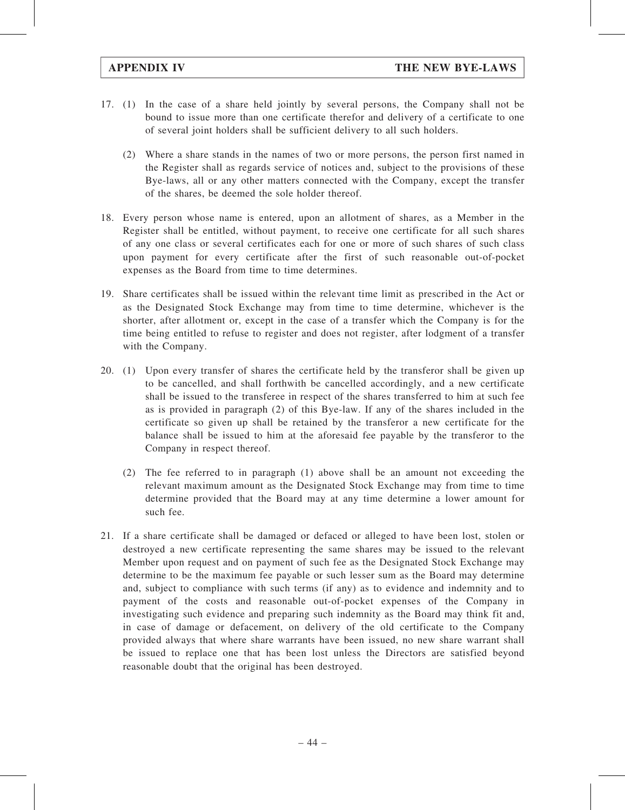- 17. (1) In the case of a share held jointly by several persons, the Company shall not be bound to issue more than one certificate therefor and delivery of a certificate to one of several joint holders shall be sufficient delivery to all such holders.
	- (2) Where a share stands in the names of two or more persons, the person first named in the Register shall as regards service of notices and, subject to the provisions of these Bye-laws, all or any other matters connected with the Company, except the transfer of the shares, be deemed the sole holder thereof.
- 18. Every person whose name is entered, upon an allotment of shares, as a Member in the Register shall be entitled, without payment, to receive one certificate for all such shares of any one class or several certificates each for one or more of such shares of such class upon payment for every certificate after the first of such reasonable out-of-pocket expenses as the Board from time to time determines.
- 19. Share certificates shall be issued within the relevant time limit as prescribed in the Act or as the Designated Stock Exchange may from time to time determine, whichever is the shorter, after allotment or, except in the case of a transfer which the Company is for the time being entitled to refuse to register and does not register, after lodgment of a transfer with the Company.
- 20. (1) Upon every transfer of shares the certificate held by the transferor shall be given up to be cancelled, and shall forthwith be cancelled accordingly, and a new certificate shall be issued to the transferee in respect of the shares transferred to him at such fee as is provided in paragraph (2) of this Bye-law. If any of the shares included in the certificate so given up shall be retained by the transferor a new certificate for the balance shall be issued to him at the aforesaid fee payable by the transferor to the Company in respect thereof.
	- (2) The fee referred to in paragraph (1) above shall be an amount not exceeding the relevant maximum amount as the Designated Stock Exchange may from time to time determine provided that the Board may at any time determine a lower amount for such fee.
- 21. If a share certificate shall be damaged or defaced or alleged to have been lost, stolen or destroyed a new certificate representing the same shares may be issued to the relevant Member upon request and on payment of such fee as the Designated Stock Exchange may determine to be the maximum fee payable or such lesser sum as the Board may determine and, subject to compliance with such terms (if any) as to evidence and indemnity and to payment of the costs and reasonable out-of-pocket expenses of the Company in investigating such evidence and preparing such indemnity as the Board may think fit and, in case of damage or defacement, on delivery of the old certificate to the Company provided always that where share warrants have been issued, no new share warrant shall be issued to replace one that has been lost unless the Directors are satisfied beyond reasonable doubt that the original has been destroyed.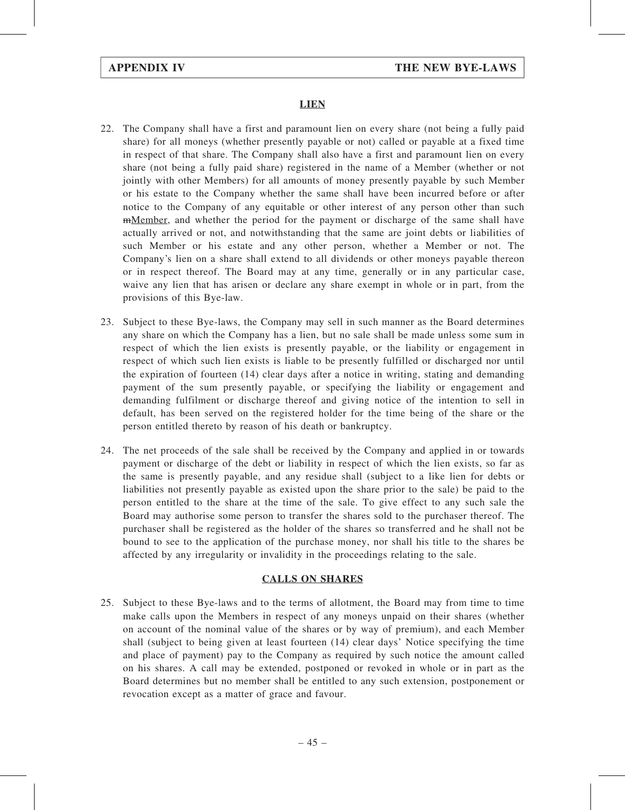# **LIEN**

- 22. The Company shall have a first and paramount lien on every share (not being a fully paid share) for all moneys (whether presently payable or not) called or payable at a fixed time in respect of that share. The Company shall also have a first and paramount lien on every share (not being a fully paid share) registered in the name of a Member (whether or not jointly with other Members) for all amounts of money presently payable by such Member or his estate to the Company whether the same shall have been incurred before or after notice to the Company of any equitable or other interest of any person other than such mMember, and whether the period for the payment or discharge of the same shall have actually arrived or not, and notwithstanding that the same are joint debts or liabilities of such Member or his estate and any other person, whether a Member or not. The Company's lien on a share shall extend to all dividends or other moneys payable thereon or in respect thereof. The Board may at any time, generally or in any particular case, waive any lien that has arisen or declare any share exempt in whole or in part, from the provisions of this Bye-law.
- 23. Subject to these Bye-laws, the Company may sell in such manner as the Board determines any share on which the Company has a lien, but no sale shall be made unless some sum in respect of which the lien exists is presently payable, or the liability or engagement in respect of which such lien exists is liable to be presently fulfilled or discharged nor until the expiration of fourteen (14) clear days after a notice in writing, stating and demanding payment of the sum presently payable, or specifying the liability or engagement and demanding fulfilment or discharge thereof and giving notice of the intention to sell in default, has been served on the registered holder for the time being of the share or the person entitled thereto by reason of his death or bankruptcy.
- 24. The net proceeds of the sale shall be received by the Company and applied in or towards payment or discharge of the debt or liability in respect of which the lien exists, so far as the same is presently payable, and any residue shall (subject to a like lien for debts or liabilities not presently payable as existed upon the share prior to the sale) be paid to the person entitled to the share at the time of the sale. To give effect to any such sale the Board may authorise some person to transfer the shares sold to the purchaser thereof. The purchaser shall be registered as the holder of the shares so transferred and he shall not be bound to see to the application of the purchase money, nor shall his title to the shares be affected by any irregularity or invalidity in the proceedings relating to the sale.

## CALLS ON SHARES

25. Subject to these Bye-laws and to the terms of allotment, the Board may from time to time make calls upon the Members in respect of any moneys unpaid on their shares (whether on account of the nominal value of the shares or by way of premium), and each Member shall (subject to being given at least fourteen (14) clear days' Notice specifying the time and place of payment) pay to the Company as required by such notice the amount called on his shares. A call may be extended, postponed or revoked in whole or in part as the Board determines but no member shall be entitled to any such extension, postponement or revocation except as a matter of grace and favour.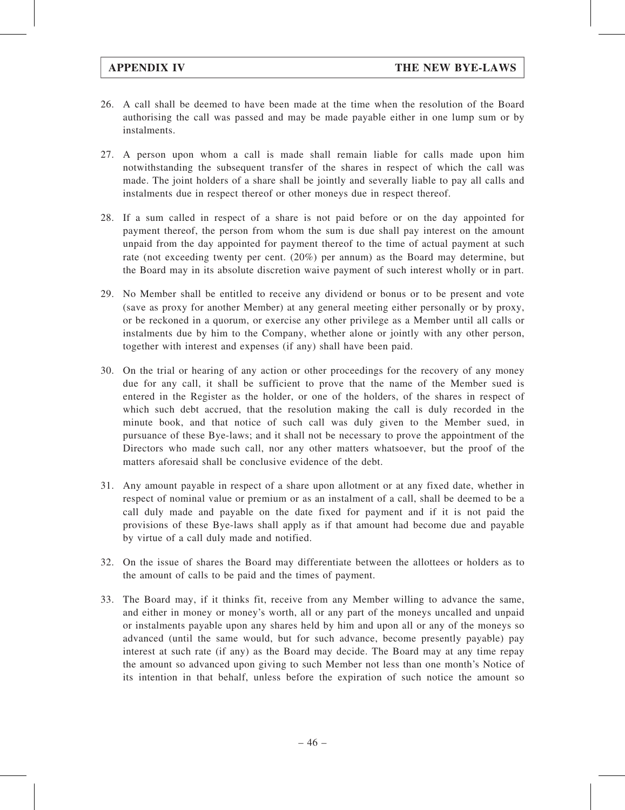- 26. A call shall be deemed to have been made at the time when the resolution of the Board authorising the call was passed and may be made payable either in one lump sum or by instalments.
- 27. A person upon whom a call is made shall remain liable for calls made upon him notwithstanding the subsequent transfer of the shares in respect of which the call was made. The joint holders of a share shall be jointly and severally liable to pay all calls and instalments due in respect thereof or other moneys due in respect thereof.
- 28. If a sum called in respect of a share is not paid before or on the day appointed for payment thereof, the person from whom the sum is due shall pay interest on the amount unpaid from the day appointed for payment thereof to the time of actual payment at such rate (not exceeding twenty per cent. (20%) per annum) as the Board may determine, but the Board may in its absolute discretion waive payment of such interest wholly or in part.
- 29. No Member shall be entitled to receive any dividend or bonus or to be present and vote (save as proxy for another Member) at any general meeting either personally or by proxy, or be reckoned in a quorum, or exercise any other privilege as a Member until all calls or instalments due by him to the Company, whether alone or jointly with any other person, together with interest and expenses (if any) shall have been paid.
- 30. On the trial or hearing of any action or other proceedings for the recovery of any money due for any call, it shall be sufficient to prove that the name of the Member sued is entered in the Register as the holder, or one of the holders, of the shares in respect of which such debt accrued, that the resolution making the call is duly recorded in the minute book, and that notice of such call was duly given to the Member sued, in pursuance of these Bye-laws; and it shall not be necessary to prove the appointment of the Directors who made such call, nor any other matters whatsoever, but the proof of the matters aforesaid shall be conclusive evidence of the debt.
- 31. Any amount payable in respect of a share upon allotment or at any fixed date, whether in respect of nominal value or premium or as an instalment of a call, shall be deemed to be a call duly made and payable on the date fixed for payment and if it is not paid the provisions of these Bye-laws shall apply as if that amount had become due and payable by virtue of a call duly made and notified.
- 32. On the issue of shares the Board may differentiate between the allottees or holders as to the amount of calls to be paid and the times of payment.
- 33. The Board may, if it thinks fit, receive from any Member willing to advance the same, and either in money or money's worth, all or any part of the moneys uncalled and unpaid or instalments payable upon any shares held by him and upon all or any of the moneys so advanced (until the same would, but for such advance, become presently payable) pay interest at such rate (if any) as the Board may decide. The Board may at any time repay the amount so advanced upon giving to such Member not less than one month's Notice of its intention in that behalf, unless before the expiration of such notice the amount so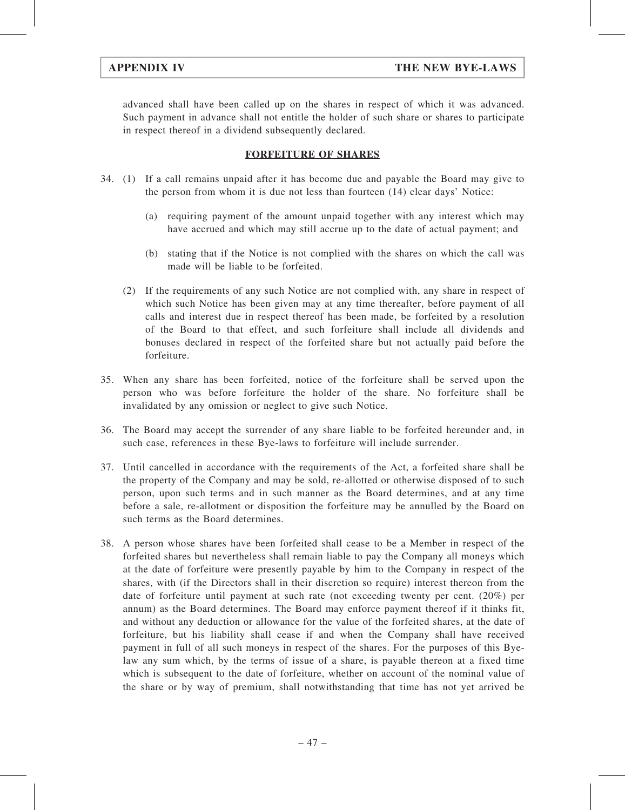advanced shall have been called up on the shares in respect of which it was advanced. Such payment in advance shall not entitle the holder of such share or shares to participate in respect thereof in a dividend subsequently declared.

# FORFEITURE OF SHARES

- 34. (1) If a call remains unpaid after it has become due and payable the Board may give to the person from whom it is due not less than fourteen (14) clear days' Notice:
	- (a) requiring payment of the amount unpaid together with any interest which may have accrued and which may still accrue up to the date of actual payment; and
	- (b) stating that if the Notice is not complied with the shares on which the call was made will be liable to be forfeited.
	- (2) If the requirements of any such Notice are not complied with, any share in respect of which such Notice has been given may at any time thereafter, before payment of all calls and interest due in respect thereof has been made, be forfeited by a resolution of the Board to that effect, and such forfeiture shall include all dividends and bonuses declared in respect of the forfeited share but not actually paid before the forfeiture.
- 35. When any share has been forfeited, notice of the forfeiture shall be served upon the person who was before forfeiture the holder of the share. No forfeiture shall be invalidated by any omission or neglect to give such Notice.
- 36. The Board may accept the surrender of any share liable to be forfeited hereunder and, in such case, references in these Bye-laws to forfeiture will include surrender.
- 37. Until cancelled in accordance with the requirements of the Act, a forfeited share shall be the property of the Company and may be sold, re-allotted or otherwise disposed of to such person, upon such terms and in such manner as the Board determines, and at any time before a sale, re-allotment or disposition the forfeiture may be annulled by the Board on such terms as the Board determines.
- 38. A person whose shares have been forfeited shall cease to be a Member in respect of the forfeited shares but nevertheless shall remain liable to pay the Company all moneys which at the date of forfeiture were presently payable by him to the Company in respect of the shares, with (if the Directors shall in their discretion so require) interest thereon from the date of forfeiture until payment at such rate (not exceeding twenty per cent. (20%) per annum) as the Board determines. The Board may enforce payment thereof if it thinks fit, and without any deduction or allowance for the value of the forfeited shares, at the date of forfeiture, but his liability shall cease if and when the Company shall have received payment in full of all such moneys in respect of the shares. For the purposes of this Byelaw any sum which, by the terms of issue of a share, is payable thereon at a fixed time which is subsequent to the date of forfeiture, whether on account of the nominal value of the share or by way of premium, shall notwithstanding that time has not yet arrived be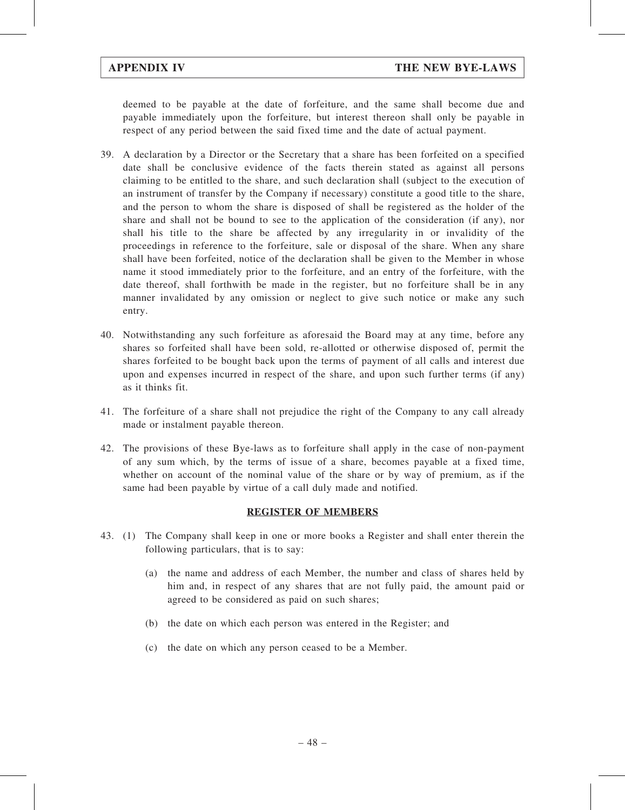deemed to be payable at the date of forfeiture, and the same shall become due and payable immediately upon the forfeiture, but interest thereon shall only be payable in respect of any period between the said fixed time and the date of actual payment.

- 39. A declaration by a Director or the Secretary that a share has been forfeited on a specified date shall be conclusive evidence of the facts therein stated as against all persons claiming to be entitled to the share, and such declaration shall (subject to the execution of an instrument of transfer by the Company if necessary) constitute a good title to the share, and the person to whom the share is disposed of shall be registered as the holder of the share and shall not be bound to see to the application of the consideration (if any), nor shall his title to the share be affected by any irregularity in or invalidity of the proceedings in reference to the forfeiture, sale or disposal of the share. When any share shall have been forfeited, notice of the declaration shall be given to the Member in whose name it stood immediately prior to the forfeiture, and an entry of the forfeiture, with the date thereof, shall forthwith be made in the register, but no forfeiture shall be in any manner invalidated by any omission or neglect to give such notice or make any such entry.
- 40. Notwithstanding any such forfeiture as aforesaid the Board may at any time, before any shares so forfeited shall have been sold, re-allotted or otherwise disposed of, permit the shares forfeited to be bought back upon the terms of payment of all calls and interest due upon and expenses incurred in respect of the share, and upon such further terms (if any) as it thinks fit.
- 41. The forfeiture of a share shall not prejudice the right of the Company to any call already made or instalment payable thereon.
- 42. The provisions of these Bye-laws as to forfeiture shall apply in the case of non-payment of any sum which, by the terms of issue of a share, becomes payable at a fixed time, whether on account of the nominal value of the share or by way of premium, as if the same had been payable by virtue of a call duly made and notified.

## REGISTER OF MEMBERS

- 43. (1) The Company shall keep in one or more books a Register and shall enter therein the following particulars, that is to say:
	- (a) the name and address of each Member, the number and class of shares held by him and, in respect of any shares that are not fully paid, the amount paid or agreed to be considered as paid on such shares;
	- (b) the date on which each person was entered in the Register; and
	- (c) the date on which any person ceased to be a Member.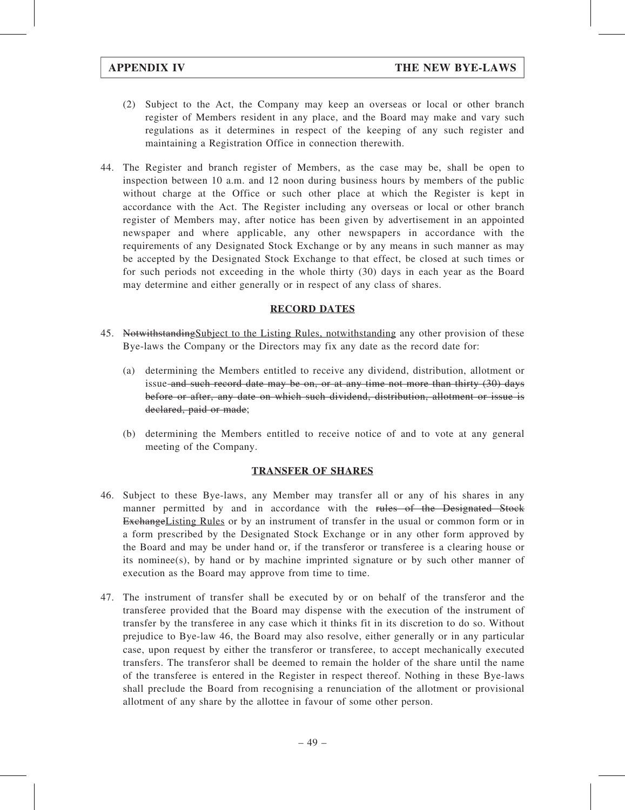- (2) Subject to the Act, the Company may keep an overseas or local or other branch register of Members resident in any place, and the Board may make and vary such regulations as it determines in respect of the keeping of any such register and maintaining a Registration Office in connection therewith.
- 44. The Register and branch register of Members, as the case may be, shall be open to inspection between 10 a.m. and 12 noon during business hours by members of the public without charge at the Office or such other place at which the Register is kept in accordance with the Act. The Register including any overseas or local or other branch register of Members may, after notice has been given by advertisement in an appointed newspaper and where applicable, any other newspapers in accordance with the requirements of any Designated Stock Exchange or by any means in such manner as may be accepted by the Designated Stock Exchange to that effect, be closed at such times or for such periods not exceeding in the whole thirty (30) days in each year as the Board may determine and either generally or in respect of any class of shares.

# RECORD DATES

- 45. Notwithstanding Subject to the Listing Rules, notwithstanding any other provision of these Bye-laws the Company or the Directors may fix any date as the record date for:
	- (a) determining the Members entitled to receive any dividend, distribution, allotment or issue and such record date may be on, or at any time not more than thirty (30) days before or after, any date on which such dividend, distribution, allotment or issue is declared, paid or made;
	- (b) determining the Members entitled to receive notice of and to vote at any general meeting of the Company.

## TRANSFER OF SHARES

- 46. Subject to these Bye-laws, any Member may transfer all or any of his shares in any manner permitted by and in accordance with the rules of the Designated Stock ExchangeListing Rules or by an instrument of transfer in the usual or common form or in a form prescribed by the Designated Stock Exchange or in any other form approved by the Board and may be under hand or, if the transferor or transferee is a clearing house or its nominee(s), by hand or by machine imprinted signature or by such other manner of execution as the Board may approve from time to time.
- 47. The instrument of transfer shall be executed by or on behalf of the transferor and the transferee provided that the Board may dispense with the execution of the instrument of transfer by the transferee in any case which it thinks fit in its discretion to do so. Without prejudice to Bye-law 46, the Board may also resolve, either generally or in any particular case, upon request by either the transferor or transferee, to accept mechanically executed transfers. The transferor shall be deemed to remain the holder of the share until the name of the transferee is entered in the Register in respect thereof. Nothing in these Bye-laws shall preclude the Board from recognising a renunciation of the allotment or provisional allotment of any share by the allottee in favour of some other person.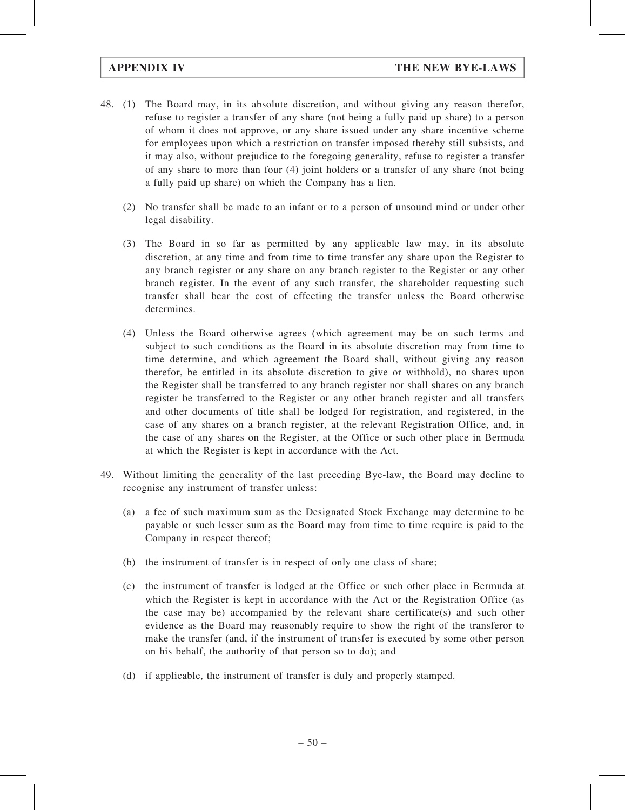- 48. (1) The Board may, in its absolute discretion, and without giving any reason therefor, refuse to register a transfer of any share (not being a fully paid up share) to a person of whom it does not approve, or any share issued under any share incentive scheme for employees upon which a restriction on transfer imposed thereby still subsists, and it may also, without prejudice to the foregoing generality, refuse to register a transfer of any share to more than four (4) joint holders or a transfer of any share (not being a fully paid up share) on which the Company has a lien.
	- (2) No transfer shall be made to an infant or to a person of unsound mind or under other legal disability.
	- (3) The Board in so far as permitted by any applicable law may, in its absolute discretion, at any time and from time to time transfer any share upon the Register to any branch register or any share on any branch register to the Register or any other branch register. In the event of any such transfer, the shareholder requesting such transfer shall bear the cost of effecting the transfer unless the Board otherwise determines.
	- (4) Unless the Board otherwise agrees (which agreement may be on such terms and subject to such conditions as the Board in its absolute discretion may from time to time determine, and which agreement the Board shall, without giving any reason therefor, be entitled in its absolute discretion to give or withhold), no shares upon the Register shall be transferred to any branch register nor shall shares on any branch register be transferred to the Register or any other branch register and all transfers and other documents of title shall be lodged for registration, and registered, in the case of any shares on a branch register, at the relevant Registration Office, and, in the case of any shares on the Register, at the Office or such other place in Bermuda at which the Register is kept in accordance with the Act.
- 49. Without limiting the generality of the last preceding Bye-law, the Board may decline to recognise any instrument of transfer unless:
	- (a) a fee of such maximum sum as the Designated Stock Exchange may determine to be payable or such lesser sum as the Board may from time to time require is paid to the Company in respect thereof;
	- (b) the instrument of transfer is in respect of only one class of share;
	- (c) the instrument of transfer is lodged at the Office or such other place in Bermuda at which the Register is kept in accordance with the Act or the Registration Office (as the case may be) accompanied by the relevant share certificate(s) and such other evidence as the Board may reasonably require to show the right of the transferor to make the transfer (and, if the instrument of transfer is executed by some other person on his behalf, the authority of that person so to do); and
	- (d) if applicable, the instrument of transfer is duly and properly stamped.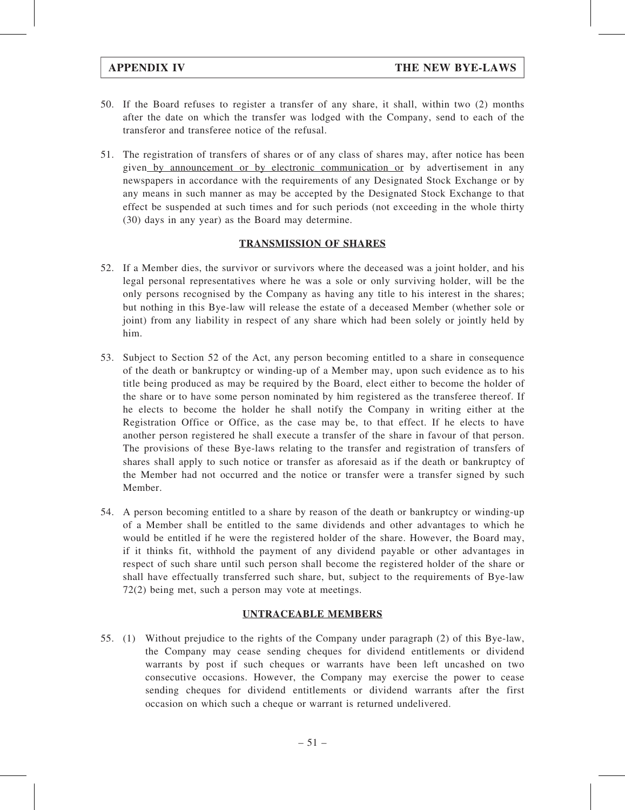- 50. If the Board refuses to register a transfer of any share, it shall, within two (2) months after the date on which the transfer was lodged with the Company, send to each of the transferor and transferee notice of the refusal.
- 51. The registration of transfers of shares or of any class of shares may, after notice has been given by announcement or by electronic communication or by advertisement in any newspapers in accordance with the requirements of any Designated Stock Exchange or by any means in such manner as may be accepted by the Designated Stock Exchange to that effect be suspended at such times and for such periods (not exceeding in the whole thirty (30) days in any year) as the Board may determine.

# TRANSMISSION OF SHARES

- 52. If a Member dies, the survivor or survivors where the deceased was a joint holder, and his legal personal representatives where he was a sole or only surviving holder, will be the only persons recognised by the Company as having any title to his interest in the shares; but nothing in this Bye-law will release the estate of a deceased Member (whether sole or joint) from any liability in respect of any share which had been solely or jointly held by him.
- 53. Subject to Section 52 of the Act, any person becoming entitled to a share in consequence of the death or bankruptcy or winding-up of a Member may, upon such evidence as to his title being produced as may be required by the Board, elect either to become the holder of the share or to have some person nominated by him registered as the transferee thereof. If he elects to become the holder he shall notify the Company in writing either at the Registration Office or Office, as the case may be, to that effect. If he elects to have another person registered he shall execute a transfer of the share in favour of that person. The provisions of these Bye-laws relating to the transfer and registration of transfers of shares shall apply to such notice or transfer as aforesaid as if the death or bankruptcy of the Member had not occurred and the notice or transfer were a transfer signed by such Member.
- 54. A person becoming entitled to a share by reason of the death or bankruptcy or winding-up of a Member shall be entitled to the same dividends and other advantages to which he would be entitled if he were the registered holder of the share. However, the Board may, if it thinks fit, withhold the payment of any dividend payable or other advantages in respect of such share until such person shall become the registered holder of the share or shall have effectually transferred such share, but, subject to the requirements of Bye-law 72(2) being met, such a person may vote at meetings.

## UNTRACEABLE MEMBERS

55. (1) Without prejudice to the rights of the Company under paragraph (2) of this Bye-law, the Company may cease sending cheques for dividend entitlements or dividend warrants by post if such cheques or warrants have been left uncashed on two consecutive occasions. However, the Company may exercise the power to cease sending cheques for dividend entitlements or dividend warrants after the first occasion on which such a cheque or warrant is returned undelivered.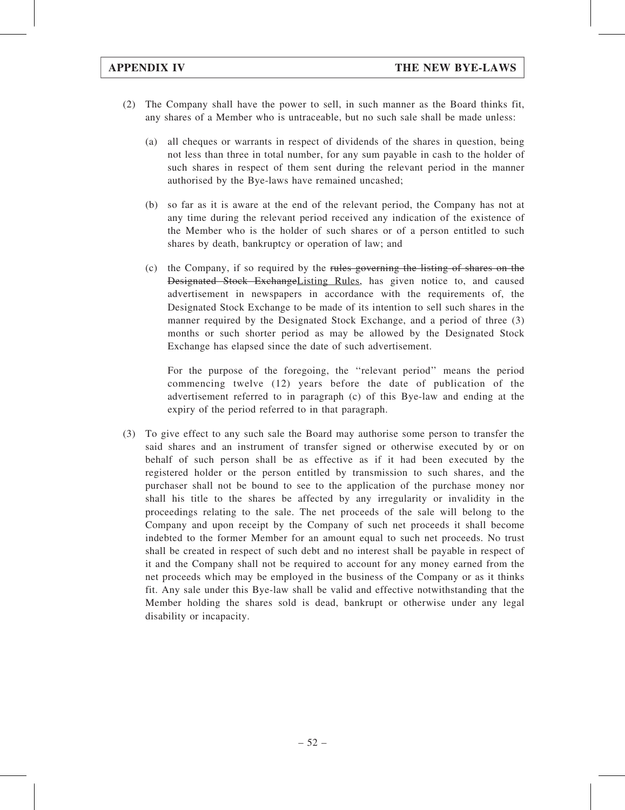- (2) The Company shall have the power to sell, in such manner as the Board thinks fit, any shares of a Member who is untraceable, but no such sale shall be made unless:
	- (a) all cheques or warrants in respect of dividends of the shares in question, being not less than three in total number, for any sum payable in cash to the holder of such shares in respect of them sent during the relevant period in the manner authorised by the Bye-laws have remained uncashed;
	- (b) so far as it is aware at the end of the relevant period, the Company has not at any time during the relevant period received any indication of the existence of the Member who is the holder of such shares or of a person entitled to such shares by death, bankruptcy or operation of law; and
	- (c) the Company, if so required by the rules governing the listing of shares on the Designated Stock ExchangeListing Rules, has given notice to, and caused advertisement in newspapers in accordance with the requirements of, the Designated Stock Exchange to be made of its intention to sell such shares in the manner required by the Designated Stock Exchange, and a period of three (3) months or such shorter period as may be allowed by the Designated Stock Exchange has elapsed since the date of such advertisement.

For the purpose of the foregoing, the ''relevant period'' means the period commencing twelve (12) years before the date of publication of the advertisement referred to in paragraph (c) of this Bye-law and ending at the expiry of the period referred to in that paragraph.

(3) To give effect to any such sale the Board may authorise some person to transfer the said shares and an instrument of transfer signed or otherwise executed by or on behalf of such person shall be as effective as if it had been executed by the registered holder or the person entitled by transmission to such shares, and the purchaser shall not be bound to see to the application of the purchase money nor shall his title to the shares be affected by any irregularity or invalidity in the proceedings relating to the sale. The net proceeds of the sale will belong to the Company and upon receipt by the Company of such net proceeds it shall become indebted to the former Member for an amount equal to such net proceeds. No trust shall be created in respect of such debt and no interest shall be payable in respect of it and the Company shall not be required to account for any money earned from the net proceeds which may be employed in the business of the Company or as it thinks fit. Any sale under this Bye-law shall be valid and effective notwithstanding that the Member holding the shares sold is dead, bankrupt or otherwise under any legal disability or incapacity.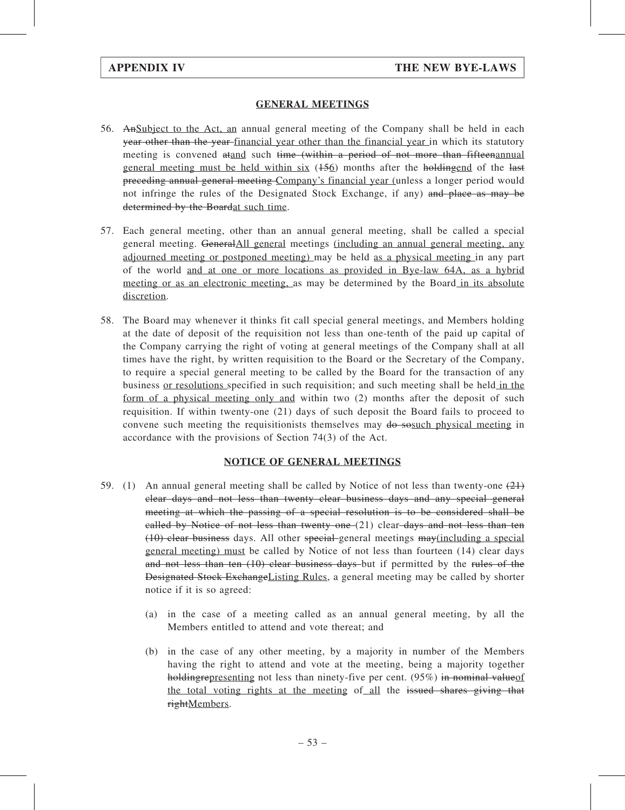# GENERAL MEETINGS

- 56. AnSubject to the Act, an annual general meeting of the Company shall be held in each year other than the year financial year other than the financial year in which its statutory meeting is convened atand such time (within a period of not more than fifteen annual general meeting must be held within six  $(156)$  months after the holdingend of the last preceding annual general meeting Company's financial year (unless a longer period would not infringe the rules of the Designated Stock Exchange, if any) and place as may be determined by the Boardat such time.
- 57. Each general meeting, other than an annual general meeting, shall be called a special general meeting. GeneralAll general meetings (including an annual general meeting, any adjourned meeting or postponed meeting) may be held as a physical meeting in any part of the world and at one or more locations as provided in Bye-law 64A, as a hybrid meeting or as an electronic meeting, as may be determined by the Board in its absolute discretion.
- 58. The Board may whenever it thinks fit call special general meetings, and Members holding at the date of deposit of the requisition not less than one-tenth of the paid up capital of the Company carrying the right of voting at general meetings of the Company shall at all times have the right, by written requisition to the Board or the Secretary of the Company, to require a special general meeting to be called by the Board for the transaction of any business or resolutions specified in such requisition; and such meeting shall be held in the form of a physical meeting only and within two (2) months after the deposit of such requisition. If within twenty-one (21) days of such deposit the Board fails to proceed to convene such meeting the requisitionists themselves may  $\theta$  sosuch physical meeting in accordance with the provisions of Section 74(3) of the Act.

## NOTICE OF GENERAL MEETINGS

- 59. (1) An annual general meeting shall be called by Notice of not less than twenty-one  $(21)$ clear days and not less than twenty clear business days and any special general meeting at which the passing of a special resolution is to be considered shall be called by Notice of not less than twenty one  $(21)$  clear days and not less than ten (10) clear business days. All other special general meetings may(including a special general meeting) must be called by Notice of not less than fourteen (14) clear days and not less than ten (10) clear business days but if permitted by the rules of the Designated Stock ExchangeListing Rules, a general meeting may be called by shorter notice if it is so agreed:
	- (a) in the case of a meeting called as an annual general meeting, by all the Members entitled to attend and vote thereat; and
	- (b) in the case of any other meeting, by a majority in number of the Members having the right to attend and vote at the meeting, being a majority together holding representing not less than ninety-five per cent.  $(95%)$  in nominal value of the total voting rights at the meeting of all the issued shares giving that rightMembers.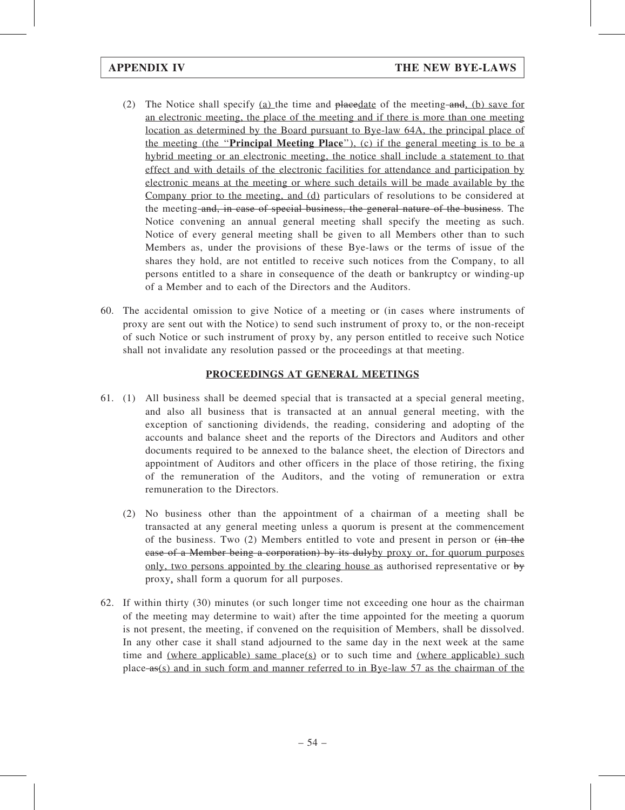- (2) The Notice shall specify (a) the time and placedate of the meeting and, (b) save for an electronic meeting, the place of the meeting and if there is more than one meeting location as determined by the Board pursuant to Bye-law 64A, the principal place of the meeting (the "**Principal Meeting Place**"), (c) if the general meeting is to be a hybrid meeting or an electronic meeting, the notice shall include a statement to that effect and with details of the electronic facilities for attendance and participation by electronic means at the meeting or where such details will be made available by the Company prior to the meeting, and (d) particulars of resolutions to be considered at the meeting and, in case of special business, the general nature of the business. The Notice convening an annual general meeting shall specify the meeting as such. Notice of every general meeting shall be given to all Members other than to such Members as, under the provisions of these Bye-laws or the terms of issue of the shares they hold, are not entitled to receive such notices from the Company, to all persons entitled to a share in consequence of the death or bankruptcy or winding-up of a Member and to each of the Directors and the Auditors.
- 60. The accidental omission to give Notice of a meeting or (in cases where instruments of proxy are sent out with the Notice) to send such instrument of proxy to, or the non-receipt of such Notice or such instrument of proxy by, any person entitled to receive such Notice shall not invalidate any resolution passed or the proceedings at that meeting.

# PROCEEDINGS AT GENERAL MEETINGS

- 61. (1) All business shall be deemed special that is transacted at a special general meeting, and also all business that is transacted at an annual general meeting, with the exception of sanctioning dividends, the reading, considering and adopting of the accounts and balance sheet and the reports of the Directors and Auditors and other documents required to be annexed to the balance sheet, the election of Directors and appointment of Auditors and other officers in the place of those retiring, the fixing of the remuneration of the Auditors, and the voting of remuneration or extra remuneration to the Directors.
	- (2) No business other than the appointment of a chairman of a meeting shall be transacted at any general meeting unless a quorum is present at the commencement of the business. Two  $(2)$  Members entitled to vote and present in person or  $\overline{(in \text{ the}})$ case of a Member being a corporation) by its dulyby proxy or, for quorum purposes only, two persons appointed by the clearing house as authorised representative or by proxy, shall form a quorum for all purposes.
- 62. If within thirty (30) minutes (or such longer time not exceeding one hour as the chairman of the meeting may determine to wait) after the time appointed for the meeting a quorum is not present, the meeting, if convened on the requisition of Members, shall be dissolved. In any other case it shall stand adjourned to the same day in the next week at the same time and (where applicable) same place(s) or to such time and (where applicable) such place as(s) and in such form and manner referred to in Bye-law 57 as the chairman of the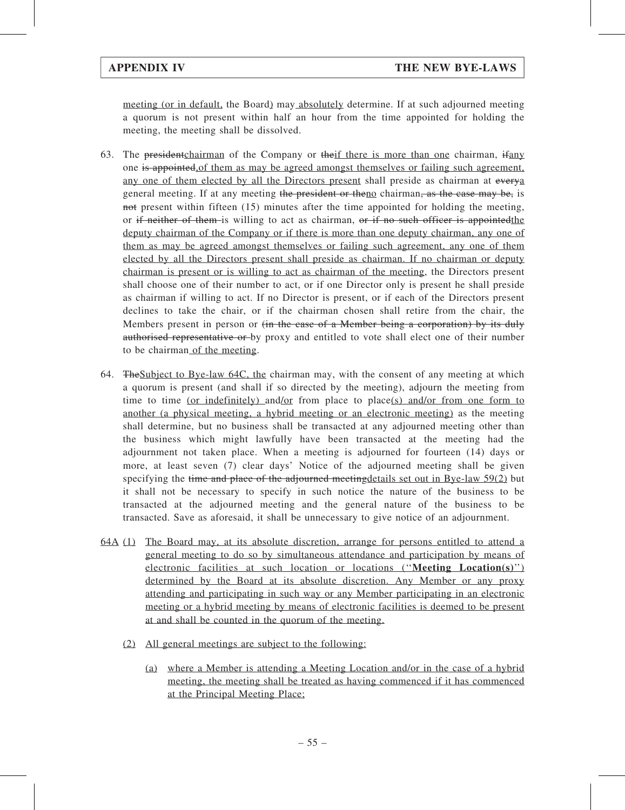meeting (or in default, the Board) may absolutely determine. If at such adjourned meeting a quorum is not present within half an hour from the time appointed for holding the meeting, the meeting shall be dissolved.

- 63. The president chairman of the Company or theif there is more than one chairman, ifany one is appointed,of them as may be agreed amongst themselves or failing such agreement, any one of them elected by all the Directors present shall preside as chairman at everya general meeting. If at any meeting the president or theno chairman, as the case may be, is not present within fifteen (15) minutes after the time appointed for holding the meeting, or if neither of them is willing to act as chairman, or if no such officer is appointed the deputy chairman of the Company or if there is more than one deputy chairman, any one of them as may be agreed amongst themselves or failing such agreement, any one of them elected by all the Directors present shall preside as chairman. If no chairman or deputy chairman is present or is willing to act as chairman of the meeting, the Directors present shall choose one of their number to act, or if one Director only is present he shall preside as chairman if willing to act. If no Director is present, or if each of the Directors present declines to take the chair, or if the chairman chosen shall retire from the chair, the Members present in person or <del>(in the case of a Member being a corporation) by its duly</del> authorised representative or by proxy and entitled to vote shall elect one of their number to be chairman of the meeting.
- 64. TheSubject to Bye-law 64C, the chairman may, with the consent of any meeting at which a quorum is present (and shall if so directed by the meeting), adjourn the meeting from time to time (or indefinitely) and/or from place to place(s) and/or from one form to another (a physical meeting, a hybrid meeting or an electronic meeting) as the meeting shall determine, but no business shall be transacted at any adjourned meeting other than the business which might lawfully have been transacted at the meeting had the adjournment not taken place. When a meeting is adjourned for fourteen (14) days or more, at least seven (7) clear days' Notice of the adjourned meeting shall be given specifying the time and place of the adjourned meeting details set out in Bye-law 59(2) but it shall not be necessary to specify in such notice the nature of the business to be transacted at the adjourned meeting and the general nature of the business to be transacted. Save as aforesaid, it shall be unnecessary to give notice of an adjournment.
- 64A (1) The Board may, at its absolute discretion, arrange for persons entitled to attend a general meeting to do so by simultaneous attendance and participation by means of electronic facilities at such location or locations (''Meeting Location(s)'') determined by the Board at its absolute discretion. Any Member or any proxy attending and participating in such way or any Member participating in an electronic meeting or a hybrid meeting by means of electronic facilities is deemed to be present at and shall be counted in the quorum of the meeting.
	- (2) All general meetings are subject to the following:
		- (a) where a Member is attending a Meeting Location and/or in the case of a hybrid meeting, the meeting shall be treated as having commenced if it has commenced at the Principal Meeting Place;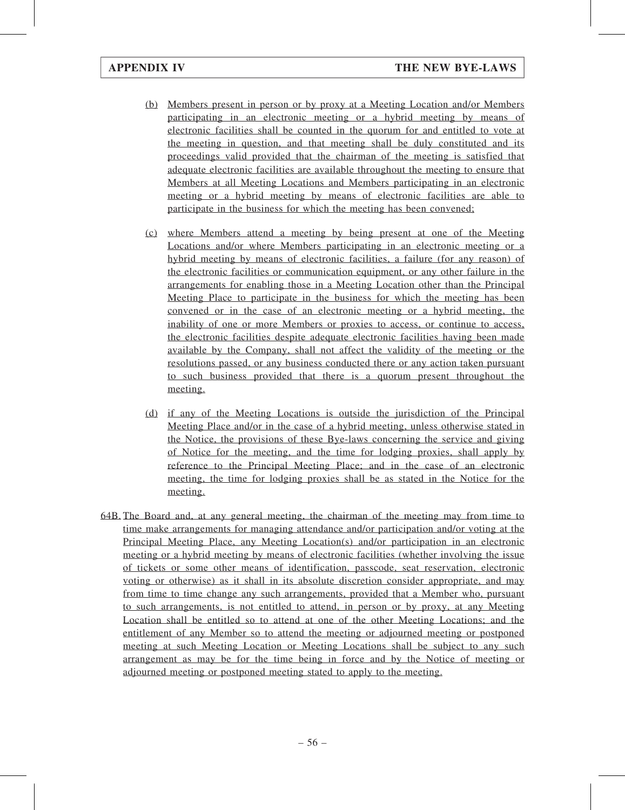- (b) Members present in person or by proxy at a Meeting Location and/or Members participating in an electronic meeting or a hybrid meeting by means of electronic facilities shall be counted in the quorum for and entitled to vote at the meeting in question, and that meeting shall be duly constituted and its proceedings valid provided that the chairman of the meeting is satisfied that adequate electronic facilities are available throughout the meeting to ensure that Members at all Meeting Locations and Members participating in an electronic meeting or a hybrid meeting by means of electronic facilities are able to participate in the business for which the meeting has been convened;
- (c) where Members attend a meeting by being present at one of the Meeting Locations and/or where Members participating in an electronic meeting or a hybrid meeting by means of electronic facilities, a failure (for any reason) of the electronic facilities or communication equipment, or any other failure in the arrangements for enabling those in a Meeting Location other than the Principal Meeting Place to participate in the business for which the meeting has been convened or in the case of an electronic meeting or a hybrid meeting, the inability of one or more Members or proxies to access, or continue to access, the electronic facilities despite adequate electronic facilities having been made available by the Company, shall not affect the validity of the meeting or the resolutions passed, or any business conducted there or any action taken pursuant to such business provided that there is a quorum present throughout the meeting.
- (d) if any of the Meeting Locations is outside the jurisdiction of the Principal Meeting Place and/or in the case of a hybrid meeting, unless otherwise stated in the Notice, the provisions of these Bye-laws concerning the service and giving of Notice for the meeting, and the time for lodging proxies, shall apply by reference to the Principal Meeting Place; and in the case of an electronic meeting, the time for lodging proxies shall be as stated in the Notice for the meeting.
- 64B. The Board and, at any general meeting, the chairman of the meeting may from time to time make arrangements for managing attendance and/or participation and/or voting at the Principal Meeting Place, any Meeting Location(s) and/or participation in an electronic meeting or a hybrid meeting by means of electronic facilities (whether involving the issue of tickets or some other means of identification, passcode, seat reservation, electronic voting or otherwise) as it shall in its absolute discretion consider appropriate, and may from time to time change any such arrangements, provided that a Member who, pursuant to such arrangements, is not entitled to attend, in person or by proxy, at any Meeting Location shall be entitled so to attend at one of the other Meeting Locations; and the entitlement of any Member so to attend the meeting or adjourned meeting or postponed meeting at such Meeting Location or Meeting Locations shall be subject to any such arrangement as may be for the time being in force and by the Notice of meeting or adjourned meeting or postponed meeting stated to apply to the meeting.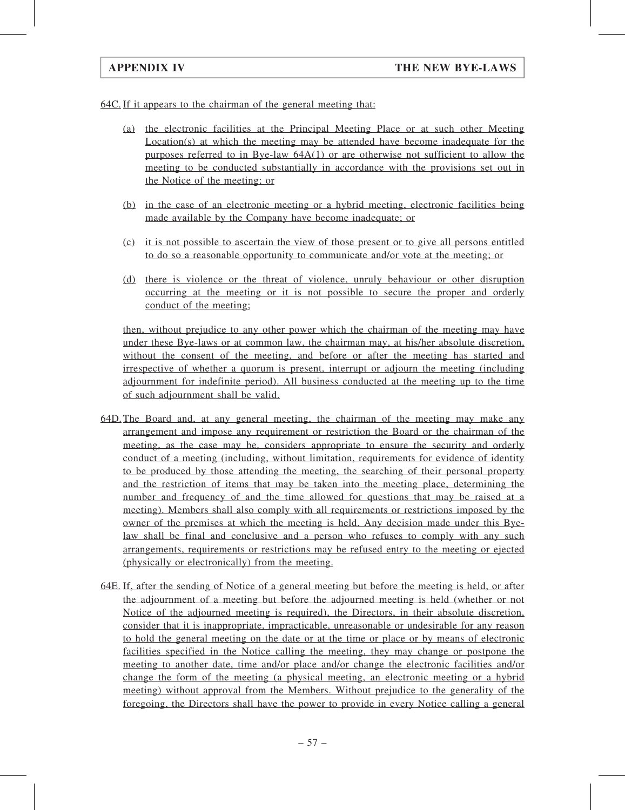64C. If it appears to the chairman of the general meeting that:

- (a) the electronic facilities at the Principal Meeting Place or at such other Meeting Location(s) at which the meeting may be attended have become inadequate for the purposes referred to in Bye-law 64A(1) or are otherwise not sufficient to allow the meeting to be conducted substantially in accordance with the provisions set out in the Notice of the meeting; or
- (b) in the case of an electronic meeting or a hybrid meeting, electronic facilities being made available by the Company have become inadequate; or
- (c) it is not possible to ascertain the view of those present or to give all persons entitled to do so a reasonable opportunity to communicate and/or vote at the meeting; or
- (d) there is violence or the threat of violence, unruly behaviour or other disruption occurring at the meeting or it is not possible to secure the proper and orderly conduct of the meeting;

then, without prejudice to any other power which the chairman of the meeting may have under these Bye-laws or at common law, the chairman may, at his/her absolute discretion, without the consent of the meeting, and before or after the meeting has started and irrespective of whether a quorum is present, interrupt or adjourn the meeting (including adjournment for indefinite period). All business conducted at the meeting up to the time of such adjournment shall be valid.

- 64D.The Board and, at any general meeting, the chairman of the meeting may make any arrangement and impose any requirement or restriction the Board or the chairman of the meeting, as the case may be, considers appropriate to ensure the security and orderly conduct of a meeting (including, without limitation, requirements for evidence of identity to be produced by those attending the meeting, the searching of their personal property and the restriction of items that may be taken into the meeting place, determining the number and frequency of and the time allowed for questions that may be raised at a meeting). Members shall also comply with all requirements or restrictions imposed by the owner of the premises at which the meeting is held. Any decision made under this Byelaw shall be final and conclusive and a person who refuses to comply with any such arrangements, requirements or restrictions may be refused entry to the meeting or ejected (physically or electronically) from the meeting.
- 64E. If, after the sending of Notice of a general meeting but before the meeting is held, or after the adjournment of a meeting but before the adjourned meeting is held (whether or not Notice of the adjourned meeting is required), the Directors, in their absolute discretion, consider that it is inappropriate, impracticable, unreasonable or undesirable for any reason to hold the general meeting on the date or at the time or place or by means of electronic facilities specified in the Notice calling the meeting, they may change or postpone the meeting to another date, time and/or place and/or change the electronic facilities and/or change the form of the meeting (a physical meeting, an electronic meeting or a hybrid meeting) without approval from the Members. Without prejudice to the generality of the foregoing, the Directors shall have the power to provide in every Notice calling a general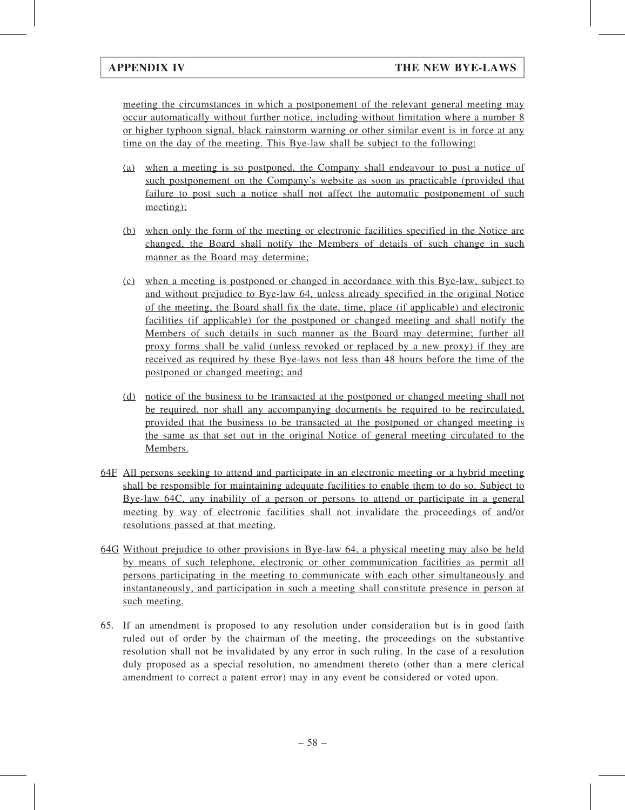meeting the circumstances in which a postponement of the relevant general meeting may occur automatically without further notice, including without limitation where a number 8 or higher typhoon signal, black rainstorm warning or other similar event is in force at any time on the day of the meeting. This Bye-law shall be subject to the following:

- (a) when a meeting is so postponed, the Company shall endeavour to post a notice of such postponement on the Company's website as soon as practicable (provided that failure to post such a notice shall not affect the automatic postponement of such meeting);
- (b) when only the form of the meeting or electronic facilities specified in the Notice are changed, the Board shall notify the Members of details of such change in such manner as the Board may determine;
- (c) when a meeting is postponed or changed in accordance with this Bye-law, subject to and without prejudice to Bye-law 64, unless already specified in the original Notice of the meeting, the Board shall fix the date, time, place (if applicable) and electronic facilities (if applicable) for the postponed or changed meeting and shall notify the Members of such details in such manner as the Board may determine; further all proxy forms shall be valid (unless revoked or replaced by a new proxy) if they are received as required by these Bye-laws not less than 48 hours before the time of the postponed or changed meeting; and
- (d) notice of the business to be transacted at the postponed or changed meeting shall not be required, nor shall any accompanying documents be required to be recirculated, provided that the business to be transacted at the postponed or changed meeting is the same as that set out in the original Notice of general meeting circulated to the Members.
- 64F All persons seeking to attend and participate in an electronic meeting or a hybrid meeting shall be responsible for maintaining adequate facilities to enable them to do so. Subject to Bye-law 64C, any inability of a person or persons to attend or participate in a general meeting by way of electronic facilities shall not invalidate the proceedings of and/or resolutions passed at that meeting.
- 64G Without prejudice to other provisions in Bye-law 64, a physical meeting may also be held by means of such telephone, electronic or other communication facilities as permit all persons participating in the meeting to communicate with each other simultaneously and instantaneously, and participation in such a meeting shall constitute presence in person at such meeting.
- 65. If an amendment is proposed to any resolution under consideration but is in good faith ruled out of order by the chairman of the meeting, the proceedings on the substantive resolution shall not be invalidated by any error in such ruling. In the case of a resolution duly proposed as a special resolution, no amendment thereto (other than a mere clerical amendment to correct a patent error) may in any event be considered or voted upon.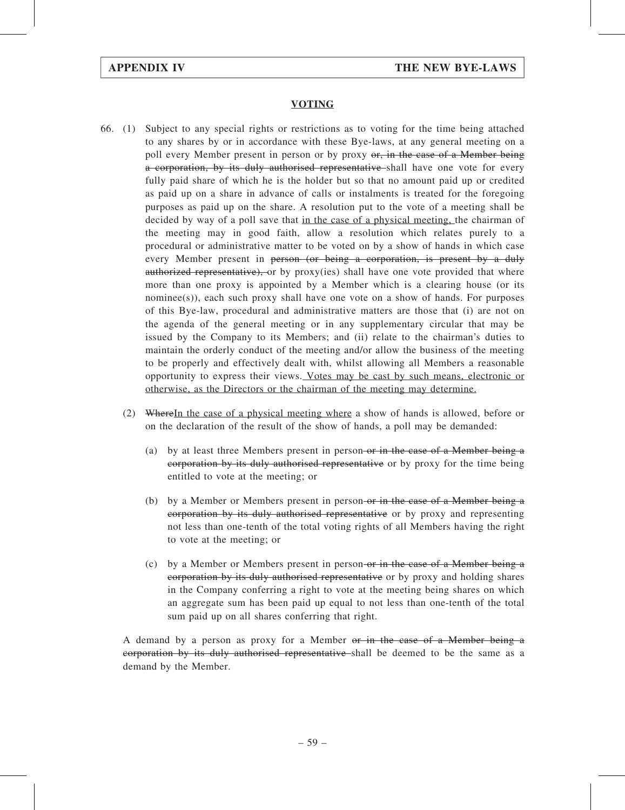## VOTING

- 66. (1) Subject to any special rights or restrictions as to voting for the time being attached to any shares by or in accordance with these Bye-laws, at any general meeting on a poll every Member present in person or by proxy or, in the case of a Member being a corporation, by its duly authorised representative shall have one vote for every fully paid share of which he is the holder but so that no amount paid up or credited as paid up on a share in advance of calls or instalments is treated for the foregoing purposes as paid up on the share. A resolution put to the vote of a meeting shall be decided by way of a poll save that in the case of a physical meeting, the chairman of the meeting may in good faith, allow a resolution which relates purely to a procedural or administrative matter to be voted on by a show of hands in which case every Member present in person (or being a corporation, is present by a duly authorized representative), or by proxy(ies) shall have one vote provided that where more than one proxy is appointed by a Member which is a clearing house (or its nominee(s)), each such proxy shall have one vote on a show of hands. For purposes of this Bye-law, procedural and administrative matters are those that (i) are not on the agenda of the general meeting or in any supplementary circular that may be issued by the Company to its Members; and (ii) relate to the chairman's duties to maintain the orderly conduct of the meeting and/or allow the business of the meeting to be properly and effectively dealt with, whilst allowing all Members a reasonable opportunity to express their views. Votes may be cast by such means, electronic or otherwise, as the Directors or the chairman of the meeting may determine.
	- (2) WhereIn the case of a physical meeting where a show of hands is allowed, before or on the declaration of the result of the show of hands, a poll may be demanded:
		- (a) by at least three Members present in person-or in the case of a Member being a corporation by its duly authorised representative or by proxy for the time being entitled to vote at the meeting; or
		- (b) by a Member or Members present in person-or in the case of a Member being  $\alpha$ corporation by its duly authorised representative or by proxy and representing not less than one-tenth of the total voting rights of all Members having the right to vote at the meeting; or
		- (c) by a Member or Members present in person-or in the case of a Member being a corporation by its duly authorised representative or by proxy and holding shares in the Company conferring a right to vote at the meeting being shares on which an aggregate sum has been paid up equal to not less than one-tenth of the total sum paid up on all shares conferring that right.

A demand by a person as proxy for a Member or in the case of a Member being a corporation by its duly authorised representative shall be deemed to be the same as a demand by the Member.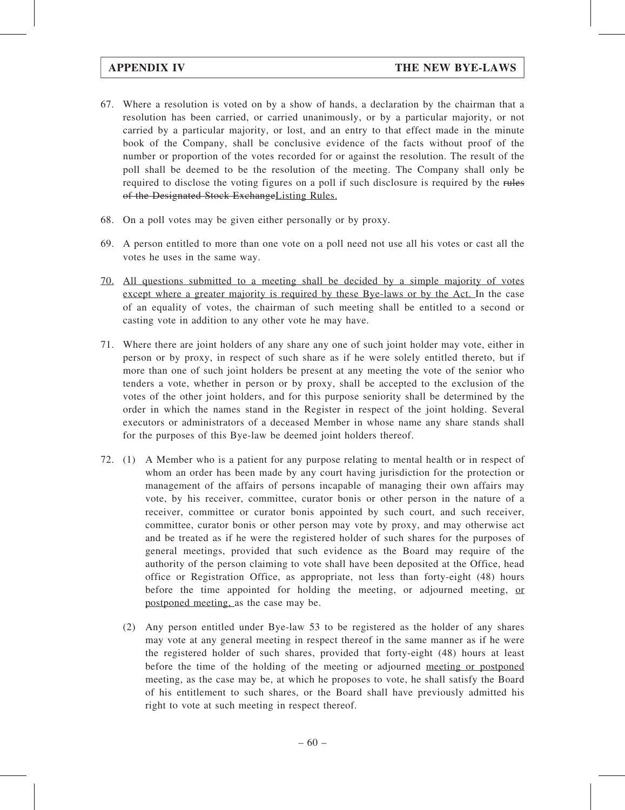- 67. Where a resolution is voted on by a show of hands, a declaration by the chairman that a resolution has been carried, or carried unanimously, or by a particular majority, or not carried by a particular majority, or lost, and an entry to that effect made in the minute book of the Company, shall be conclusive evidence of the facts without proof of the number or proportion of the votes recorded for or against the resolution. The result of the poll shall be deemed to be the resolution of the meeting. The Company shall only be required to disclose the voting figures on a poll if such disclosure is required by the rules of the Designated Stock ExchangeListing Rules.
- 68. On a poll votes may be given either personally or by proxy.
- 69. A person entitled to more than one vote on a poll need not use all his votes or cast all the votes he uses in the same way.
- 70. All questions submitted to a meeting shall be decided by a simple majority of votes except where a greater majority is required by these Bye-laws or by the Act. In the case of an equality of votes, the chairman of such meeting shall be entitled to a second or casting vote in addition to any other vote he may have.
- 71. Where there are joint holders of any share any one of such joint holder may vote, either in person or by proxy, in respect of such share as if he were solely entitled thereto, but if more than one of such joint holders be present at any meeting the vote of the senior who tenders a vote, whether in person or by proxy, shall be accepted to the exclusion of the votes of the other joint holders, and for this purpose seniority shall be determined by the order in which the names stand in the Register in respect of the joint holding. Several executors or administrators of a deceased Member in whose name any share stands shall for the purposes of this Bye-law be deemed joint holders thereof.
- 72. (1) A Member who is a patient for any purpose relating to mental health or in respect of whom an order has been made by any court having jurisdiction for the protection or management of the affairs of persons incapable of managing their own affairs may vote, by his receiver, committee, curator bonis or other person in the nature of a receiver, committee or curator bonis appointed by such court, and such receiver, committee, curator bonis or other person may vote by proxy, and may otherwise act and be treated as if he were the registered holder of such shares for the purposes of general meetings, provided that such evidence as the Board may require of the authority of the person claiming to vote shall have been deposited at the Office, head office or Registration Office, as appropriate, not less than forty-eight (48) hours before the time appointed for holding the meeting, or adjourned meeting, or postponed meeting, as the case may be.
	- (2) Any person entitled under Bye-law 53 to be registered as the holder of any shares may vote at any general meeting in respect thereof in the same manner as if he were the registered holder of such shares, provided that forty-eight (48) hours at least before the time of the holding of the meeting or adjourned meeting or postponed meeting, as the case may be, at which he proposes to vote, he shall satisfy the Board of his entitlement to such shares, or the Board shall have previously admitted his right to vote at such meeting in respect thereof.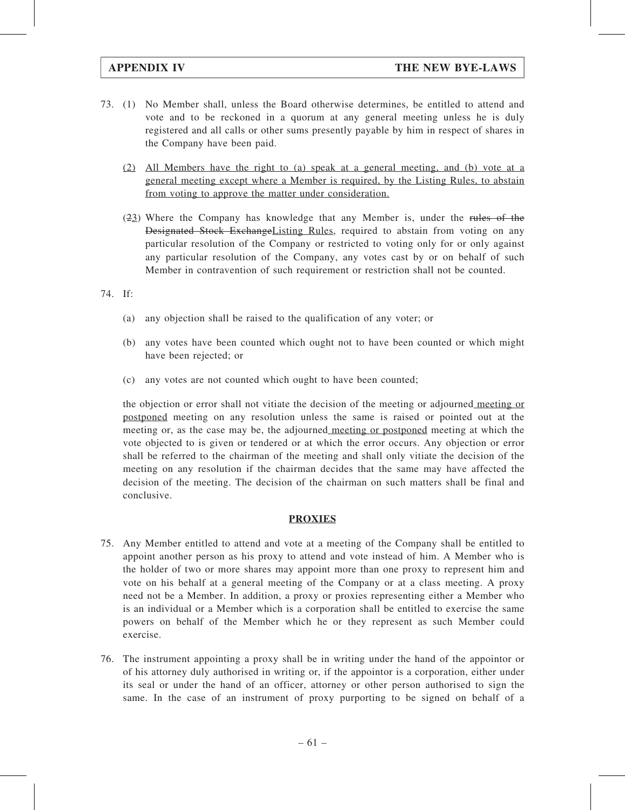- 73. (1) No Member shall, unless the Board otherwise determines, be entitled to attend and vote and to be reckoned in a quorum at any general meeting unless he is duly registered and all calls or other sums presently payable by him in respect of shares in the Company have been paid.
	- (2) All Members have the right to (a) speak at a general meeting, and (b) vote at a general meeting except where a Member is required, by the Listing Rules, to abstain from voting to approve the matter under consideration.
	- (23) Where the Company has knowledge that any Member is, under the rules of the Designated Stock ExchangeListing Rules, required to abstain from voting on any particular resolution of the Company or restricted to voting only for or only against any particular resolution of the Company, any votes cast by or on behalf of such Member in contravention of such requirement or restriction shall not be counted.

## 74. If:

- (a) any objection shall be raised to the qualification of any voter; or
- (b) any votes have been counted which ought not to have been counted or which might have been rejected; or
- (c) any votes are not counted which ought to have been counted;

the objection or error shall not vitiate the decision of the meeting or adjourned meeting or postponed meeting on any resolution unless the same is raised or pointed out at the meeting or, as the case may be, the adjourned meeting or postponed meeting at which the vote objected to is given or tendered or at which the error occurs. Any objection or error shall be referred to the chairman of the meeting and shall only vitiate the decision of the meeting on any resolution if the chairman decides that the same may have affected the decision of the meeting. The decision of the chairman on such matters shall be final and conclusive.

## PROXIES

- 75. Any Member entitled to attend and vote at a meeting of the Company shall be entitled to appoint another person as his proxy to attend and vote instead of him. A Member who is the holder of two or more shares may appoint more than one proxy to represent him and vote on his behalf at a general meeting of the Company or at a class meeting. A proxy need not be a Member. In addition, a proxy or proxies representing either a Member who is an individual or a Member which is a corporation shall be entitled to exercise the same powers on behalf of the Member which he or they represent as such Member could exercise.
- 76. The instrument appointing a proxy shall be in writing under the hand of the appointor or of his attorney duly authorised in writing or, if the appointor is a corporation, either under its seal or under the hand of an officer, attorney or other person authorised to sign the same. In the case of an instrument of proxy purporting to be signed on behalf of a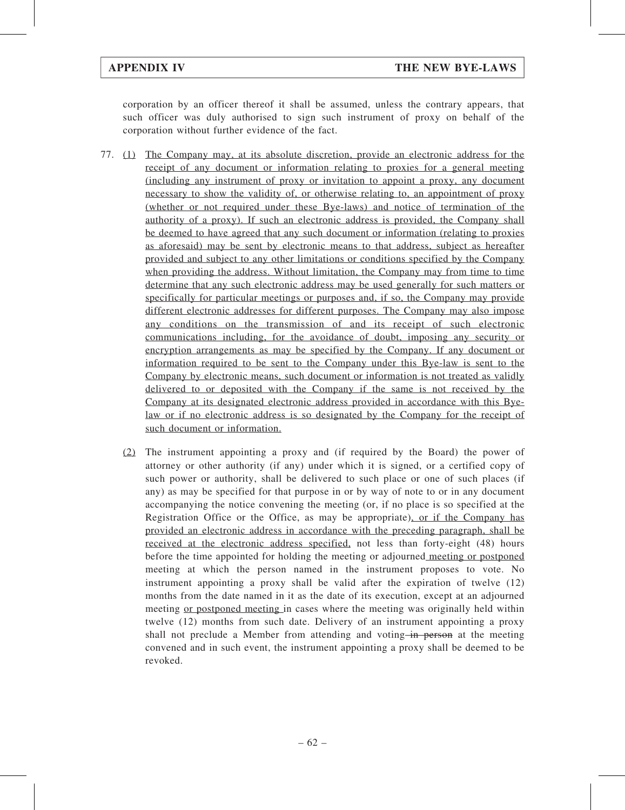corporation by an officer thereof it shall be assumed, unless the contrary appears, that such officer was duly authorised to sign such instrument of proxy on behalf of the corporation without further evidence of the fact.

- 77. (1) The Company may, at its absolute discretion, provide an electronic address for the receipt of any document or information relating to proxies for a general meeting (including any instrument of proxy or invitation to appoint a proxy, any document necessary to show the validity of, or otherwise relating to, an appointment of proxy (whether or not required under these Bye-laws) and notice of termination of the authority of a proxy). If such an electronic address is provided, the Company shall be deemed to have agreed that any such document or information (relating to proxies as aforesaid) may be sent by electronic means to that address, subject as hereafter provided and subject to any other limitations or conditions specified by the Company when providing the address. Without limitation, the Company may from time to time determine that any such electronic address may be used generally for such matters or specifically for particular meetings or purposes and, if so, the Company may provide different electronic addresses for different purposes. The Company may also impose any conditions on the transmission of and its receipt of such electronic communications including, for the avoidance of doubt, imposing any security or encryption arrangements as may be specified by the Company. If any document or information required to be sent to the Company under this Bye-law is sent to the Company by electronic means, such document or information is not treated as validly delivered to or deposited with the Company if the same is not received by the Company at its designated electronic address provided in accordance with this Byelaw or if no electronic address is so designated by the Company for the receipt of such document or information.
	- (2) The instrument appointing a proxy and (if required by the Board) the power of attorney or other authority (if any) under which it is signed, or a certified copy of such power or authority, shall be delivered to such place or one of such places (if any) as may be specified for that purpose in or by way of note to or in any document accompanying the notice convening the meeting (or, if no place is so specified at the Registration Office or the Office, as may be appropriate), or if the Company has provided an electronic address in accordance with the preceding paragraph, shall be received at the electronic address specified, not less than forty-eight (48) hours before the time appointed for holding the meeting or adjourned meeting or postponed meeting at which the person named in the instrument proposes to vote. No instrument appointing a proxy shall be valid after the expiration of twelve (12) months from the date named in it as the date of its execution, except at an adjourned meeting or postponed meeting in cases where the meeting was originally held within twelve (12) months from such date. Delivery of an instrument appointing a proxy shall not preclude a Member from attending and voting in person at the meeting convened and in such event, the instrument appointing a proxy shall be deemed to be revoked.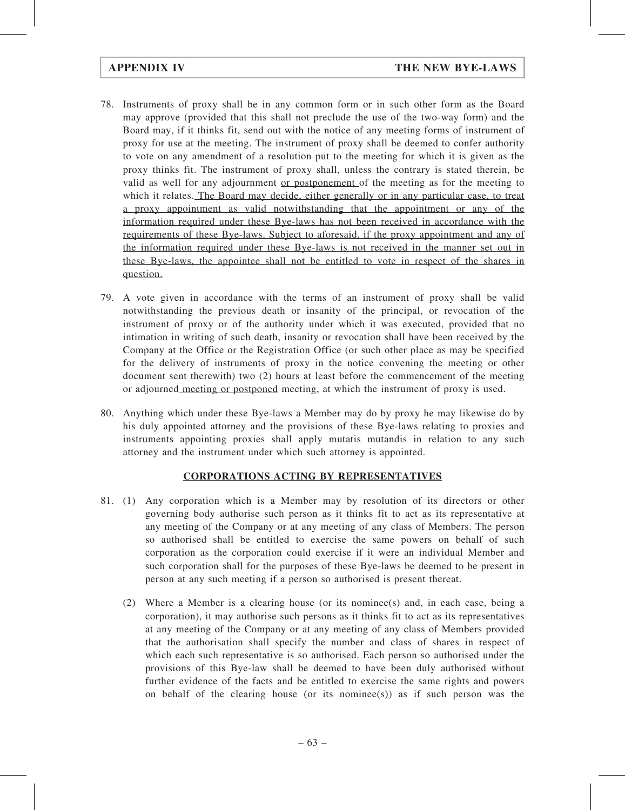- 78. Instruments of proxy shall be in any common form or in such other form as the Board may approve (provided that this shall not preclude the use of the two-way form) and the Board may, if it thinks fit, send out with the notice of any meeting forms of instrument of proxy for use at the meeting. The instrument of proxy shall be deemed to confer authority to vote on any amendment of a resolution put to the meeting for which it is given as the proxy thinks fit. The instrument of proxy shall, unless the contrary is stated therein, be valid as well for any adjournment or postponement of the meeting as for the meeting to which it relates. The Board may decide, either generally or in any particular case, to treat a proxy appointment as valid notwithstanding that the appointment or any of the information required under these Bye-laws has not been received in accordance with the requirements of these Bye-laws. Subject to aforesaid, if the proxy appointment and any of the information required under these Bye-laws is not received in the manner set out in these Bye-laws, the appointee shall not be entitled to vote in respect of the shares in question.
- 79. A vote given in accordance with the terms of an instrument of proxy shall be valid notwithstanding the previous death or insanity of the principal, or revocation of the instrument of proxy or of the authority under which it was executed, provided that no intimation in writing of such death, insanity or revocation shall have been received by the Company at the Office or the Registration Office (or such other place as may be specified for the delivery of instruments of proxy in the notice convening the meeting or other document sent therewith) two (2) hours at least before the commencement of the meeting or adjourned meeting or postponed meeting, at which the instrument of proxy is used.
- 80. Anything which under these Bye-laws a Member may do by proxy he may likewise do by his duly appointed attorney and the provisions of these Bye-laws relating to proxies and instruments appointing proxies shall apply mutatis mutandis in relation to any such attorney and the instrument under which such attorney is appointed.

## CORPORATIONS ACTING BY REPRESENTATIVES

- 81. (1) Any corporation which is a Member may by resolution of its directors or other governing body authorise such person as it thinks fit to act as its representative at any meeting of the Company or at any meeting of any class of Members. The person so authorised shall be entitled to exercise the same powers on behalf of such corporation as the corporation could exercise if it were an individual Member and such corporation shall for the purposes of these Bye-laws be deemed to be present in person at any such meeting if a person so authorised is present thereat.
	- (2) Where a Member is a clearing house (or its nominee(s) and, in each case, being a corporation), it may authorise such persons as it thinks fit to act as its representatives at any meeting of the Company or at any meeting of any class of Members provided that the authorisation shall specify the number and class of shares in respect of which each such representative is so authorised. Each person so authorised under the provisions of this Bye-law shall be deemed to have been duly authorised without further evidence of the facts and be entitled to exercise the same rights and powers on behalf of the clearing house (or its nominee(s)) as if such person was the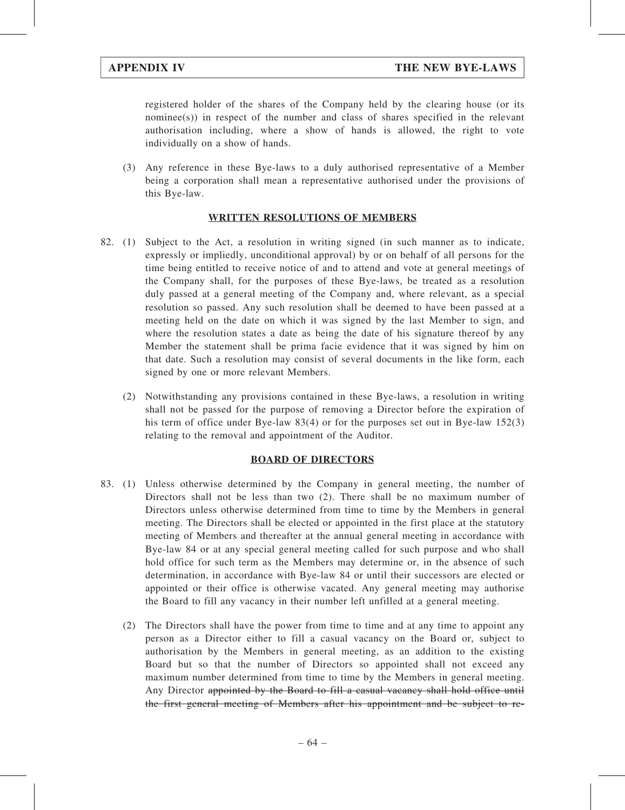registered holder of the shares of the Company held by the clearing house (or its nominee(s)) in respect of the number and class of shares specified in the relevant authorisation including, where a show of hands is allowed, the right to vote individually on a show of hands.

(3) Any reference in these Bye-laws to a duly authorised representative of a Member being a corporation shall mean a representative authorised under the provisions of this Bye-law.

# WRITTEN RESOLUTIONS OF MEMBERS

- 82. (1) Subject to the Act, a resolution in writing signed (in such manner as to indicate, expressly or impliedly, unconditional approval) by or on behalf of all persons for the time being entitled to receive notice of and to attend and vote at general meetings of the Company shall, for the purposes of these Bye-laws, be treated as a resolution duly passed at a general meeting of the Company and, where relevant, as a special resolution so passed. Any such resolution shall be deemed to have been passed at a meeting held on the date on which it was signed by the last Member to sign, and where the resolution states a date as being the date of his signature thereof by any Member the statement shall be prima facie evidence that it was signed by him on that date. Such a resolution may consist of several documents in the like form, each signed by one or more relevant Members.
	- (2) Notwithstanding any provisions contained in these Bye-laws, a resolution in writing shall not be passed for the purpose of removing a Director before the expiration of his term of office under Bye-law 83(4) or for the purposes set out in Bye-law 152(3) relating to the removal and appointment of the Auditor.

## BOARD OF DIRECTORS

- 83. (1) Unless otherwise determined by the Company in general meeting, the number of Directors shall not be less than two (2). There shall be no maximum number of Directors unless otherwise determined from time to time by the Members in general meeting. The Directors shall be elected or appointed in the first place at the statutory meeting of Members and thereafter at the annual general meeting in accordance with Bye-law 84 or at any special general meeting called for such purpose and who shall hold office for such term as the Members may determine or, in the absence of such determination, in accordance with Bye-law 84 or until their successors are elected or appointed or their office is otherwise vacated. Any general meeting may authorise the Board to fill any vacancy in their number left unfilled at a general meeting.
	- (2) The Directors shall have the power from time to time and at any time to appoint any person as a Director either to fill a casual vacancy on the Board or, subject to authorisation by the Members in general meeting, as an addition to the existing Board but so that the number of Directors so appointed shall not exceed any maximum number determined from time to time by the Members in general meeting. Any Director appointed by the Board to fill a casual vacancy shall hold office until the first general meeting of Members after his appointment and be subject to re-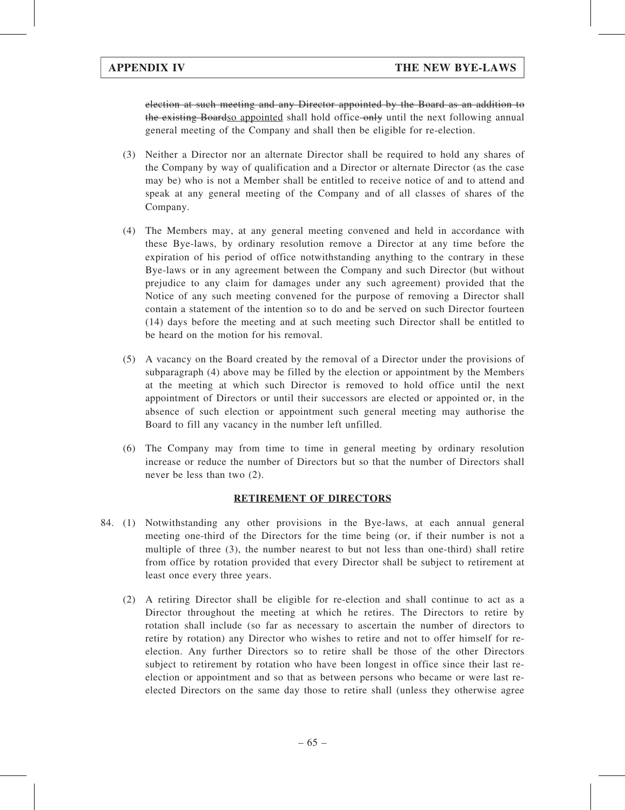election at such meeting and any Director appointed by the Board as an addition to the existing Boardso appointed shall hold office only until the next following annual general meeting of the Company and shall then be eligible for re-election.

- (3) Neither a Director nor an alternate Director shall be required to hold any shares of the Company by way of qualification and a Director or alternate Director (as the case may be) who is not a Member shall be entitled to receive notice of and to attend and speak at any general meeting of the Company and of all classes of shares of the Company.
- (4) The Members may, at any general meeting convened and held in accordance with these Bye-laws, by ordinary resolution remove a Director at any time before the expiration of his period of office notwithstanding anything to the contrary in these Bye-laws or in any agreement between the Company and such Director (but without prejudice to any claim for damages under any such agreement) provided that the Notice of any such meeting convened for the purpose of removing a Director shall contain a statement of the intention so to do and be served on such Director fourteen (14) days before the meeting and at such meeting such Director shall be entitled to be heard on the motion for his removal.
- (5) A vacancy on the Board created by the removal of a Director under the provisions of subparagraph (4) above may be filled by the election or appointment by the Members at the meeting at which such Director is removed to hold office until the next appointment of Directors or until their successors are elected or appointed or, in the absence of such election or appointment such general meeting may authorise the Board to fill any vacancy in the number left unfilled.
- (6) The Company may from time to time in general meeting by ordinary resolution increase or reduce the number of Directors but so that the number of Directors shall never be less than two (2).

## RETIREMENT OF DIRECTORS

- 84. (1) Notwithstanding any other provisions in the Bye-laws, at each annual general meeting one-third of the Directors for the time being (or, if their number is not a multiple of three (3), the number nearest to but not less than one-third) shall retire from office by rotation provided that every Director shall be subject to retirement at least once every three years.
	- (2) A retiring Director shall be eligible for re-election and shall continue to act as a Director throughout the meeting at which he retires. The Directors to retire by rotation shall include (so far as necessary to ascertain the number of directors to retire by rotation) any Director who wishes to retire and not to offer himself for reelection. Any further Directors so to retire shall be those of the other Directors subject to retirement by rotation who have been longest in office since their last reelection or appointment and so that as between persons who became or were last reelected Directors on the same day those to retire shall (unless they otherwise agree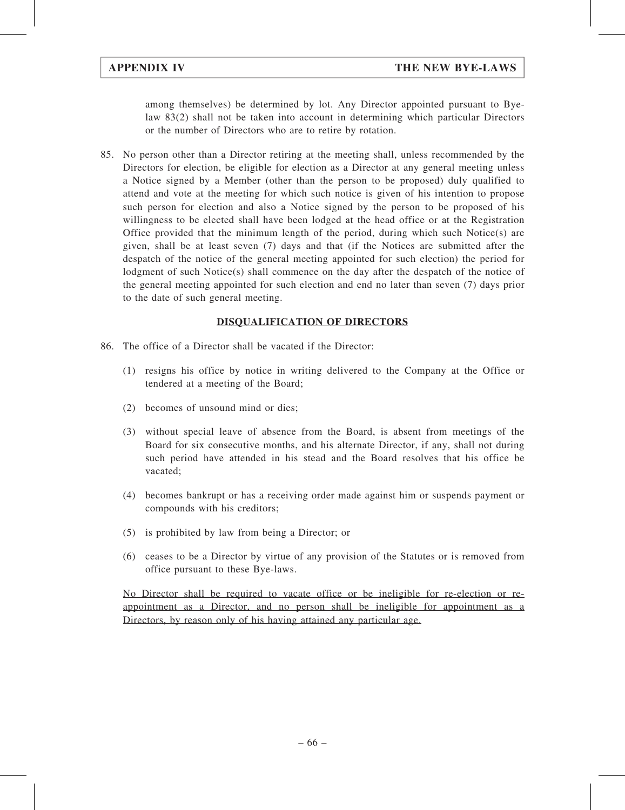among themselves) be determined by lot. Any Director appointed pursuant to Byelaw 83(2) shall not be taken into account in determining which particular Directors or the number of Directors who are to retire by rotation.

85. No person other than a Director retiring at the meeting shall, unless recommended by the Directors for election, be eligible for election as a Director at any general meeting unless a Notice signed by a Member (other than the person to be proposed) duly qualified to attend and vote at the meeting for which such notice is given of his intention to propose such person for election and also a Notice signed by the person to be proposed of his willingness to be elected shall have been lodged at the head office or at the Registration Office provided that the minimum length of the period, during which such Notice(s) are given, shall be at least seven (7) days and that (if the Notices are submitted after the despatch of the notice of the general meeting appointed for such election) the period for lodgment of such Notice(s) shall commence on the day after the despatch of the notice of the general meeting appointed for such election and end no later than seven (7) days prior to the date of such general meeting.

# DISQUALIFICATION OF DIRECTORS

- 86. The office of a Director shall be vacated if the Director:
	- (1) resigns his office by notice in writing delivered to the Company at the Office or tendered at a meeting of the Board;
	- (2) becomes of unsound mind or dies;
	- (3) without special leave of absence from the Board, is absent from meetings of the Board for six consecutive months, and his alternate Director, if any, shall not during such period have attended in his stead and the Board resolves that his office be vacated;
	- (4) becomes bankrupt or has a receiving order made against him or suspends payment or compounds with his creditors;
	- (5) is prohibited by law from being a Director; or
	- (6) ceases to be a Director by virtue of any provision of the Statutes or is removed from office pursuant to these Bye-laws.

No Director shall be required to vacate office or be ineligible for re-election or reappointment as a Director, and no person shall be ineligible for appointment as a Directors, by reason only of his having attained any particular age.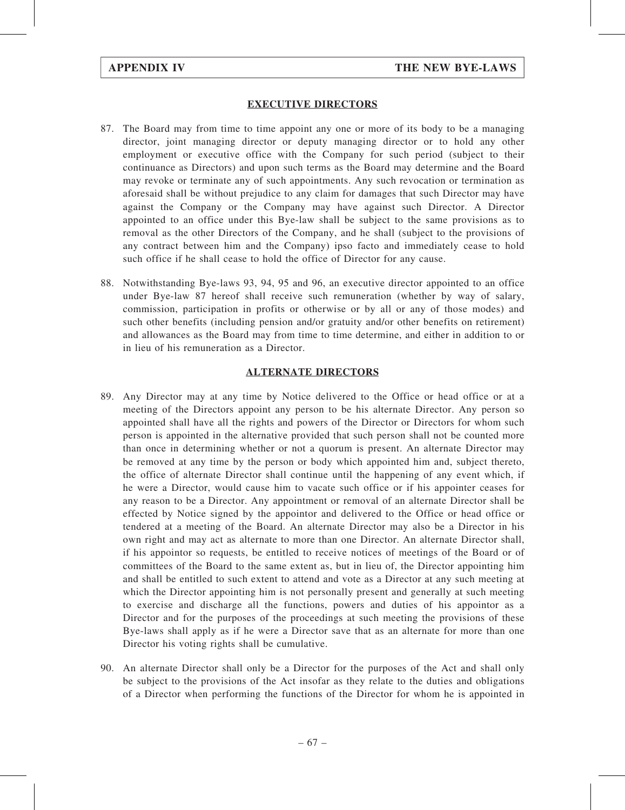## EXECUTIVE DIRECTORS

- 87. The Board may from time to time appoint any one or more of its body to be a managing director, joint managing director or deputy managing director or to hold any other employment or executive office with the Company for such period (subject to their continuance as Directors) and upon such terms as the Board may determine and the Board may revoke or terminate any of such appointments. Any such revocation or termination as aforesaid shall be without prejudice to any claim for damages that such Director may have against the Company or the Company may have against such Director. A Director appointed to an office under this Bye-law shall be subject to the same provisions as to removal as the other Directors of the Company, and he shall (subject to the provisions of any contract between him and the Company) ipso facto and immediately cease to hold such office if he shall cease to hold the office of Director for any cause.
- 88. Notwithstanding Bye-laws 93, 94, 95 and 96, an executive director appointed to an office under Bye-law 87 hereof shall receive such remuneration (whether by way of salary, commission, participation in profits or otherwise or by all or any of those modes) and such other benefits (including pension and/or gratuity and/or other benefits on retirement) and allowances as the Board may from time to time determine, and either in addition to or in lieu of his remuneration as a Director.

## ALTERNATE DIRECTORS

- 89. Any Director may at any time by Notice delivered to the Office or head office or at a meeting of the Directors appoint any person to be his alternate Director. Any person so appointed shall have all the rights and powers of the Director or Directors for whom such person is appointed in the alternative provided that such person shall not be counted more than once in determining whether or not a quorum is present. An alternate Director may be removed at any time by the person or body which appointed him and, subject thereto, the office of alternate Director shall continue until the happening of any event which, if he were a Director, would cause him to vacate such office or if his appointer ceases for any reason to be a Director. Any appointment or removal of an alternate Director shall be effected by Notice signed by the appointor and delivered to the Office or head office or tendered at a meeting of the Board. An alternate Director may also be a Director in his own right and may act as alternate to more than one Director. An alternate Director shall, if his appointor so requests, be entitled to receive notices of meetings of the Board or of committees of the Board to the same extent as, but in lieu of, the Director appointing him and shall be entitled to such extent to attend and vote as a Director at any such meeting at which the Director appointing him is not personally present and generally at such meeting to exercise and discharge all the functions, powers and duties of his appointor as a Director and for the purposes of the proceedings at such meeting the provisions of these Bye-laws shall apply as if he were a Director save that as an alternate for more than one Director his voting rights shall be cumulative.
- 90. An alternate Director shall only be a Director for the purposes of the Act and shall only be subject to the provisions of the Act insofar as they relate to the duties and obligations of a Director when performing the functions of the Director for whom he is appointed in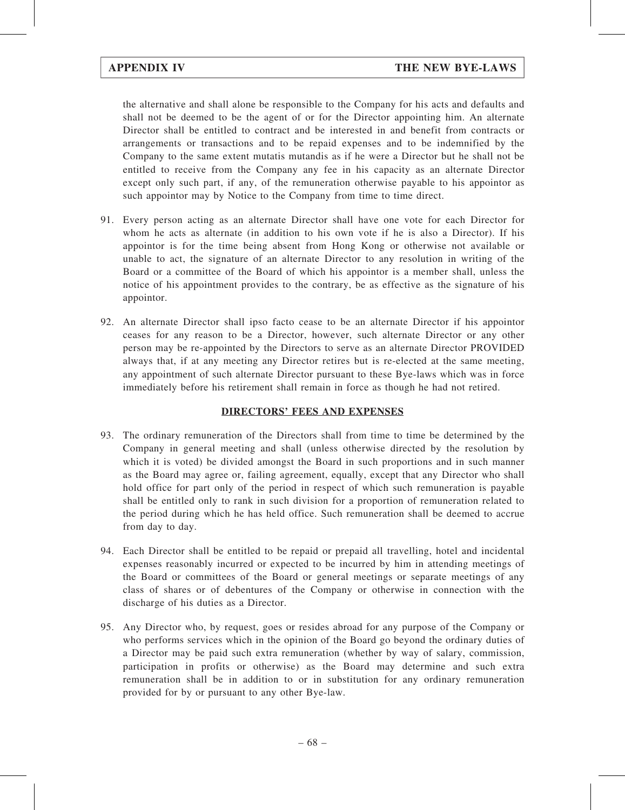the alternative and shall alone be responsible to the Company for his acts and defaults and shall not be deemed to be the agent of or for the Director appointing him. An alternate Director shall be entitled to contract and be interested in and benefit from contracts or arrangements or transactions and to be repaid expenses and to be indemnified by the Company to the same extent mutatis mutandis as if he were a Director but he shall not be entitled to receive from the Company any fee in his capacity as an alternate Director except only such part, if any, of the remuneration otherwise payable to his appointor as such appointor may by Notice to the Company from time to time direct.

- 91. Every person acting as an alternate Director shall have one vote for each Director for whom he acts as alternate (in addition to his own vote if he is also a Director). If his appointor is for the time being absent from Hong Kong or otherwise not available or unable to act, the signature of an alternate Director to any resolution in writing of the Board or a committee of the Board of which his appointor is a member shall, unless the notice of his appointment provides to the contrary, be as effective as the signature of his appointor.
- 92. An alternate Director shall ipso facto cease to be an alternate Director if his appointor ceases for any reason to be a Director, however, such alternate Director or any other person may be re-appointed by the Directors to serve as an alternate Director PROVIDED always that, if at any meeting any Director retires but is re-elected at the same meeting, any appointment of such alternate Director pursuant to these Bye-laws which was in force immediately before his retirement shall remain in force as though he had not retired.

# DIRECTORS' FEES AND EXPENSES

- 93. The ordinary remuneration of the Directors shall from time to time be determined by the Company in general meeting and shall (unless otherwise directed by the resolution by which it is voted) be divided amongst the Board in such proportions and in such manner as the Board may agree or, failing agreement, equally, except that any Director who shall hold office for part only of the period in respect of which such remuneration is payable shall be entitled only to rank in such division for a proportion of remuneration related to the period during which he has held office. Such remuneration shall be deemed to accrue from day to day.
- 94. Each Director shall be entitled to be repaid or prepaid all travelling, hotel and incidental expenses reasonably incurred or expected to be incurred by him in attending meetings of the Board or committees of the Board or general meetings or separate meetings of any class of shares or of debentures of the Company or otherwise in connection with the discharge of his duties as a Director.
- 95. Any Director who, by request, goes or resides abroad for any purpose of the Company or who performs services which in the opinion of the Board go beyond the ordinary duties of a Director may be paid such extra remuneration (whether by way of salary, commission, participation in profits or otherwise) as the Board may determine and such extra remuneration shall be in addition to or in substitution for any ordinary remuneration provided for by or pursuant to any other Bye-law.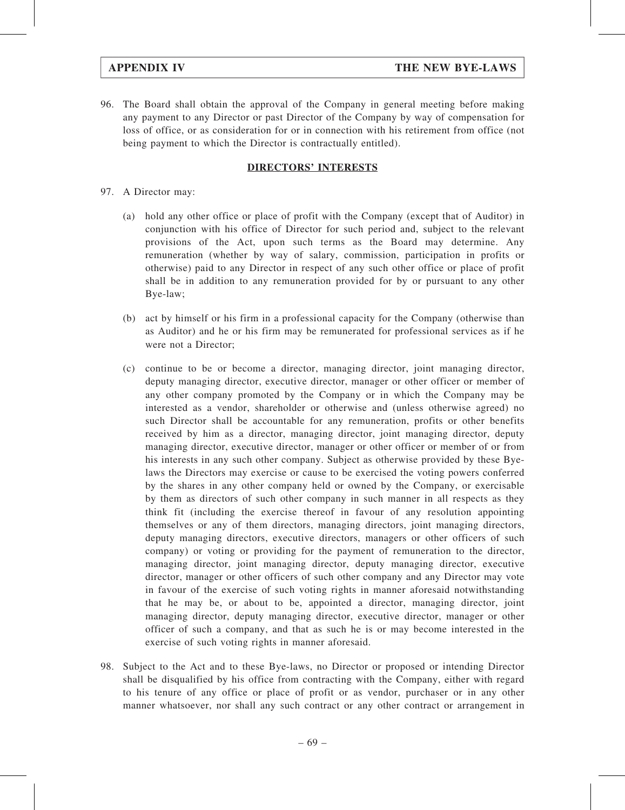96. The Board shall obtain the approval of the Company in general meeting before making any payment to any Director or past Director of the Company by way of compensation for loss of office, or as consideration for or in connection with his retirement from office (not being payment to which the Director is contractually entitled).

# DIRECTORS' INTERESTS

- 97. A Director may:
	- (a) hold any other office or place of profit with the Company (except that of Auditor) in conjunction with his office of Director for such period and, subject to the relevant provisions of the Act, upon such terms as the Board may determine. Any remuneration (whether by way of salary, commission, participation in profits or otherwise) paid to any Director in respect of any such other office or place of profit shall be in addition to any remuneration provided for by or pursuant to any other Bye-law;
	- (b) act by himself or his firm in a professional capacity for the Company (otherwise than as Auditor) and he or his firm may be remunerated for professional services as if he were not a Director;
	- (c) continue to be or become a director, managing director, joint managing director, deputy managing director, executive director, manager or other officer or member of any other company promoted by the Company or in which the Company may be interested as a vendor, shareholder or otherwise and (unless otherwise agreed) no such Director shall be accountable for any remuneration, profits or other benefits received by him as a director, managing director, joint managing director, deputy managing director, executive director, manager or other officer or member of or from his interests in any such other company. Subject as otherwise provided by these Byelaws the Directors may exercise or cause to be exercised the voting powers conferred by the shares in any other company held or owned by the Company, or exercisable by them as directors of such other company in such manner in all respects as they think fit (including the exercise thereof in favour of any resolution appointing themselves or any of them directors, managing directors, joint managing directors, deputy managing directors, executive directors, managers or other officers of such company) or voting or providing for the payment of remuneration to the director, managing director, joint managing director, deputy managing director, executive director, manager or other officers of such other company and any Director may vote in favour of the exercise of such voting rights in manner aforesaid notwithstanding that he may be, or about to be, appointed a director, managing director, joint managing director, deputy managing director, executive director, manager or other officer of such a company, and that as such he is or may become interested in the exercise of such voting rights in manner aforesaid.
- 98. Subject to the Act and to these Bye-laws, no Director or proposed or intending Director shall be disqualified by his office from contracting with the Company, either with regard to his tenure of any office or place of profit or as vendor, purchaser or in any other manner whatsoever, nor shall any such contract or any other contract or arrangement in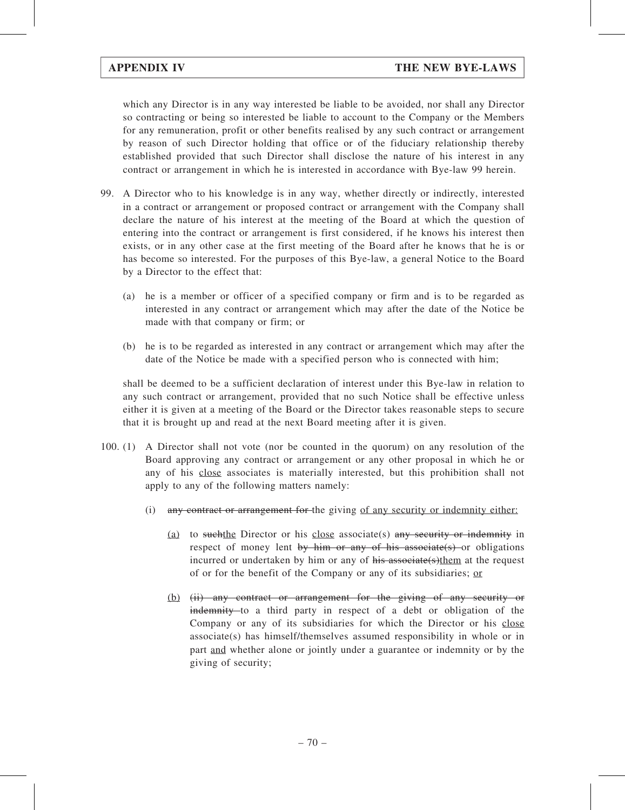which any Director is in any way interested be liable to be avoided, nor shall any Director so contracting or being so interested be liable to account to the Company or the Members for any remuneration, profit or other benefits realised by any such contract or arrangement by reason of such Director holding that office or of the fiduciary relationship thereby established provided that such Director shall disclose the nature of his interest in any contract or arrangement in which he is interested in accordance with Bye-law 99 herein.

- 99. A Director who to his knowledge is in any way, whether directly or indirectly, interested in a contract or arrangement or proposed contract or arrangement with the Company shall declare the nature of his interest at the meeting of the Board at which the question of entering into the contract or arrangement is first considered, if he knows his interest then exists, or in any other case at the first meeting of the Board after he knows that he is or has become so interested. For the purposes of this Bye-law, a general Notice to the Board by a Director to the effect that:
	- (a) he is a member or officer of a specified company or firm and is to be regarded as interested in any contract or arrangement which may after the date of the Notice be made with that company or firm; or
	- (b) he is to be regarded as interested in any contract or arrangement which may after the date of the Notice be made with a specified person who is connected with him;

shall be deemed to be a sufficient declaration of interest under this Bye-law in relation to any such contract or arrangement, provided that no such Notice shall be effective unless either it is given at a meeting of the Board or the Director takes reasonable steps to secure that it is brought up and read at the next Board meeting after it is given.

- 100. (1) A Director shall not vote (nor be counted in the quorum) on any resolution of the Board approving any contract or arrangement or any other proposal in which he or any of his close associates is materially interested, but this prohibition shall not apply to any of the following matters namely:
	- (i) any contract or arrangement for the giving of any security or indemnity either:
		- (a) to such the Director or his close associate(s) any security or indemnity in respect of money lent by him or any of his associate(s) or obligations incurred or undertaken by him or any of his associate(s)them at the request of or for the benefit of the Company or any of its subsidiaries; or
		- (b) (ii) any contract or arrangement for the giving of any security or indemnity to a third party in respect of a debt or obligation of the Company or any of its subsidiaries for which the Director or his close associate(s) has himself/themselves assumed responsibility in whole or in part and whether alone or jointly under a guarantee or indemnity or by the giving of security;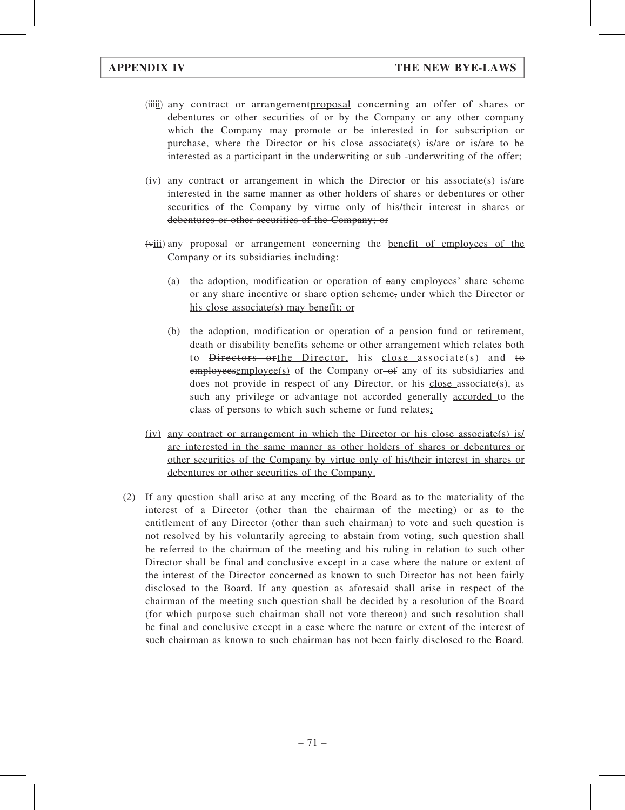- (iii) any contract or arrangement proposal concerning an offer of shares or debentures or other securities of or by the Company or any other company which the Company may promote or be interested in for subscription or purchase, where the Director or his close associate(s) is/are or is/are to be interested as a participant in the underwriting or sub-underwriting of the offer;
- (iv) any contract or arrangement in which the Director or his associate(s) is/are interested in the same manner as other holders of shares or debentures or other securities of the Company by virtue only of his/their interest in shares or debentures or other securities of the Company; or
- (viii) any proposal or arrangement concerning the benefit of employees of the Company or its subsidiaries including:
	- (a) the adoption, modification or operation of aany employees' share scheme or any share incentive or share option scheme, under which the Director or his close associate(s) may benefit; or
	- (b) the adoption, modification or operation of a pension fund or retirement, death or disability benefits scheme or other arrangement which relates both to <del>Directors orthe Director</del>, his close associate(s) and to employeesemployee(s) of the Company or of any of its subsidiaries and does not provide in respect of any Director, or his close associate(s), as such any privilege or advantage not accorded generally accorded to the class of persons to which such scheme or fund relates;
- (iv) any contract or arrangement in which the Director or his close associate(s) is/ are interested in the same manner as other holders of shares or debentures or other securities of the Company by virtue only of his/their interest in shares or debentures or other securities of the Company.
- (2) If any question shall arise at any meeting of the Board as to the materiality of the interest of a Director (other than the chairman of the meeting) or as to the entitlement of any Director (other than such chairman) to vote and such question is not resolved by his voluntarily agreeing to abstain from voting, such question shall be referred to the chairman of the meeting and his ruling in relation to such other Director shall be final and conclusive except in a case where the nature or extent of the interest of the Director concerned as known to such Director has not been fairly disclosed to the Board. If any question as aforesaid shall arise in respect of the chairman of the meeting such question shall be decided by a resolution of the Board (for which purpose such chairman shall not vote thereon) and such resolution shall be final and conclusive except in a case where the nature or extent of the interest of such chairman as known to such chairman has not been fairly disclosed to the Board.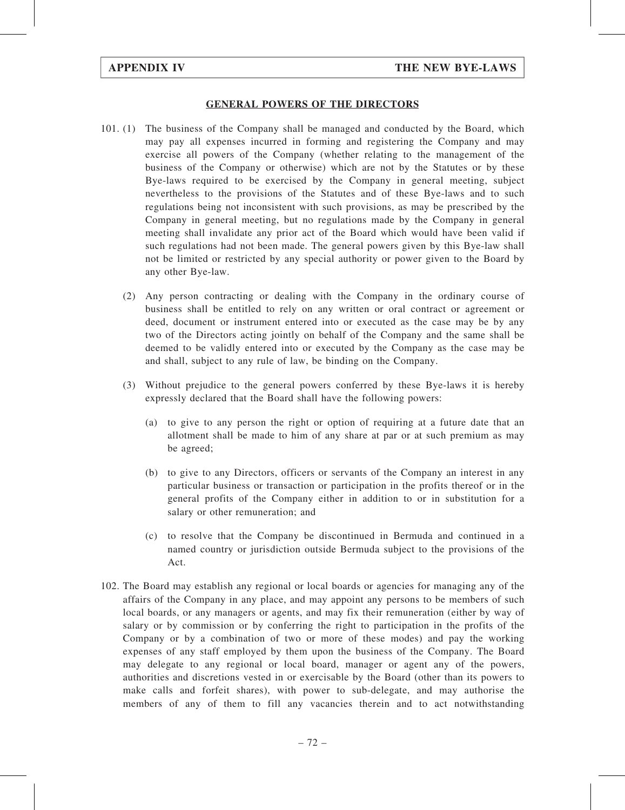#### GENERAL POWERS OF THE DIRECTORS

- 101. (1) The business of the Company shall be managed and conducted by the Board, which may pay all expenses incurred in forming and registering the Company and may exercise all powers of the Company (whether relating to the management of the business of the Company or otherwise) which are not by the Statutes or by these Bye-laws required to be exercised by the Company in general meeting, subject nevertheless to the provisions of the Statutes and of these Bye-laws and to such regulations being not inconsistent with such provisions, as may be prescribed by the Company in general meeting, but no regulations made by the Company in general meeting shall invalidate any prior act of the Board which would have been valid if such regulations had not been made. The general powers given by this Bye-law shall not be limited or restricted by any special authority or power given to the Board by any other Bye-law.
	- (2) Any person contracting or dealing with the Company in the ordinary course of business shall be entitled to rely on any written or oral contract or agreement or deed, document or instrument entered into or executed as the case may be by any two of the Directors acting jointly on behalf of the Company and the same shall be deemed to be validly entered into or executed by the Company as the case may be and shall, subject to any rule of law, be binding on the Company.
	- (3) Without prejudice to the general powers conferred by these Bye-laws it is hereby expressly declared that the Board shall have the following powers:
		- (a) to give to any person the right or option of requiring at a future date that an allotment shall be made to him of any share at par or at such premium as may be agreed;
		- (b) to give to any Directors, officers or servants of the Company an interest in any particular business or transaction or participation in the profits thereof or in the general profits of the Company either in addition to or in substitution for a salary or other remuneration; and
		- (c) to resolve that the Company be discontinued in Bermuda and continued in a named country or jurisdiction outside Bermuda subject to the provisions of the Act.
- 102. The Board may establish any regional or local boards or agencies for managing any of the affairs of the Company in any place, and may appoint any persons to be members of such local boards, or any managers or agents, and may fix their remuneration (either by way of salary or by commission or by conferring the right to participation in the profits of the Company or by a combination of two or more of these modes) and pay the working expenses of any staff employed by them upon the business of the Company. The Board may delegate to any regional or local board, manager or agent any of the powers, authorities and discretions vested in or exercisable by the Board (other than its powers to make calls and forfeit shares), with power to sub-delegate, and may authorise the members of any of them to fill any vacancies therein and to act notwithstanding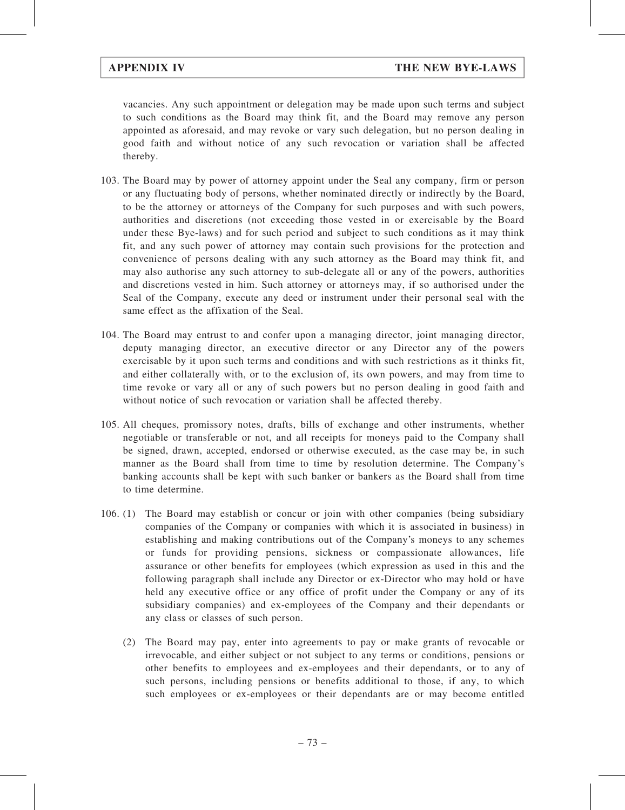vacancies. Any such appointment or delegation may be made upon such terms and subject to such conditions as the Board may think fit, and the Board may remove any person appointed as aforesaid, and may revoke or vary such delegation, but no person dealing in good faith and without notice of any such revocation or variation shall be affected thereby.

- 103. The Board may by power of attorney appoint under the Seal any company, firm or person or any fluctuating body of persons, whether nominated directly or indirectly by the Board, to be the attorney or attorneys of the Company for such purposes and with such powers, authorities and discretions (not exceeding those vested in or exercisable by the Board under these Bye-laws) and for such period and subject to such conditions as it may think fit, and any such power of attorney may contain such provisions for the protection and convenience of persons dealing with any such attorney as the Board may think fit, and may also authorise any such attorney to sub-delegate all or any of the powers, authorities and discretions vested in him. Such attorney or attorneys may, if so authorised under the Seal of the Company, execute any deed or instrument under their personal seal with the same effect as the affixation of the Seal.
- 104. The Board may entrust to and confer upon a managing director, joint managing director, deputy managing director, an executive director or any Director any of the powers exercisable by it upon such terms and conditions and with such restrictions as it thinks fit, and either collaterally with, or to the exclusion of, its own powers, and may from time to time revoke or vary all or any of such powers but no person dealing in good faith and without notice of such revocation or variation shall be affected thereby.
- 105. All cheques, promissory notes, drafts, bills of exchange and other instruments, whether negotiable or transferable or not, and all receipts for moneys paid to the Company shall be signed, drawn, accepted, endorsed or otherwise executed, as the case may be, in such manner as the Board shall from time to time by resolution determine. The Company's banking accounts shall be kept with such banker or bankers as the Board shall from time to time determine.
- 106. (1) The Board may establish or concur or join with other companies (being subsidiary companies of the Company or companies with which it is associated in business) in establishing and making contributions out of the Company's moneys to any schemes or funds for providing pensions, sickness or compassionate allowances, life assurance or other benefits for employees (which expression as used in this and the following paragraph shall include any Director or ex-Director who may hold or have held any executive office or any office of profit under the Company or any of its subsidiary companies) and ex-employees of the Company and their dependants or any class or classes of such person.
	- (2) The Board may pay, enter into agreements to pay or make grants of revocable or irrevocable, and either subject or not subject to any terms or conditions, pensions or other benefits to employees and ex-employees and their dependants, or to any of such persons, including pensions or benefits additional to those, if any, to which such employees or ex-employees or their dependants are or may become entitled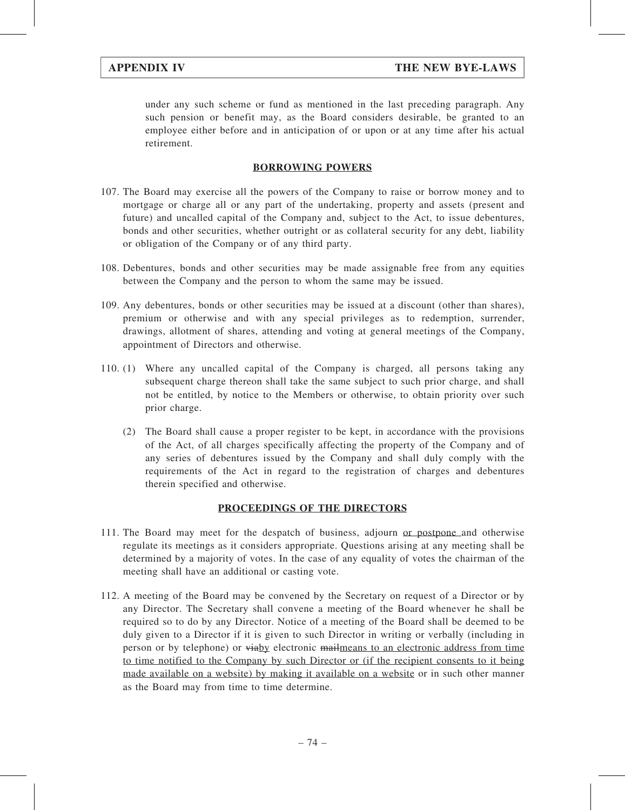under any such scheme or fund as mentioned in the last preceding paragraph. Any such pension or benefit may, as the Board considers desirable, be granted to an employee either before and in anticipation of or upon or at any time after his actual retirement.

### BORROWING POWERS

- 107. The Board may exercise all the powers of the Company to raise or borrow money and to mortgage or charge all or any part of the undertaking, property and assets (present and future) and uncalled capital of the Company and, subject to the Act, to issue debentures, bonds and other securities, whether outright or as collateral security for any debt, liability or obligation of the Company or of any third party.
- 108. Debentures, bonds and other securities may be made assignable free from any equities between the Company and the person to whom the same may be issued.
- 109. Any debentures, bonds or other securities may be issued at a discount (other than shares), premium or otherwise and with any special privileges as to redemption, surrender, drawings, allotment of shares, attending and voting at general meetings of the Company, appointment of Directors and otherwise.
- 110. (1) Where any uncalled capital of the Company is charged, all persons taking any subsequent charge thereon shall take the same subject to such prior charge, and shall not be entitled, by notice to the Members or otherwise, to obtain priority over such prior charge.
	- (2) The Board shall cause a proper register to be kept, in accordance with the provisions of the Act, of all charges specifically affecting the property of the Company and of any series of debentures issued by the Company and shall duly comply with the requirements of the Act in regard to the registration of charges and debentures therein specified and otherwise.

## PROCEEDINGS OF THE DIRECTORS

- 111. The Board may meet for the despatch of business, adjourn or postpone and otherwise regulate its meetings as it considers appropriate. Questions arising at any meeting shall be determined by a majority of votes. In the case of any equality of votes the chairman of the meeting shall have an additional or casting vote.
- 112. A meeting of the Board may be convened by the Secretary on request of a Director or by any Director. The Secretary shall convene a meeting of the Board whenever he shall be required so to do by any Director. Notice of a meeting of the Board shall be deemed to be duly given to a Director if it is given to such Director in writing or verbally (including in person or by telephone) or viaby electronic mailmeans to an electronic address from time to time notified to the Company by such Director or (if the recipient consents to it being made available on a website) by making it available on a website or in such other manner as the Board may from time to time determine.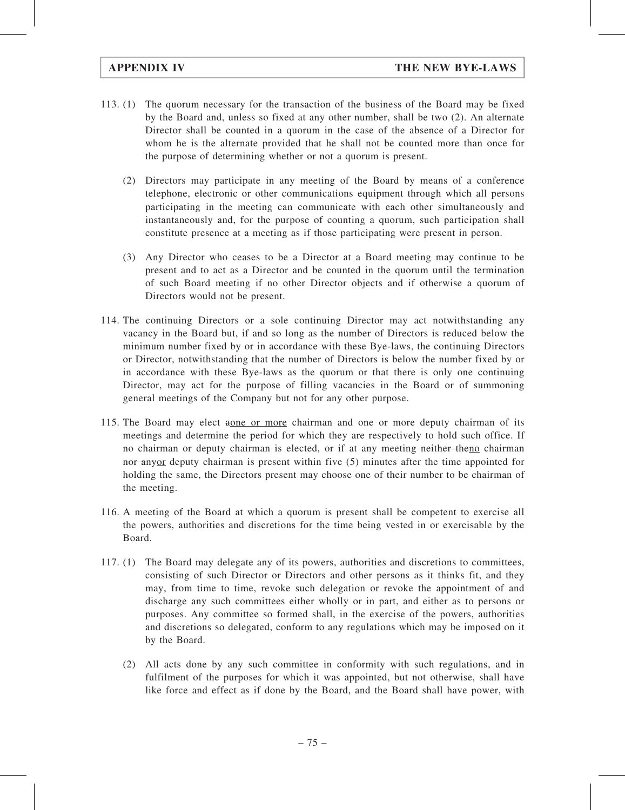- 113. (1) The quorum necessary for the transaction of the business of the Board may be fixed by the Board and, unless so fixed at any other number, shall be two (2). An alternate Director shall be counted in a quorum in the case of the absence of a Director for whom he is the alternate provided that he shall not be counted more than once for the purpose of determining whether or not a quorum is present.
	- (2) Directors may participate in any meeting of the Board by means of a conference telephone, electronic or other communications equipment through which all persons participating in the meeting can communicate with each other simultaneously and instantaneously and, for the purpose of counting a quorum, such participation shall constitute presence at a meeting as if those participating were present in person.
	- (3) Any Director who ceases to be a Director at a Board meeting may continue to be present and to act as a Director and be counted in the quorum until the termination of such Board meeting if no other Director objects and if otherwise a quorum of Directors would not be present.
- 114. The continuing Directors or a sole continuing Director may act notwithstanding any vacancy in the Board but, if and so long as the number of Directors is reduced below the minimum number fixed by or in accordance with these Bye-laws, the continuing Directors or Director, notwithstanding that the number of Directors is below the number fixed by or in accordance with these Bye-laws as the quorum or that there is only one continuing Director, may act for the purpose of filling vacancies in the Board or of summoning general meetings of the Company but not for any other purpose.
- 115. The Board may elect aone or more chairman and one or more deputy chairman of its meetings and determine the period for which they are respectively to hold such office. If no chairman or deputy chairman is elected, or if at any meeting neither theno chairman nor anyor deputy chairman is present within five (5) minutes after the time appointed for holding the same, the Directors present may choose one of their number to be chairman of the meeting.
- 116. A meeting of the Board at which a quorum is present shall be competent to exercise all the powers, authorities and discretions for the time being vested in or exercisable by the Board.
- 117. (1) The Board may delegate any of its powers, authorities and discretions to committees, consisting of such Director or Directors and other persons as it thinks fit, and they may, from time to time, revoke such delegation or revoke the appointment of and discharge any such committees either wholly or in part, and either as to persons or purposes. Any committee so formed shall, in the exercise of the powers, authorities and discretions so delegated, conform to any regulations which may be imposed on it by the Board.
	- (2) All acts done by any such committee in conformity with such regulations, and in fulfilment of the purposes for which it was appointed, but not otherwise, shall have like force and effect as if done by the Board, and the Board shall have power, with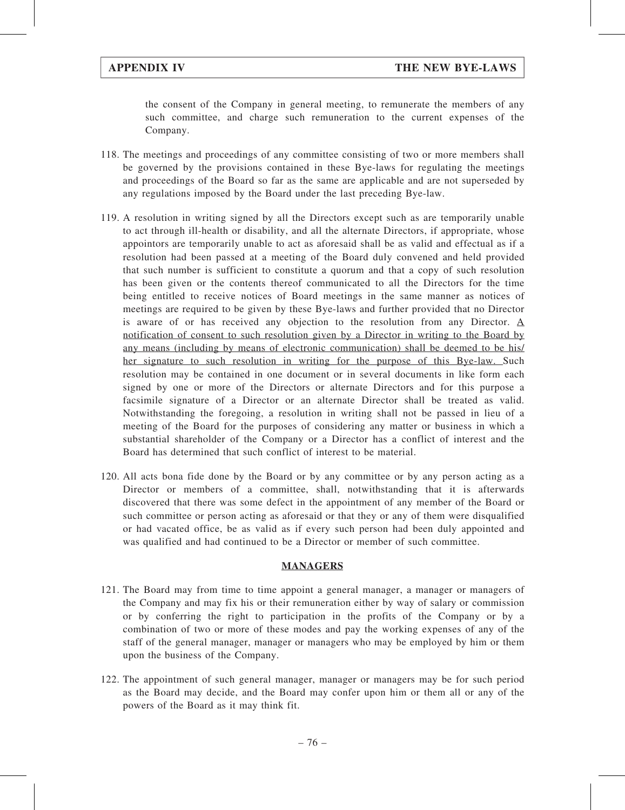the consent of the Company in general meeting, to remunerate the members of any such committee, and charge such remuneration to the current expenses of the Company.

- 118. The meetings and proceedings of any committee consisting of two or more members shall be governed by the provisions contained in these Bye-laws for regulating the meetings and proceedings of the Board so far as the same are applicable and are not superseded by any regulations imposed by the Board under the last preceding Bye-law.
- 119. A resolution in writing signed by all the Directors except such as are temporarily unable to act through ill-health or disability, and all the alternate Directors, if appropriate, whose appointors are temporarily unable to act as aforesaid shall be as valid and effectual as if a resolution had been passed at a meeting of the Board duly convened and held provided that such number is sufficient to constitute a quorum and that a copy of such resolution has been given or the contents thereof communicated to all the Directors for the time being entitled to receive notices of Board meetings in the same manner as notices of meetings are required to be given by these Bye-laws and further provided that no Director is aware of or has received any objection to the resolution from any Director. A notification of consent to such resolution given by a Director in writing to the Board by any means (including by means of electronic communication) shall be deemed to be his/ her signature to such resolution in writing for the purpose of this Bye-law. Such resolution may be contained in one document or in several documents in like form each signed by one or more of the Directors or alternate Directors and for this purpose a facsimile signature of a Director or an alternate Director shall be treated as valid. Notwithstanding the foregoing, a resolution in writing shall not be passed in lieu of a meeting of the Board for the purposes of considering any matter or business in which a substantial shareholder of the Company or a Director has a conflict of interest and the Board has determined that such conflict of interest to be material.
- 120. All acts bona fide done by the Board or by any committee or by any person acting as a Director or members of a committee, shall, notwithstanding that it is afterwards discovered that there was some defect in the appointment of any member of the Board or such committee or person acting as aforesaid or that they or any of them were disqualified or had vacated office, be as valid as if every such person had been duly appointed and was qualified and had continued to be a Director or member of such committee.

#### MANAGERS

- 121. The Board may from time to time appoint a general manager, a manager or managers of the Company and may fix his or their remuneration either by way of salary or commission or by conferring the right to participation in the profits of the Company or by a combination of two or more of these modes and pay the working expenses of any of the staff of the general manager, manager or managers who may be employed by him or them upon the business of the Company.
- 122. The appointment of such general manager, manager or managers may be for such period as the Board may decide, and the Board may confer upon him or them all or any of the powers of the Board as it may think fit.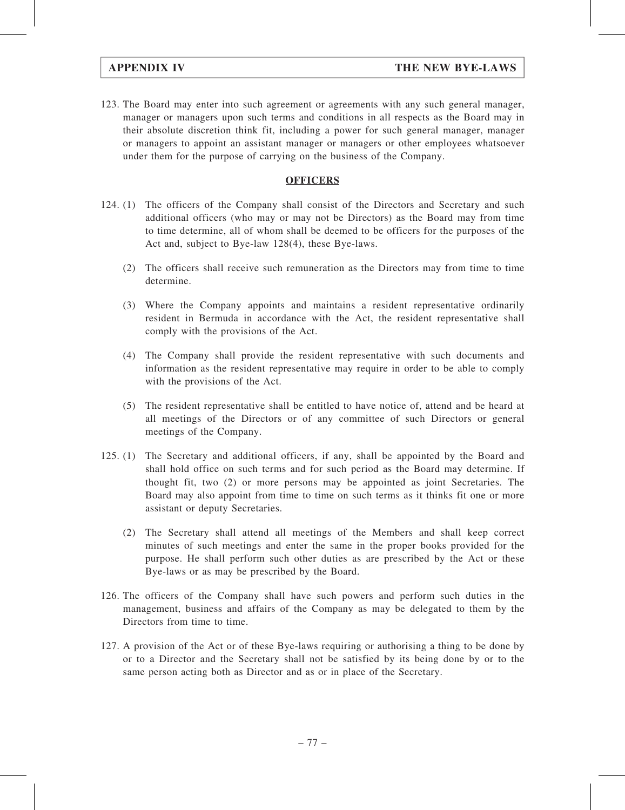123. The Board may enter into such agreement or agreements with any such general manager, manager or managers upon such terms and conditions in all respects as the Board may in their absolute discretion think fit, including a power for such general manager, manager or managers to appoint an assistant manager or managers or other employees whatsoever under them for the purpose of carrying on the business of the Company.

#### **OFFICERS**

- 124. (1) The officers of the Company shall consist of the Directors and Secretary and such additional officers (who may or may not be Directors) as the Board may from time to time determine, all of whom shall be deemed to be officers for the purposes of the Act and, subject to Bye-law 128(4), these Bye-laws.
	- (2) The officers shall receive such remuneration as the Directors may from time to time determine.
	- (3) Where the Company appoints and maintains a resident representative ordinarily resident in Bermuda in accordance with the Act, the resident representative shall comply with the provisions of the Act.
	- (4) The Company shall provide the resident representative with such documents and information as the resident representative may require in order to be able to comply with the provisions of the Act.
	- (5) The resident representative shall be entitled to have notice of, attend and be heard at all meetings of the Directors or of any committee of such Directors or general meetings of the Company.
- 125. (1) The Secretary and additional officers, if any, shall be appointed by the Board and shall hold office on such terms and for such period as the Board may determine. If thought fit, two (2) or more persons may be appointed as joint Secretaries. The Board may also appoint from time to time on such terms as it thinks fit one or more assistant or deputy Secretaries.
	- (2) The Secretary shall attend all meetings of the Members and shall keep correct minutes of such meetings and enter the same in the proper books provided for the purpose. He shall perform such other duties as are prescribed by the Act or these Bye-laws or as may be prescribed by the Board.
- 126. The officers of the Company shall have such powers and perform such duties in the management, business and affairs of the Company as may be delegated to them by the Directors from time to time.
- 127. A provision of the Act or of these Bye-laws requiring or authorising a thing to be done by or to a Director and the Secretary shall not be satisfied by its being done by or to the same person acting both as Director and as or in place of the Secretary.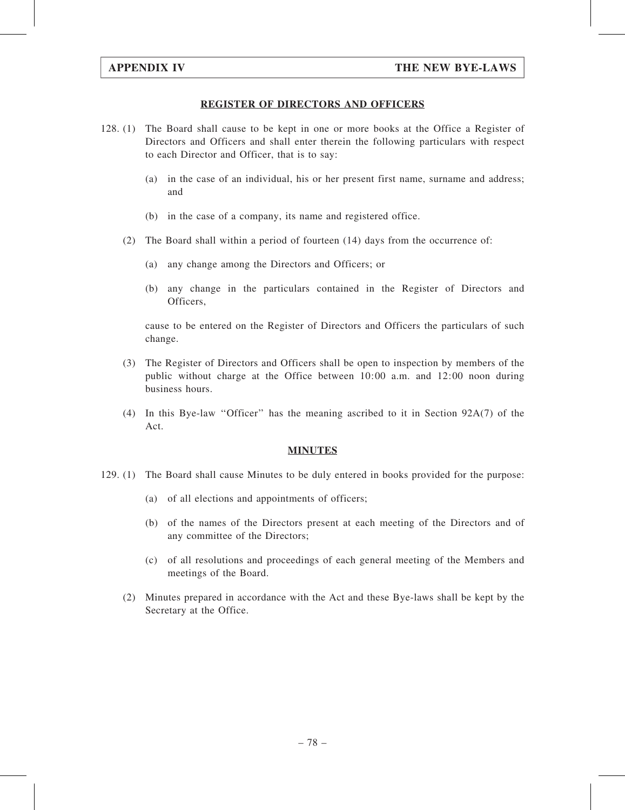#### REGISTER OF DIRECTORS AND OFFICERS

- 128. (1) The Board shall cause to be kept in one or more books at the Office a Register of Directors and Officers and shall enter therein the following particulars with respect to each Director and Officer, that is to say:
	- (a) in the case of an individual, his or her present first name, surname and address; and
	- (b) in the case of a company, its name and registered office.
	- (2) The Board shall within a period of fourteen (14) days from the occurrence of:
		- (a) any change among the Directors and Officers; or
		- (b) any change in the particulars contained in the Register of Directors and Officers,

cause to be entered on the Register of Directors and Officers the particulars of such change.

- (3) The Register of Directors and Officers shall be open to inspection by members of the public without charge at the Office between 10:00 a.m. and 12:00 noon during business hours.
- (4) In this Bye-law ''Officer'' has the meaning ascribed to it in Section 92A(7) of the Act.

#### MINUTES

- 129. (1) The Board shall cause Minutes to be duly entered in books provided for the purpose:
	- (a) of all elections and appointments of officers;
	- (b) of the names of the Directors present at each meeting of the Directors and of any committee of the Directors;
	- (c) of all resolutions and proceedings of each general meeting of the Members and meetings of the Board.
	- (2) Minutes prepared in accordance with the Act and these Bye-laws shall be kept by the Secretary at the Office.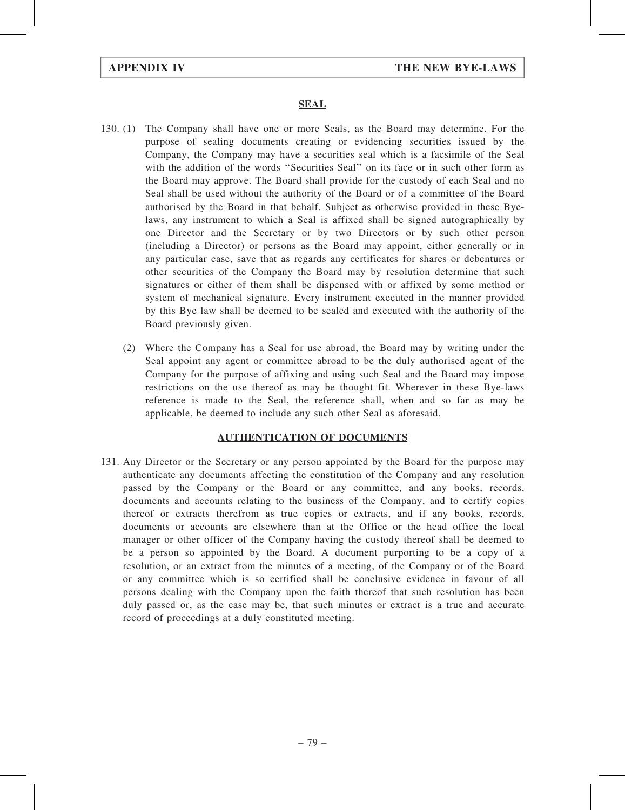#### SEAL

- 130. (1) The Company shall have one or more Seals, as the Board may determine. For the purpose of sealing documents creating or evidencing securities issued by the Company, the Company may have a securities seal which is a facsimile of the Seal with the addition of the words ''Securities Seal'' on its face or in such other form as the Board may approve. The Board shall provide for the custody of each Seal and no Seal shall be used without the authority of the Board or of a committee of the Board authorised by the Board in that behalf. Subject as otherwise provided in these Byelaws, any instrument to which a Seal is affixed shall be signed autographically by one Director and the Secretary or by two Directors or by such other person (including a Director) or persons as the Board may appoint, either generally or in any particular case, save that as regards any certificates for shares or debentures or other securities of the Company the Board may by resolution determine that such signatures or either of them shall be dispensed with or affixed by some method or system of mechanical signature. Every instrument executed in the manner provided by this Bye law shall be deemed to be sealed and executed with the authority of the Board previously given.
	- (2) Where the Company has a Seal for use abroad, the Board may by writing under the Seal appoint any agent or committee abroad to be the duly authorised agent of the Company for the purpose of affixing and using such Seal and the Board may impose restrictions on the use thereof as may be thought fit. Wherever in these Bye-laws reference is made to the Seal, the reference shall, when and so far as may be applicable, be deemed to include any such other Seal as aforesaid.

#### AUTHENTICATION OF DOCUMENTS

131. Any Director or the Secretary or any person appointed by the Board for the purpose may authenticate any documents affecting the constitution of the Company and any resolution passed by the Company or the Board or any committee, and any books, records, documents and accounts relating to the business of the Company, and to certify copies thereof or extracts therefrom as true copies or extracts, and if any books, records, documents or accounts are elsewhere than at the Office or the head office the local manager or other officer of the Company having the custody thereof shall be deemed to be a person so appointed by the Board. A document purporting to be a copy of a resolution, or an extract from the minutes of a meeting, of the Company or of the Board or any committee which is so certified shall be conclusive evidence in favour of all persons dealing with the Company upon the faith thereof that such resolution has been duly passed or, as the case may be, that such minutes or extract is a true and accurate record of proceedings at a duly constituted meeting.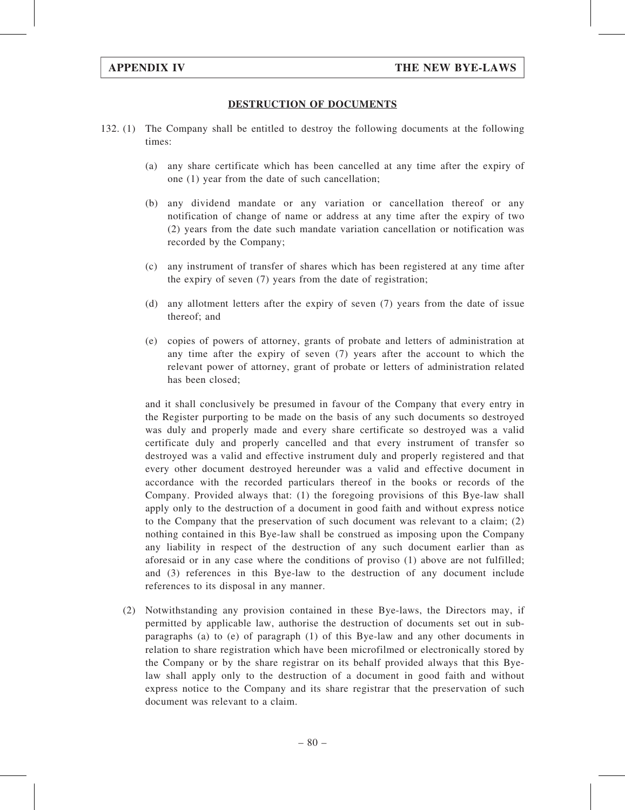#### DESTRUCTION OF DOCUMENTS

- 132. (1) The Company shall be entitled to destroy the following documents at the following times:
	- (a) any share certificate which has been cancelled at any time after the expiry of one (1) year from the date of such cancellation;
	- (b) any dividend mandate or any variation or cancellation thereof or any notification of change of name or address at any time after the expiry of two (2) years from the date such mandate variation cancellation or notification was recorded by the Company;
	- (c) any instrument of transfer of shares which has been registered at any time after the expiry of seven (7) years from the date of registration;
	- (d) any allotment letters after the expiry of seven (7) years from the date of issue thereof; and
	- (e) copies of powers of attorney, grants of probate and letters of administration at any time after the expiry of seven (7) years after the account to which the relevant power of attorney, grant of probate or letters of administration related has been closed;

and it shall conclusively be presumed in favour of the Company that every entry in the Register purporting to be made on the basis of any such documents so destroyed was duly and properly made and every share certificate so destroyed was a valid certificate duly and properly cancelled and that every instrument of transfer so destroyed was a valid and effective instrument duly and properly registered and that every other document destroyed hereunder was a valid and effective document in accordance with the recorded particulars thereof in the books or records of the Company. Provided always that: (1) the foregoing provisions of this Bye-law shall apply only to the destruction of a document in good faith and without express notice to the Company that the preservation of such document was relevant to a claim; (2) nothing contained in this Bye-law shall be construed as imposing upon the Company any liability in respect of the destruction of any such document earlier than as aforesaid or in any case where the conditions of proviso (1) above are not fulfilled; and (3) references in this Bye-law to the destruction of any document include references to its disposal in any manner.

(2) Notwithstanding any provision contained in these Bye-laws, the Directors may, if permitted by applicable law, authorise the destruction of documents set out in subparagraphs (a) to (e) of paragraph (1) of this Bye-law and any other documents in relation to share registration which have been microfilmed or electronically stored by the Company or by the share registrar on its behalf provided always that this Byelaw shall apply only to the destruction of a document in good faith and without express notice to the Company and its share registrar that the preservation of such document was relevant to a claim.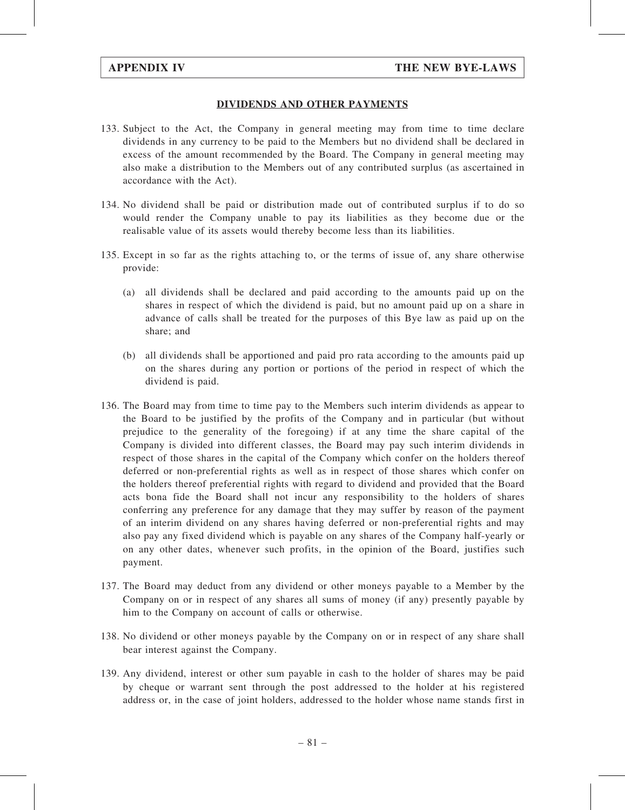#### DIVIDENDS AND OTHER PAYMENTS

- 133. Subject to the Act, the Company in general meeting may from time to time declare dividends in any currency to be paid to the Members but no dividend shall be declared in excess of the amount recommended by the Board. The Company in general meeting may also make a distribution to the Members out of any contributed surplus (as ascertained in accordance with the Act).
- 134. No dividend shall be paid or distribution made out of contributed surplus if to do so would render the Company unable to pay its liabilities as they become due or the realisable value of its assets would thereby become less than its liabilities.
- 135. Except in so far as the rights attaching to, or the terms of issue of, any share otherwise provide:
	- (a) all dividends shall be declared and paid according to the amounts paid up on the shares in respect of which the dividend is paid, but no amount paid up on a share in advance of calls shall be treated for the purposes of this Bye law as paid up on the share; and
	- (b) all dividends shall be apportioned and paid pro rata according to the amounts paid up on the shares during any portion or portions of the period in respect of which the dividend is paid.
- 136. The Board may from time to time pay to the Members such interim dividends as appear to the Board to be justified by the profits of the Company and in particular (but without prejudice to the generality of the foregoing) if at any time the share capital of the Company is divided into different classes, the Board may pay such interim dividends in respect of those shares in the capital of the Company which confer on the holders thereof deferred or non-preferential rights as well as in respect of those shares which confer on the holders thereof preferential rights with regard to dividend and provided that the Board acts bona fide the Board shall not incur any responsibility to the holders of shares conferring any preference for any damage that they may suffer by reason of the payment of an interim dividend on any shares having deferred or non-preferential rights and may also pay any fixed dividend which is payable on any shares of the Company half-yearly or on any other dates, whenever such profits, in the opinion of the Board, justifies such payment.
- 137. The Board may deduct from any dividend or other moneys payable to a Member by the Company on or in respect of any shares all sums of money (if any) presently payable by him to the Company on account of calls or otherwise.
- 138. No dividend or other moneys payable by the Company on or in respect of any share shall bear interest against the Company.
- 139. Any dividend, interest or other sum payable in cash to the holder of shares may be paid by cheque or warrant sent through the post addressed to the holder at his registered address or, in the case of joint holders, addressed to the holder whose name stands first in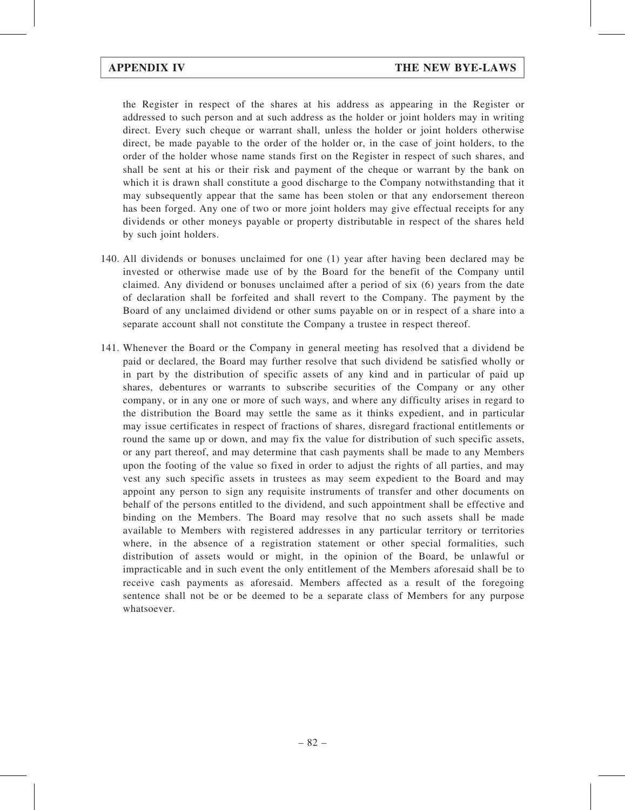the Register in respect of the shares at his address as appearing in the Register or addressed to such person and at such address as the holder or joint holders may in writing direct. Every such cheque or warrant shall, unless the holder or joint holders otherwise direct, be made payable to the order of the holder or, in the case of joint holders, to the order of the holder whose name stands first on the Register in respect of such shares, and shall be sent at his or their risk and payment of the cheque or warrant by the bank on which it is drawn shall constitute a good discharge to the Company notwithstanding that it may subsequently appear that the same has been stolen or that any endorsement thereon has been forged. Any one of two or more joint holders may give effectual receipts for any dividends or other moneys payable or property distributable in respect of the shares held by such joint holders.

- 140. All dividends or bonuses unclaimed for one (1) year after having been declared may be invested or otherwise made use of by the Board for the benefit of the Company until claimed. Any dividend or bonuses unclaimed after a period of six (6) years from the date of declaration shall be forfeited and shall revert to the Company. The payment by the Board of any unclaimed dividend or other sums payable on or in respect of a share into a separate account shall not constitute the Company a trustee in respect thereof.
- 141. Whenever the Board or the Company in general meeting has resolved that a dividend be paid or declared, the Board may further resolve that such dividend be satisfied wholly or in part by the distribution of specific assets of any kind and in particular of paid up shares, debentures or warrants to subscribe securities of the Company or any other company, or in any one or more of such ways, and where any difficulty arises in regard to the distribution the Board may settle the same as it thinks expedient, and in particular may issue certificates in respect of fractions of shares, disregard fractional entitlements or round the same up or down, and may fix the value for distribution of such specific assets, or any part thereof, and may determine that cash payments shall be made to any Members upon the footing of the value so fixed in order to adjust the rights of all parties, and may vest any such specific assets in trustees as may seem expedient to the Board and may appoint any person to sign any requisite instruments of transfer and other documents on behalf of the persons entitled to the dividend, and such appointment shall be effective and binding on the Members. The Board may resolve that no such assets shall be made available to Members with registered addresses in any particular territory or territories where, in the absence of a registration statement or other special formalities, such distribution of assets would or might, in the opinion of the Board, be unlawful or impracticable and in such event the only entitlement of the Members aforesaid shall be to receive cash payments as aforesaid. Members affected as a result of the foregoing sentence shall not be or be deemed to be a separate class of Members for any purpose whatsoever.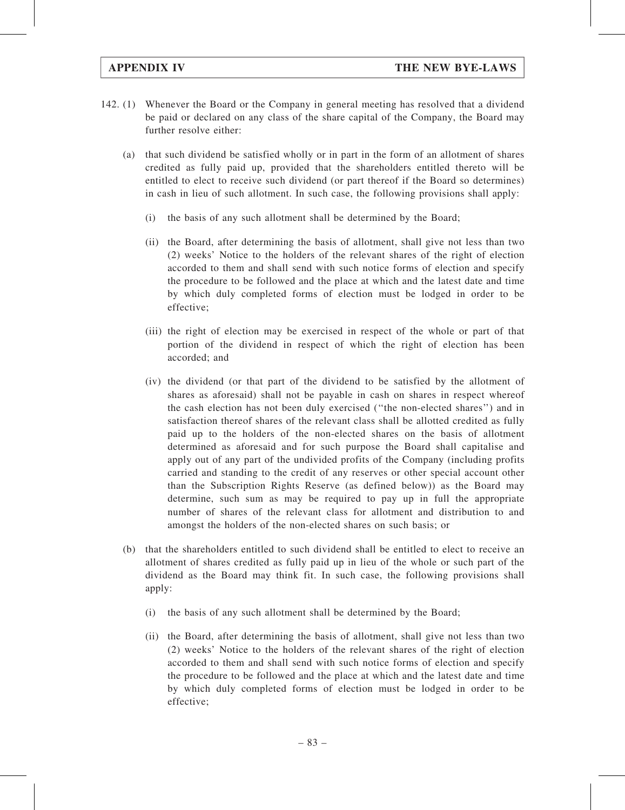- 142. (1) Whenever the Board or the Company in general meeting has resolved that a dividend be paid or declared on any class of the share capital of the Company, the Board may further resolve either:
	- (a) that such dividend be satisfied wholly or in part in the form of an allotment of shares credited as fully paid up, provided that the shareholders entitled thereto will be entitled to elect to receive such dividend (or part thereof if the Board so determines) in cash in lieu of such allotment. In such case, the following provisions shall apply:
		- (i) the basis of any such allotment shall be determined by the Board;
		- (ii) the Board, after determining the basis of allotment, shall give not less than two (2) weeks' Notice to the holders of the relevant shares of the right of election accorded to them and shall send with such notice forms of election and specify the procedure to be followed and the place at which and the latest date and time by which duly completed forms of election must be lodged in order to be effective;
		- (iii) the right of election may be exercised in respect of the whole or part of that portion of the dividend in respect of which the right of election has been accorded; and
		- (iv) the dividend (or that part of the dividend to be satisfied by the allotment of shares as aforesaid) shall not be payable in cash on shares in respect whereof the cash election has not been duly exercised (''the non-elected shares'') and in satisfaction thereof shares of the relevant class shall be allotted credited as fully paid up to the holders of the non-elected shares on the basis of allotment determined as aforesaid and for such purpose the Board shall capitalise and apply out of any part of the undivided profits of the Company (including profits carried and standing to the credit of any reserves or other special account other than the Subscription Rights Reserve (as defined below)) as the Board may determine, such sum as may be required to pay up in full the appropriate number of shares of the relevant class for allotment and distribution to and amongst the holders of the non-elected shares on such basis; or
	- (b) that the shareholders entitled to such dividend shall be entitled to elect to receive an allotment of shares credited as fully paid up in lieu of the whole or such part of the dividend as the Board may think fit. In such case, the following provisions shall apply:
		- (i) the basis of any such allotment shall be determined by the Board;
		- (ii) the Board, after determining the basis of allotment, shall give not less than two (2) weeks' Notice to the holders of the relevant shares of the right of election accorded to them and shall send with such notice forms of election and specify the procedure to be followed and the place at which and the latest date and time by which duly completed forms of election must be lodged in order to be effective;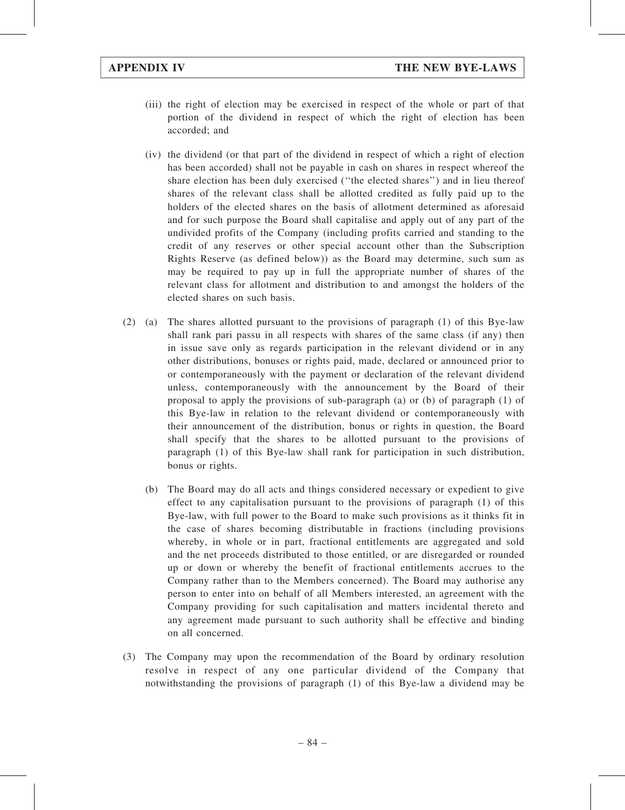- (iii) the right of election may be exercised in respect of the whole or part of that portion of the dividend in respect of which the right of election has been accorded; and
- (iv) the dividend (or that part of the dividend in respect of which a right of election has been accorded) shall not be payable in cash on shares in respect whereof the share election has been duly exercised (''the elected shares'') and in lieu thereof shares of the relevant class shall be allotted credited as fully paid up to the holders of the elected shares on the basis of allotment determined as aforesaid and for such purpose the Board shall capitalise and apply out of any part of the undivided profits of the Company (including profits carried and standing to the credit of any reserves or other special account other than the Subscription Rights Reserve (as defined below)) as the Board may determine, such sum as may be required to pay up in full the appropriate number of shares of the relevant class for allotment and distribution to and amongst the holders of the elected shares on such basis.
- (2) (a) The shares allotted pursuant to the provisions of paragraph (1) of this Bye-law shall rank pari passu in all respects with shares of the same class (if any) then in issue save only as regards participation in the relevant dividend or in any other distributions, bonuses or rights paid, made, declared or announced prior to or contemporaneously with the payment or declaration of the relevant dividend unless, contemporaneously with the announcement by the Board of their proposal to apply the provisions of sub-paragraph (a) or (b) of paragraph (1) of this Bye-law in relation to the relevant dividend or contemporaneously with their announcement of the distribution, bonus or rights in question, the Board shall specify that the shares to be allotted pursuant to the provisions of paragraph (1) of this Bye-law shall rank for participation in such distribution, bonus or rights.
	- (b) The Board may do all acts and things considered necessary or expedient to give effect to any capitalisation pursuant to the provisions of paragraph (1) of this Bye-law, with full power to the Board to make such provisions as it thinks fit in the case of shares becoming distributable in fractions (including provisions whereby, in whole or in part, fractional entitlements are aggregated and sold and the net proceeds distributed to those entitled, or are disregarded or rounded up or down or whereby the benefit of fractional entitlements accrues to the Company rather than to the Members concerned). The Board may authorise any person to enter into on behalf of all Members interested, an agreement with the Company providing for such capitalisation and matters incidental thereto and any agreement made pursuant to such authority shall be effective and binding on all concerned.
- (3) The Company may upon the recommendation of the Board by ordinary resolution resolve in respect of any one particular dividend of the Company that notwithstanding the provisions of paragraph (1) of this Bye-law a dividend may be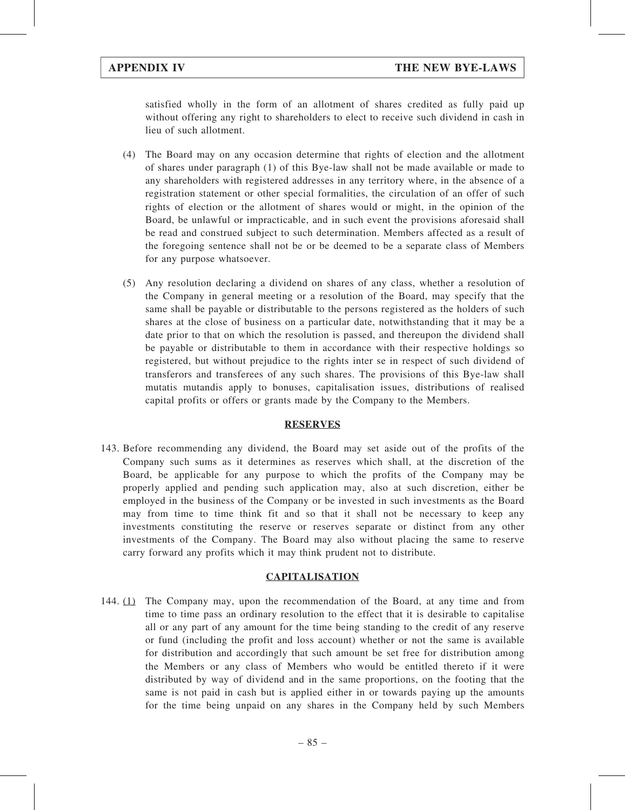satisfied wholly in the form of an allotment of shares credited as fully paid up without offering any right to shareholders to elect to receive such dividend in cash in lieu of such allotment.

- (4) The Board may on any occasion determine that rights of election and the allotment of shares under paragraph (1) of this Bye-law shall not be made available or made to any shareholders with registered addresses in any territory where, in the absence of a registration statement or other special formalities, the circulation of an offer of such rights of election or the allotment of shares would or might, in the opinion of the Board, be unlawful or impracticable, and in such event the provisions aforesaid shall be read and construed subject to such determination. Members affected as a result of the foregoing sentence shall not be or be deemed to be a separate class of Members for any purpose whatsoever.
- (5) Any resolution declaring a dividend on shares of any class, whether a resolution of the Company in general meeting or a resolution of the Board, may specify that the same shall be payable or distributable to the persons registered as the holders of such shares at the close of business on a particular date, notwithstanding that it may be a date prior to that on which the resolution is passed, and thereupon the dividend shall be payable or distributable to them in accordance with their respective holdings so registered, but without prejudice to the rights inter se in respect of such dividend of transferors and transferees of any such shares. The provisions of this Bye-law shall mutatis mutandis apply to bonuses, capitalisation issues, distributions of realised capital profits or offers or grants made by the Company to the Members.

#### RESERVES

143. Before recommending any dividend, the Board may set aside out of the profits of the Company such sums as it determines as reserves which shall, at the discretion of the Board, be applicable for any purpose to which the profits of the Company may be properly applied and pending such application may, also at such discretion, either be employed in the business of the Company or be invested in such investments as the Board may from time to time think fit and so that it shall not be necessary to keep any investments constituting the reserve or reserves separate or distinct from any other investments of the Company. The Board may also without placing the same to reserve carry forward any profits which it may think prudent not to distribute.

#### **CAPITALISATION**

144. (1) The Company may, upon the recommendation of the Board, at any time and from time to time pass an ordinary resolution to the effect that it is desirable to capitalise all or any part of any amount for the time being standing to the credit of any reserve or fund (including the profit and loss account) whether or not the same is available for distribution and accordingly that such amount be set free for distribution among the Members or any class of Members who would be entitled thereto if it were distributed by way of dividend and in the same proportions, on the footing that the same is not paid in cash but is applied either in or towards paying up the amounts for the time being unpaid on any shares in the Company held by such Members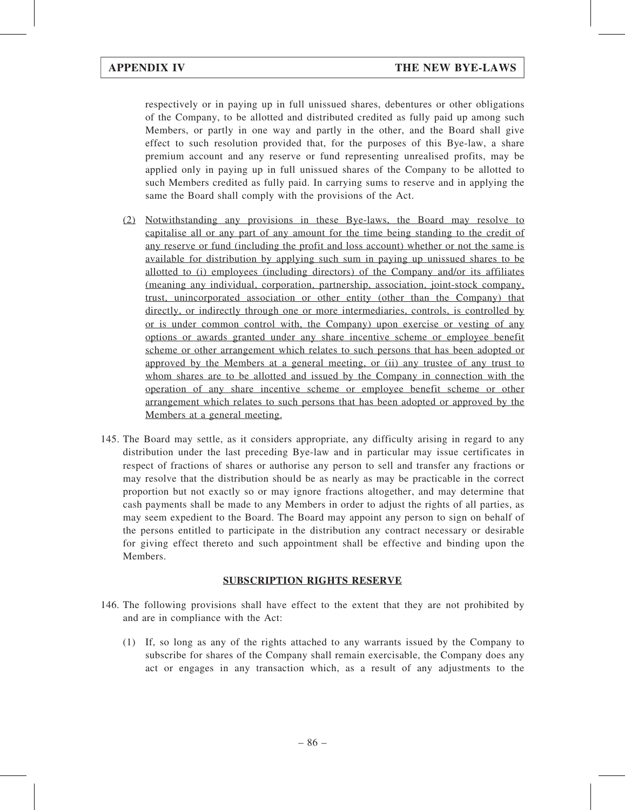respectively or in paying up in full unissued shares, debentures or other obligations of the Company, to be allotted and distributed credited as fully paid up among such Members, or partly in one way and partly in the other, and the Board shall give effect to such resolution provided that, for the purposes of this Bye-law, a share premium account and any reserve or fund representing unrealised profits, may be applied only in paying up in full unissued shares of the Company to be allotted to such Members credited as fully paid. In carrying sums to reserve and in applying the same the Board shall comply with the provisions of the Act.

- (2) Notwithstanding any provisions in these Bye-laws, the Board may resolve to capitalise all or any part of any amount for the time being standing to the credit of any reserve or fund (including the profit and loss account) whether or not the same is available for distribution by applying such sum in paying up unissued shares to be allotted to (i) employees (including directors) of the Company and/or its affiliates (meaning any individual, corporation, partnership, association, joint-stock company, trust, unincorporated association or other entity (other than the Company) that directly, or indirectly through one or more intermediaries, controls, is controlled by or is under common control with, the Company) upon exercise or vesting of any options or awards granted under any share incentive scheme or employee benefit scheme or other arrangement which relates to such persons that has been adopted or approved by the Members at a general meeting, or (ii) any trustee of any trust to whom shares are to be allotted and issued by the Company in connection with the operation of any share incentive scheme or employee benefit scheme or other arrangement which relates to such persons that has been adopted or approved by the Members at a general meeting.
- 145. The Board may settle, as it considers appropriate, any difficulty arising in regard to any distribution under the last preceding Bye-law and in particular may issue certificates in respect of fractions of shares or authorise any person to sell and transfer any fractions or may resolve that the distribution should be as nearly as may be practicable in the correct proportion but not exactly so or may ignore fractions altogether, and may determine that cash payments shall be made to any Members in order to adjust the rights of all parties, as may seem expedient to the Board. The Board may appoint any person to sign on behalf of the persons entitled to participate in the distribution any contract necessary or desirable for giving effect thereto and such appointment shall be effective and binding upon the Members.

### SUBSCRIPTION RIGHTS RESERVE

- 146. The following provisions shall have effect to the extent that they are not prohibited by and are in compliance with the Act:
	- (1) If, so long as any of the rights attached to any warrants issued by the Company to subscribe for shares of the Company shall remain exercisable, the Company does any act or engages in any transaction which, as a result of any adjustments to the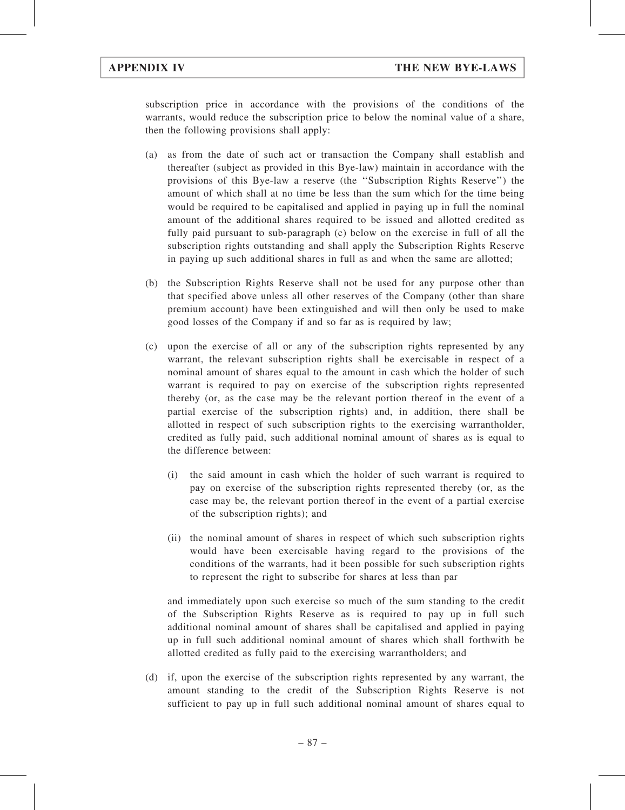subscription price in accordance with the provisions of the conditions of the warrants, would reduce the subscription price to below the nominal value of a share, then the following provisions shall apply:

- (a) as from the date of such act or transaction the Company shall establish and thereafter (subject as provided in this Bye-law) maintain in accordance with the provisions of this Bye-law a reserve (the ''Subscription Rights Reserve'') the amount of which shall at no time be less than the sum which for the time being would be required to be capitalised and applied in paying up in full the nominal amount of the additional shares required to be issued and allotted credited as fully paid pursuant to sub-paragraph (c) below on the exercise in full of all the subscription rights outstanding and shall apply the Subscription Rights Reserve in paying up such additional shares in full as and when the same are allotted;
- (b) the Subscription Rights Reserve shall not be used for any purpose other than that specified above unless all other reserves of the Company (other than share premium account) have been extinguished and will then only be used to make good losses of the Company if and so far as is required by law;
- (c) upon the exercise of all or any of the subscription rights represented by any warrant, the relevant subscription rights shall be exercisable in respect of a nominal amount of shares equal to the amount in cash which the holder of such warrant is required to pay on exercise of the subscription rights represented thereby (or, as the case may be the relevant portion thereof in the event of a partial exercise of the subscription rights) and, in addition, there shall be allotted in respect of such subscription rights to the exercising warrantholder, credited as fully paid, such additional nominal amount of shares as is equal to the difference between:
	- (i) the said amount in cash which the holder of such warrant is required to pay on exercise of the subscription rights represented thereby (or, as the case may be, the relevant portion thereof in the event of a partial exercise of the subscription rights); and
	- (ii) the nominal amount of shares in respect of which such subscription rights would have been exercisable having regard to the provisions of the conditions of the warrants, had it been possible for such subscription rights to represent the right to subscribe for shares at less than par

and immediately upon such exercise so much of the sum standing to the credit of the Subscription Rights Reserve as is required to pay up in full such additional nominal amount of shares shall be capitalised and applied in paying up in full such additional nominal amount of shares which shall forthwith be allotted credited as fully paid to the exercising warrantholders; and

(d) if, upon the exercise of the subscription rights represented by any warrant, the amount standing to the credit of the Subscription Rights Reserve is not sufficient to pay up in full such additional nominal amount of shares equal to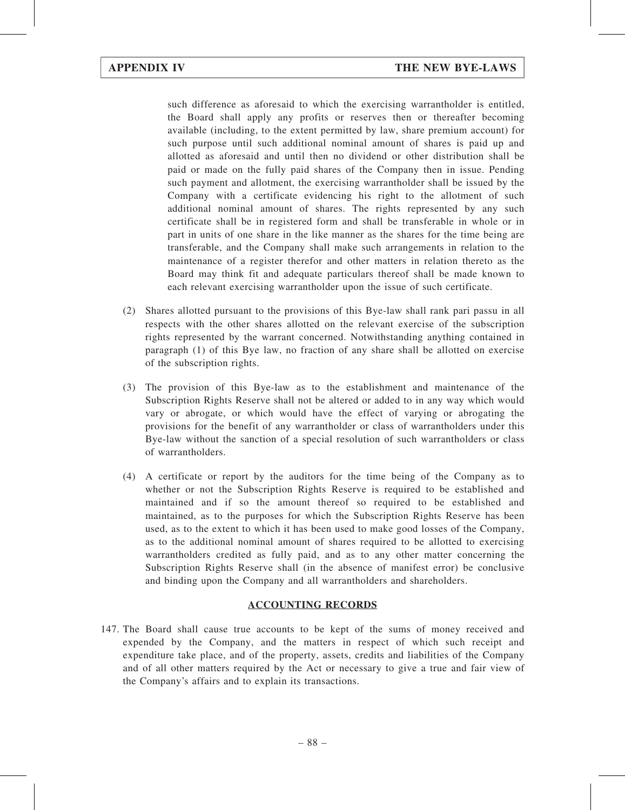such difference as aforesaid to which the exercising warrantholder is entitled, the Board shall apply any profits or reserves then or thereafter becoming available (including, to the extent permitted by law, share premium account) for such purpose until such additional nominal amount of shares is paid up and allotted as aforesaid and until then no dividend or other distribution shall be paid or made on the fully paid shares of the Company then in issue. Pending such payment and allotment, the exercising warrantholder shall be issued by the Company with a certificate evidencing his right to the allotment of such additional nominal amount of shares. The rights represented by any such certificate shall be in registered form and shall be transferable in whole or in part in units of one share in the like manner as the shares for the time being are transferable, and the Company shall make such arrangements in relation to the maintenance of a register therefor and other matters in relation thereto as the Board may think fit and adequate particulars thereof shall be made known to each relevant exercising warrantholder upon the issue of such certificate.

- (2) Shares allotted pursuant to the provisions of this Bye-law shall rank pari passu in all respects with the other shares allotted on the relevant exercise of the subscription rights represented by the warrant concerned. Notwithstanding anything contained in paragraph (1) of this Bye law, no fraction of any share shall be allotted on exercise of the subscription rights.
- (3) The provision of this Bye-law as to the establishment and maintenance of the Subscription Rights Reserve shall not be altered or added to in any way which would vary or abrogate, or which would have the effect of varying or abrogating the provisions for the benefit of any warrantholder or class of warrantholders under this Bye-law without the sanction of a special resolution of such warrantholders or class of warrantholders.
- (4) A certificate or report by the auditors for the time being of the Company as to whether or not the Subscription Rights Reserve is required to be established and maintained and if so the amount thereof so required to be established and maintained, as to the purposes for which the Subscription Rights Reserve has been used, as to the extent to which it has been used to make good losses of the Company, as to the additional nominal amount of shares required to be allotted to exercising warrantholders credited as fully paid, and as to any other matter concerning the Subscription Rights Reserve shall (in the absence of manifest error) be conclusive and binding upon the Company and all warrantholders and shareholders.

### ACCOUNTING RECORDS

147. The Board shall cause true accounts to be kept of the sums of money received and expended by the Company, and the matters in respect of which such receipt and expenditure take place, and of the property, assets, credits and liabilities of the Company and of all other matters required by the Act or necessary to give a true and fair view of the Company's affairs and to explain its transactions.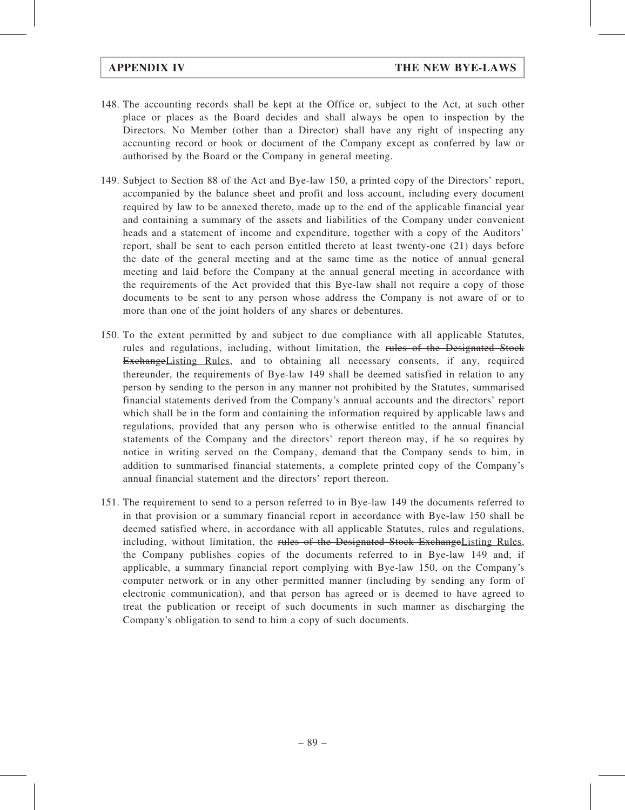- 148. The accounting records shall be kept at the Office or, subject to the Act, at such other place or places as the Board decides and shall always be open to inspection by the Directors. No Member (other than a Director) shall have any right of inspecting any accounting record or book or document of the Company except as conferred by law or authorised by the Board or the Company in general meeting.
- 149. Subject to Section 88 of the Act and Bye-law 150, a printed copy of the Directors' report, accompanied by the balance sheet and profit and loss account, including every document required by law to be annexed thereto, made up to the end of the applicable financial year and containing a summary of the assets and liabilities of the Company under convenient heads and a statement of income and expenditure, together with a copy of the Auditors' report, shall be sent to each person entitled thereto at least twenty-one (21) days before the date of the general meeting and at the same time as the notice of annual general meeting and laid before the Company at the annual general meeting in accordance with the requirements of the Act provided that this Bye-law shall not require a copy of those documents to be sent to any person whose address the Company is not aware of or to more than one of the joint holders of any shares or debentures.
- 150. To the extent permitted by and subject to due compliance with all applicable Statutes, rules and regulations, including, without limitation, the rules of the Designated Stock ExchangeListing Rules, and to obtaining all necessary consents, if any, required thereunder, the requirements of Bye-law 149 shall be deemed satisfied in relation to any person by sending to the person in any manner not prohibited by the Statutes, summarised financial statements derived from the Company's annual accounts and the directors' report which shall be in the form and containing the information required by applicable laws and regulations, provided that any person who is otherwise entitled to the annual financial statements of the Company and the directors' report thereon may, if he so requires by notice in writing served on the Company, demand that the Company sends to him, in addition to summarised financial statements, a complete printed copy of the Company's annual financial statement and the directors' report thereon.
- 151. The requirement to send to a person referred to in Bye-law 149 the documents referred to in that provision or a summary financial report in accordance with Bye-law 150 shall be deemed satisfied where, in accordance with all applicable Statutes, rules and regulations, including, without limitation, the rules of the Designated Stock Exchange Listing Rules, the Company publishes copies of the documents referred to in Bye-law 149 and, if applicable, a summary financial report complying with Bye-law 150, on the Company's computer network or in any other permitted manner (including by sending any form of electronic communication), and that person has agreed or is deemed to have agreed to treat the publication or receipt of such documents in such manner as discharging the Company's obligation to send to him a copy of such documents.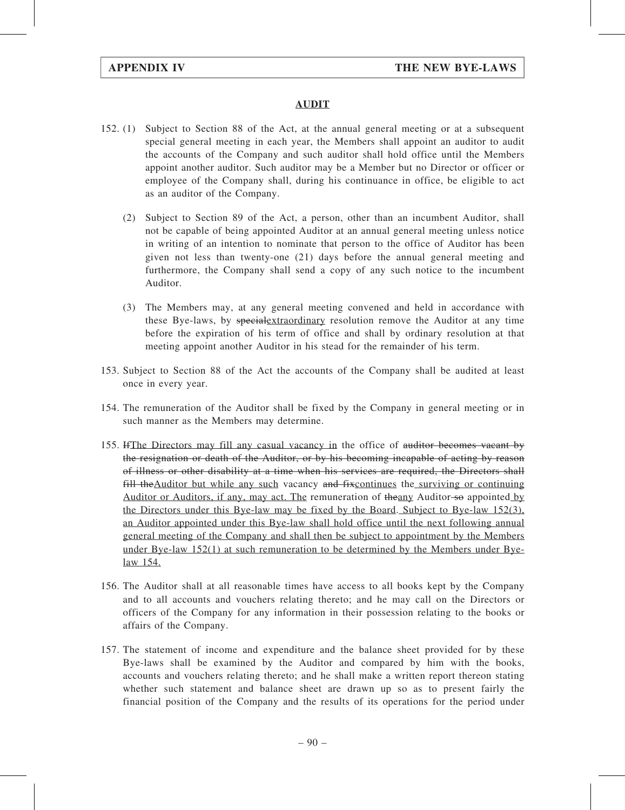### AUDIT

- 152. (1) Subject to Section 88 of the Act, at the annual general meeting or at a subsequent special general meeting in each year, the Members shall appoint an auditor to audit the accounts of the Company and such auditor shall hold office until the Members appoint another auditor. Such auditor may be a Member but no Director or officer or employee of the Company shall, during his continuance in office, be eligible to act as an auditor of the Company.
	- (2) Subject to Section 89 of the Act, a person, other than an incumbent Auditor, shall not be capable of being appointed Auditor at an annual general meeting unless notice in writing of an intention to nominate that person to the office of Auditor has been given not less than twenty-one (21) days before the annual general meeting and furthermore, the Company shall send a copy of any such notice to the incumbent Auditor.
	- (3) The Members may, at any general meeting convened and held in accordance with these Bye-laws, by specialextraordinary resolution remove the Auditor at any time before the expiration of his term of office and shall by ordinary resolution at that meeting appoint another Auditor in his stead for the remainder of his term.
- 153. Subject to Section 88 of the Act the accounts of the Company shall be audited at least once in every year.
- 154. The remuneration of the Auditor shall be fixed by the Company in general meeting or in such manner as the Members may determine.
- 155. HThe Directors may fill any casual vacancy in the office of auditor becomes vacant by the resignation or death of the Auditor, or by his becoming incapable of acting by reason of illness or other disability at a time when his services are required, the Directors shall fill theAuditor but while any such vacancy and fixcontinues the surviving or continuing Auditor or Auditors, if any, may act. The remuneration of theany Auditor so appointed by the Directors under this Bye-law may be fixed by the Board. Subject to Bye-law 152(3), an Auditor appointed under this Bye-law shall hold office until the next following annual general meeting of the Company and shall then be subject to appointment by the Members under Bye-law 152(1) at such remuneration to be determined by the Members under Byelaw 154.
- 156. The Auditor shall at all reasonable times have access to all books kept by the Company and to all accounts and vouchers relating thereto; and he may call on the Directors or officers of the Company for any information in their possession relating to the books or affairs of the Company.
- 157. The statement of income and expenditure and the balance sheet provided for by these Bye-laws shall be examined by the Auditor and compared by him with the books, accounts and vouchers relating thereto; and he shall make a written report thereon stating whether such statement and balance sheet are drawn up so as to present fairly the financial position of the Company and the results of its operations for the period under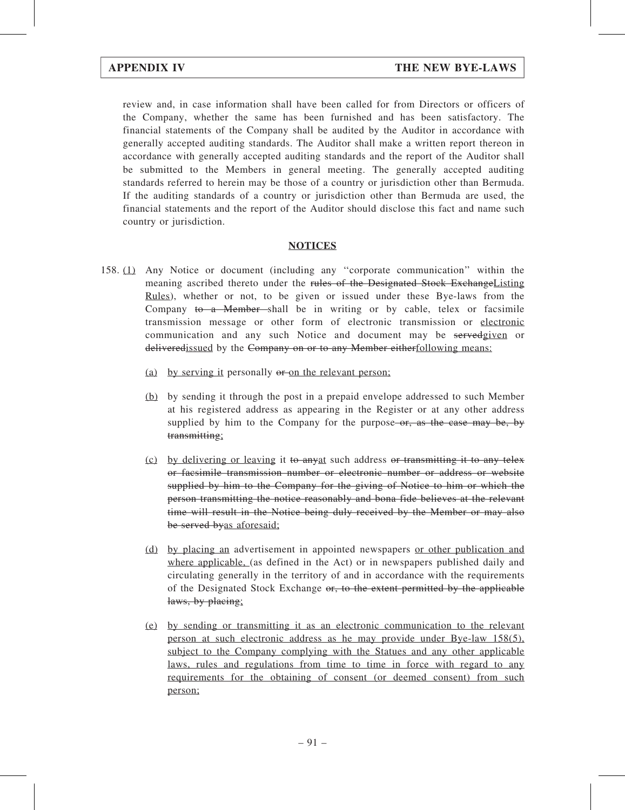review and, in case information shall have been called for from Directors or officers of the Company, whether the same has been furnished and has been satisfactory. The financial statements of the Company shall be audited by the Auditor in accordance with generally accepted auditing standards. The Auditor shall make a written report thereon in accordance with generally accepted auditing standards and the report of the Auditor shall be submitted to the Members in general meeting. The generally accepted auditing standards referred to herein may be those of a country or jurisdiction other than Bermuda. If the auditing standards of a country or jurisdiction other than Bermuda are used, the financial statements and the report of the Auditor should disclose this fact and name such country or jurisdiction.

### **NOTICES**

- 158. (1) Any Notice or document (including any ''corporate communication'' within the meaning ascribed thereto under the rules of the Designated Stock Exchange Listing Rules), whether or not, to be given or issued under these Bye-laws from the Company to a Member-shall be in writing or by cable, telex or facsimile transmission message or other form of electronic transmission or electronic communication and any such Notice and document may be servedgiven or deliveredissued by the Company on or to any Member eitherfollowing means:
	- (a) by serving it personally or on the relevant person;
	- (b) by sending it through the post in a prepaid envelope addressed to such Member at his registered address as appearing in the Register or at any other address supplied by him to the Company for the purpose- $\sigma$ , as the case may be, by transmitting;
	- (c) by delivering or leaving it to anyat such address or transmitting it to any telex or facsimile transmission number or electronic number or address or website supplied by him to the Company for the giving of Notice to him or which the person transmitting the notice reasonably and bona fide believes at the relevant time will result in the Notice being duly received by the Member or may also be served byas aforesaid;
	- (d) by placing an advertisement in appointed newspapers or other publication and where applicable, (as defined in the Act) or in newspapers published daily and circulating generally in the territory of and in accordance with the requirements of the Designated Stock Exchange or, to the extent permitted by the applicable laws, by placing;
	- (e) by sending or transmitting it as an electronic communication to the relevant person at such electronic address as he may provide under Bye-law 158(5), subject to the Company complying with the Statues and any other applicable laws, rules and regulations from time to time in force with regard to any requirements for the obtaining of consent (or deemed consent) from such person;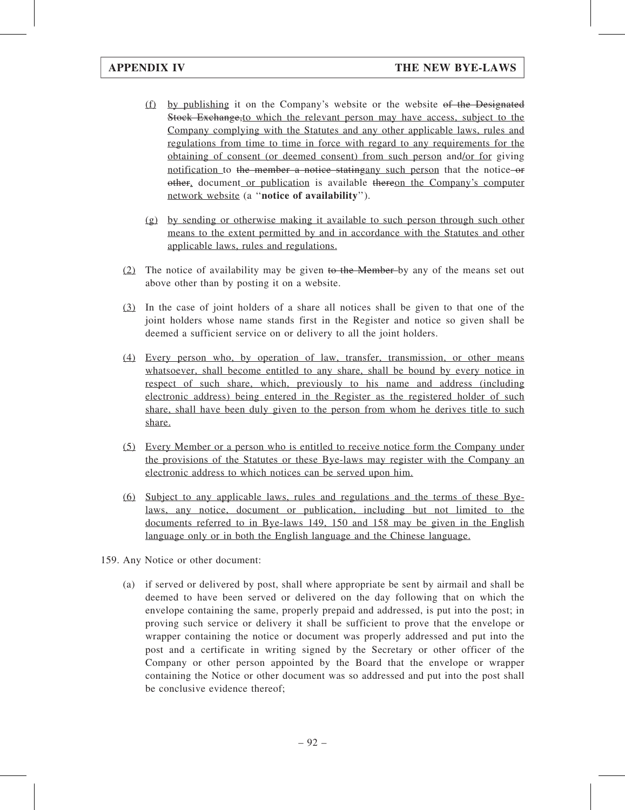- (f) by publishing it on the Company's website or the website of the Designated Stock Exchange,to which the relevant person may have access, subject to the Company complying with the Statutes and any other applicable laws, rules and regulations from time to time in force with regard to any requirements for the obtaining of consent (or deemed consent) from such person and/or for giving notification to the member a notice stating any such person that the notice or other, document or publication is available thereon the Company's computer network website (a "notice of availability").
- (g) by sending or otherwise making it available to such person through such other means to the extent permitted by and in accordance with the Statutes and other applicable laws, rules and regulations.
- $(2)$  The notice of availability may be given to the Member-by any of the means set out above other than by posting it on a website.
- (3) In the case of joint holders of a share all notices shall be given to that one of the joint holders whose name stands first in the Register and notice so given shall be deemed a sufficient service on or delivery to all the joint holders.
- (4) Every person who, by operation of law, transfer, transmission, or other means whatsoever, shall become entitled to any share, shall be bound by every notice in respect of such share, which, previously to his name and address (including electronic address) being entered in the Register as the registered holder of such share, shall have been duly given to the person from whom he derives title to such share.
- (5) Every Member or a person who is entitled to receive notice form the Company under the provisions of the Statutes or these Bye-laws may register with the Company an electronic address to which notices can be served upon him.
- (6) Subject to any applicable laws, rules and regulations and the terms of these Byelaws, any notice, document or publication, including but not limited to the documents referred to in Bye-laws 149, 150 and 158 may be given in the English language only or in both the English language and the Chinese language.
- 159. Any Notice or other document:
	- (a) if served or delivered by post, shall where appropriate be sent by airmail and shall be deemed to have been served or delivered on the day following that on which the envelope containing the same, properly prepaid and addressed, is put into the post; in proving such service or delivery it shall be sufficient to prove that the envelope or wrapper containing the notice or document was properly addressed and put into the post and a certificate in writing signed by the Secretary or other officer of the Company or other person appointed by the Board that the envelope or wrapper containing the Notice or other document was so addressed and put into the post shall be conclusive evidence thereof;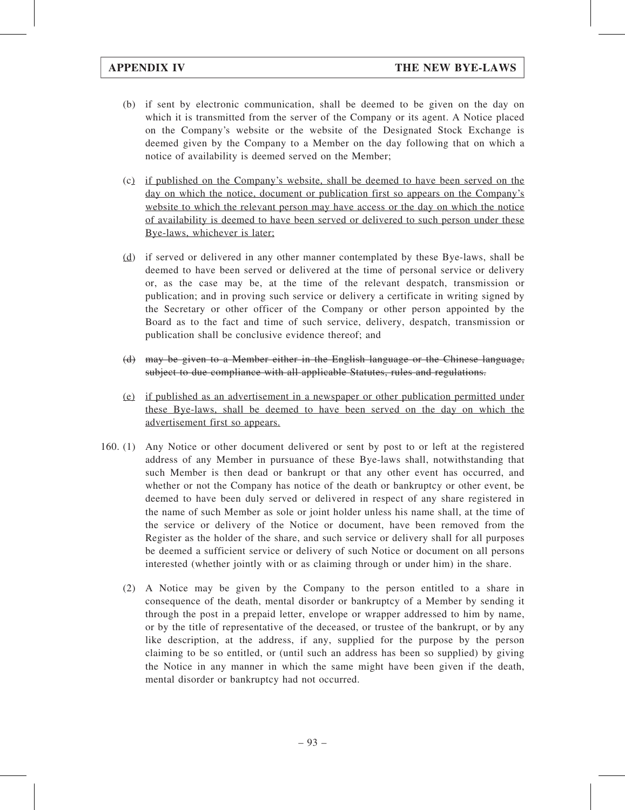- (b) if sent by electronic communication, shall be deemed to be given on the day on which it is transmitted from the server of the Company or its agent. A Notice placed on the Company's website or the website of the Designated Stock Exchange is deemed given by the Company to a Member on the day following that on which a notice of availability is deemed served on the Member;
- (c) if published on the Company's website, shall be deemed to have been served on the day on which the notice, document or publication first so appears on the Company's website to which the relevant person may have access or the day on which the notice of availability is deemed to have been served or delivered to such person under these Bye-laws, whichever is later;
- (d) if served or delivered in any other manner contemplated by these Bye-laws, shall be deemed to have been served or delivered at the time of personal service or delivery or, as the case may be, at the time of the relevant despatch, transmission or publication; and in proving such service or delivery a certificate in writing signed by the Secretary or other officer of the Company or other person appointed by the Board as to the fact and time of such service, delivery, despatch, transmission or publication shall be conclusive evidence thereof; and
- (d) may be given to a Member either in the English language or the Chinese language, subject to due compliance with all applicable Statutes, rules and regulations.
- (e) if published as an advertisement in a newspaper or other publication permitted under these Bye-laws, shall be deemed to have been served on the day on which the advertisement first so appears.
- 160. (1) Any Notice or other document delivered or sent by post to or left at the registered address of any Member in pursuance of these Bye-laws shall, notwithstanding that such Member is then dead or bankrupt or that any other event has occurred, and whether or not the Company has notice of the death or bankruptcy or other event, be deemed to have been duly served or delivered in respect of any share registered in the name of such Member as sole or joint holder unless his name shall, at the time of the service or delivery of the Notice or document, have been removed from the Register as the holder of the share, and such service or delivery shall for all purposes be deemed a sufficient service or delivery of such Notice or document on all persons interested (whether jointly with or as claiming through or under him) in the share.
	- (2) A Notice may be given by the Company to the person entitled to a share in consequence of the death, mental disorder or bankruptcy of a Member by sending it through the post in a prepaid letter, envelope or wrapper addressed to him by name, or by the title of representative of the deceased, or trustee of the bankrupt, or by any like description, at the address, if any, supplied for the purpose by the person claiming to be so entitled, or (until such an address has been so supplied) by giving the Notice in any manner in which the same might have been given if the death, mental disorder or bankruptcy had not occurred.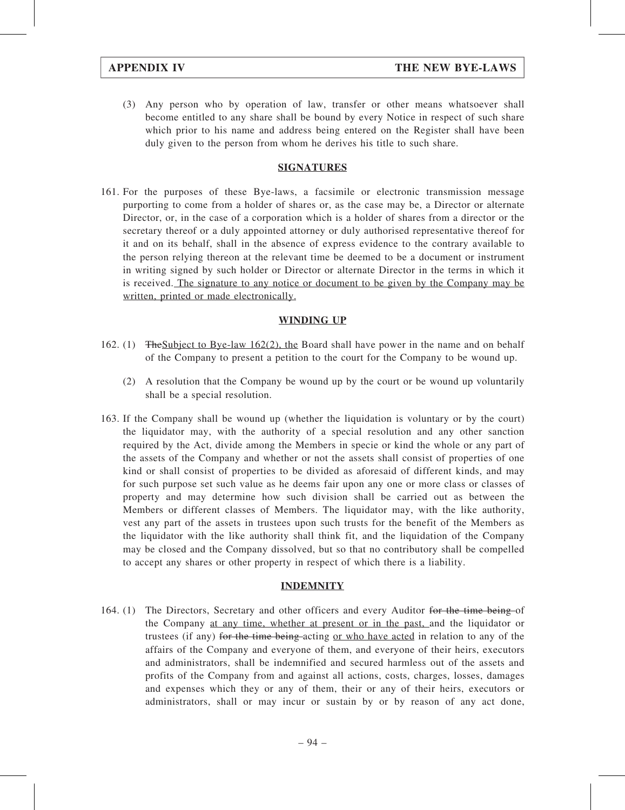(3) Any person who by operation of law, transfer or other means whatsoever shall become entitled to any share shall be bound by every Notice in respect of such share which prior to his name and address being entered on the Register shall have been duly given to the person from whom he derives his title to such share.

### SIGNATURES

161. For the purposes of these Bye-laws, a facsimile or electronic transmission message purporting to come from a holder of shares or, as the case may be, a Director or alternate Director, or, in the case of a corporation which is a holder of shares from a director or the secretary thereof or a duly appointed attorney or duly authorised representative thereof for it and on its behalf, shall in the absence of express evidence to the contrary available to the person relying thereon at the relevant time be deemed to be a document or instrument in writing signed by such holder or Director or alternate Director in the terms in which it is received. The signature to any notice or document to be given by the Company may be written, printed or made electronically.

### WINDING UP

- 162. (1) TheSubject to Bye-law 162(2), the Board shall have power in the name and on behalf of the Company to present a petition to the court for the Company to be wound up.
	- (2) A resolution that the Company be wound up by the court or be wound up voluntarily shall be a special resolution.
- 163. If the Company shall be wound up (whether the liquidation is voluntary or by the court) the liquidator may, with the authority of a special resolution and any other sanction required by the Act, divide among the Members in specie or kind the whole or any part of the assets of the Company and whether or not the assets shall consist of properties of one kind or shall consist of properties to be divided as aforesaid of different kinds, and may for such purpose set such value as he deems fair upon any one or more class or classes of property and may determine how such division shall be carried out as between the Members or different classes of Members. The liquidator may, with the like authority, vest any part of the assets in trustees upon such trusts for the benefit of the Members as the liquidator with the like authority shall think fit, and the liquidation of the Company may be closed and the Company dissolved, but so that no contributory shall be compelled to accept any shares or other property in respect of which there is a liability.

### INDEMNITY

164. (1) The Directors, Secretary and other officers and every Auditor for the time being of the Company at any time, whether at present or in the past, and the liquidator or trustees (if any) for the time being-acting <u>or who have acted</u> in relation to any of the affairs of the Company and everyone of them, and everyone of their heirs, executors and administrators, shall be indemnified and secured harmless out of the assets and profits of the Company from and against all actions, costs, charges, losses, damages and expenses which they or any of them, their or any of their heirs, executors or administrators, shall or may incur or sustain by or by reason of any act done,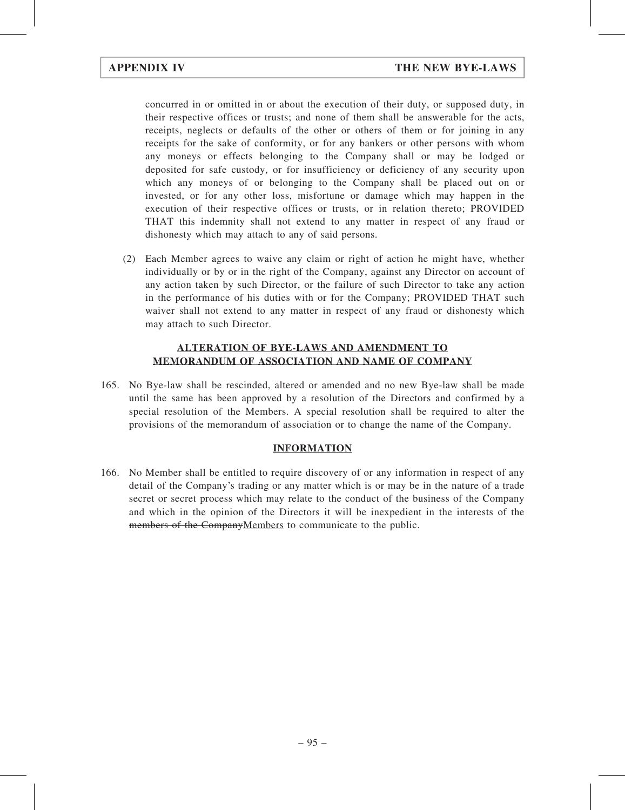concurred in or omitted in or about the execution of their duty, or supposed duty, in their respective offices or trusts; and none of them shall be answerable for the acts, receipts, neglects or defaults of the other or others of them or for joining in any receipts for the sake of conformity, or for any bankers or other persons with whom any moneys or effects belonging to the Company shall or may be lodged or deposited for safe custody, or for insufficiency or deficiency of any security upon which any moneys of or belonging to the Company shall be placed out on or invested, or for any other loss, misfortune or damage which may happen in the execution of their respective offices or trusts, or in relation thereto; PROVIDED THAT this indemnity shall not extend to any matter in respect of any fraud or dishonesty which may attach to any of said persons.

(2) Each Member agrees to waive any claim or right of action he might have, whether individually or by or in the right of the Company, against any Director on account of any action taken by such Director, or the failure of such Director to take any action in the performance of his duties with or for the Company; PROVIDED THAT such waiver shall not extend to any matter in respect of any fraud or dishonesty which may attach to such Director.

### ALTERATION OF BYE-LAWS AND AMENDMENT TO MEMORANDUM OF ASSOCIATION AND NAME OF COMPANY

165. No Bye-law shall be rescinded, altered or amended and no new Bye-law shall be made until the same has been approved by a resolution of the Directors and confirmed by a special resolution of the Members. A special resolution shall be required to alter the provisions of the memorandum of association or to change the name of the Company.

### INFORMATION

166. No Member shall be entitled to require discovery of or any information in respect of any detail of the Company's trading or any matter which is or may be in the nature of a trade secret or secret process which may relate to the conduct of the business of the Company and which in the opinion of the Directors it will be inexpedient in the interests of the members of the CompanyMembers to communicate to the public.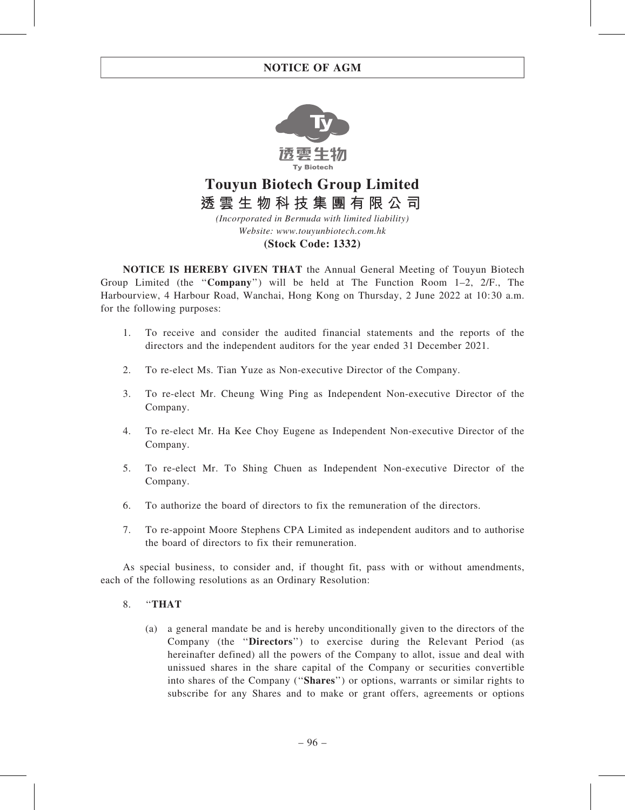

# **Touyun Biotech Group Limited 透雲生物科技集團有限公司**

*(Incorporated in Bermuda with limited liability) Website: www.touyunbiotech.com.hk*

#### **(Stock Code: 1332)**

NOTICE IS HEREBY GIVEN THAT the Annual General Meeting of Touyun Biotech Group Limited (the "Company") will be held at The Function Room  $1-2$ ,  $2/F$ ., The Harbourview, 4 Harbour Road, Wanchai, Hong Kong on Thursday, 2 June 2022 at 10:30 a.m. for the following purposes:

- 1. To receive and consider the audited financial statements and the reports of the directors and the independent auditors for the year ended 31 December 2021.
- 2. To re-elect Ms. Tian Yuze as Non-executive Director of the Company.
- 3. To re-elect Mr. Cheung Wing Ping as Independent Non-executive Director of the Company.
- 4. To re-elect Mr. Ha Kee Choy Eugene as Independent Non-executive Director of the Company.
- 5. To re-elect Mr. To Shing Chuen as Independent Non-executive Director of the Company.
- 6. To authorize the board of directors to fix the remuneration of the directors.
- 7. To re-appoint Moore Stephens CPA Limited as independent auditors and to authorise the board of directors to fix their remuneration.

As special business, to consider and, if thought fit, pass with or without amendments, each of the following resolutions as an Ordinary Resolution:

### 8. "THAT

(a) a general mandate be and is hereby unconditionally given to the directors of the Company (the ''Directors'') to exercise during the Relevant Period (as hereinafter defined) all the powers of the Company to allot, issue and deal with unissued shares in the share capital of the Company or securities convertible into shares of the Company (''Shares'') or options, warrants or similar rights to subscribe for any Shares and to make or grant offers, agreements or options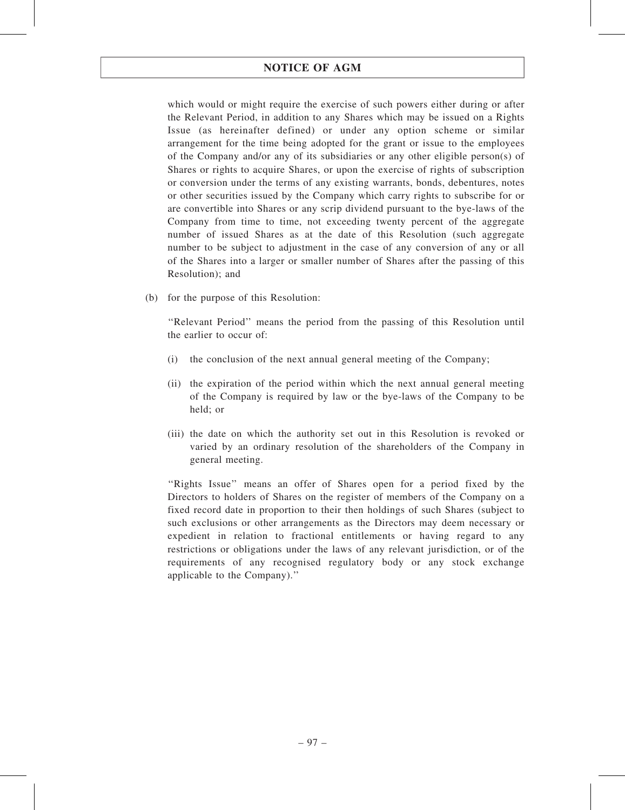which would or might require the exercise of such powers either during or after the Relevant Period, in addition to any Shares which may be issued on a Rights Issue (as hereinafter defined) or under any option scheme or similar arrangement for the time being adopted for the grant or issue to the employees of the Company and/or any of its subsidiaries or any other eligible person(s) of Shares or rights to acquire Shares, or upon the exercise of rights of subscription or conversion under the terms of any existing warrants, bonds, debentures, notes or other securities issued by the Company which carry rights to subscribe for or are convertible into Shares or any scrip dividend pursuant to the bye-laws of the Company from time to time, not exceeding twenty percent of the aggregate number of issued Shares as at the date of this Resolution (such aggregate number to be subject to adjustment in the case of any conversion of any or all of the Shares into a larger or smaller number of Shares after the passing of this Resolution); and

(b) for the purpose of this Resolution:

''Relevant Period'' means the period from the passing of this Resolution until the earlier to occur of:

- (i) the conclusion of the next annual general meeting of the Company;
- (ii) the expiration of the period within which the next annual general meeting of the Company is required by law or the bye-laws of the Company to be held; or
- (iii) the date on which the authority set out in this Resolution is revoked or varied by an ordinary resolution of the shareholders of the Company in general meeting.

''Rights Issue'' means an offer of Shares open for a period fixed by the Directors to holders of Shares on the register of members of the Company on a fixed record date in proportion to their then holdings of such Shares (subject to such exclusions or other arrangements as the Directors may deem necessary or expedient in relation to fractional entitlements or having regard to any restrictions or obligations under the laws of any relevant jurisdiction, or of the requirements of any recognised regulatory body or any stock exchange applicable to the Company).''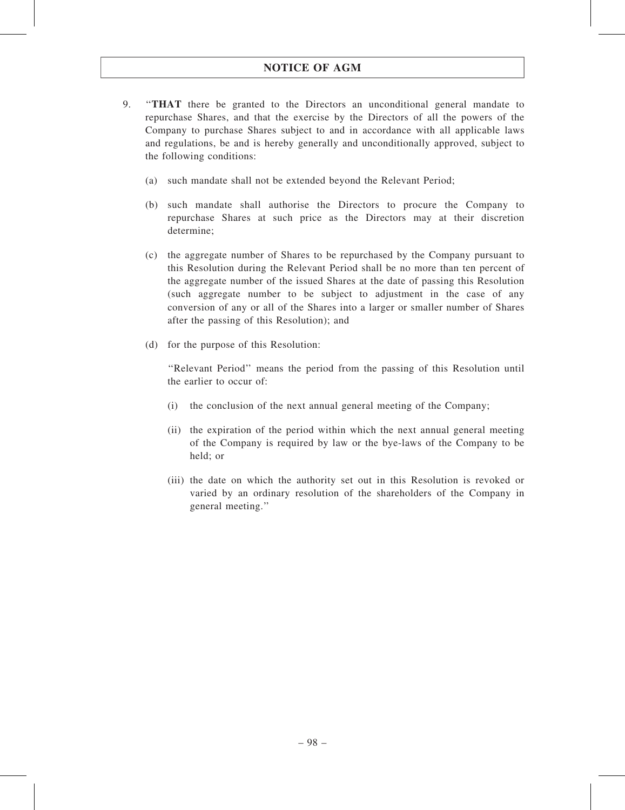- 9. ''THAT there be granted to the Directors an unconditional general mandate to repurchase Shares, and that the exercise by the Directors of all the powers of the Company to purchase Shares subject to and in accordance with all applicable laws and regulations, be and is hereby generally and unconditionally approved, subject to the following conditions:
	- (a) such mandate shall not be extended beyond the Relevant Period;
	- (b) such mandate shall authorise the Directors to procure the Company to repurchase Shares at such price as the Directors may at their discretion determine;
	- (c) the aggregate number of Shares to be repurchased by the Company pursuant to this Resolution during the Relevant Period shall be no more than ten percent of the aggregate number of the issued Shares at the date of passing this Resolution (such aggregate number to be subject to adjustment in the case of any conversion of any or all of the Shares into a larger or smaller number of Shares after the passing of this Resolution); and
	- (d) for the purpose of this Resolution:

''Relevant Period'' means the period from the passing of this Resolution until the earlier to occur of:

- (i) the conclusion of the next annual general meeting of the Company;
- (ii) the expiration of the period within which the next annual general meeting of the Company is required by law or the bye-laws of the Company to be held; or
- (iii) the date on which the authority set out in this Resolution is revoked or varied by an ordinary resolution of the shareholders of the Company in general meeting.''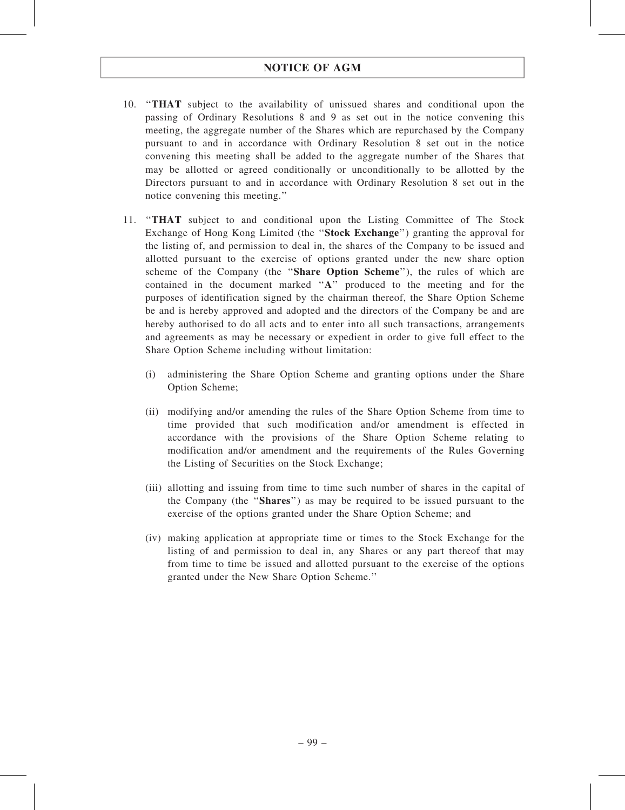- 10. ''THAT subject to the availability of unissued shares and conditional upon the passing of Ordinary Resolutions 8 and 9 as set out in the notice convening this meeting, the aggregate number of the Shares which are repurchased by the Company pursuant to and in accordance with Ordinary Resolution 8 set out in the notice convening this meeting shall be added to the aggregate number of the Shares that may be allotted or agreed conditionally or unconditionally to be allotted by the Directors pursuant to and in accordance with Ordinary Resolution 8 set out in the notice convening this meeting.''
- 11. ''THAT subject to and conditional upon the Listing Committee of The Stock Exchange of Hong Kong Limited (the "Stock Exchange") granting the approval for the listing of, and permission to deal in, the shares of the Company to be issued and allotted pursuant to the exercise of options granted under the new share option scheme of the Company (the "Share Option Scheme"), the rules of which are contained in the document marked ''A'' produced to the meeting and for the purposes of identification signed by the chairman thereof, the Share Option Scheme be and is hereby approved and adopted and the directors of the Company be and are hereby authorised to do all acts and to enter into all such transactions, arrangements and agreements as may be necessary or expedient in order to give full effect to the Share Option Scheme including without limitation:
	- (i) administering the Share Option Scheme and granting options under the Share Option Scheme;
	- (ii) modifying and/or amending the rules of the Share Option Scheme from time to time provided that such modification and/or amendment is effected in accordance with the provisions of the Share Option Scheme relating to modification and/or amendment and the requirements of the Rules Governing the Listing of Securities on the Stock Exchange;
	- (iii) allotting and issuing from time to time such number of shares in the capital of the Company (the ''Shares'') as may be required to be issued pursuant to the exercise of the options granted under the Share Option Scheme; and
	- (iv) making application at appropriate time or times to the Stock Exchange for the listing of and permission to deal in, any Shares or any part thereof that may from time to time be issued and allotted pursuant to the exercise of the options granted under the New Share Option Scheme.''